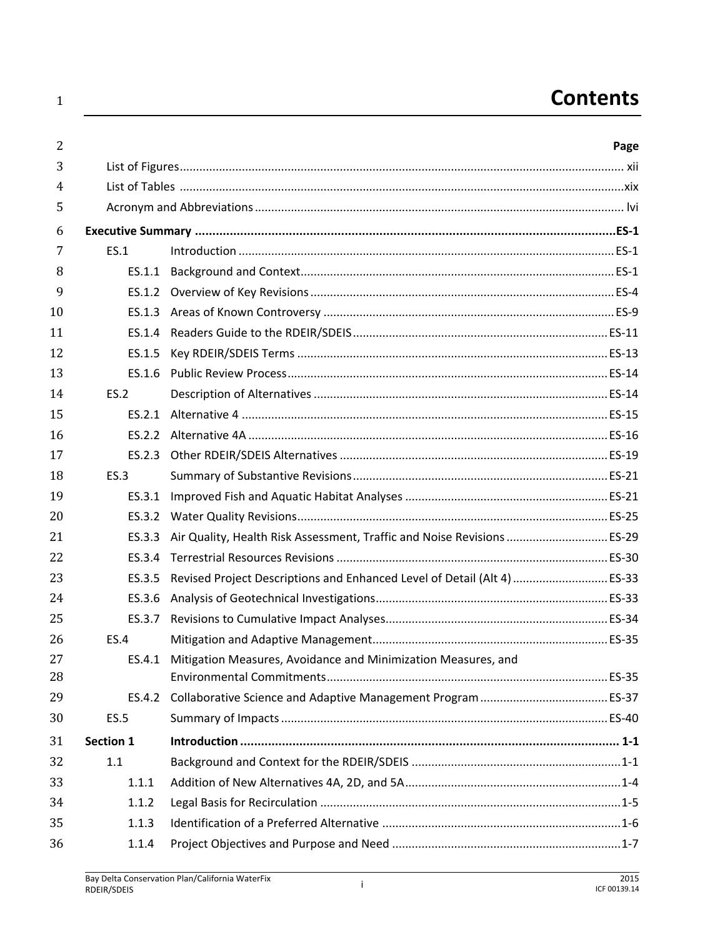## **Contents**

| 2        |             |                                                                          | Page |
|----------|-------------|--------------------------------------------------------------------------|------|
| 3        |             |                                                                          |      |
| 4        |             |                                                                          |      |
| 5        |             |                                                                          |      |
| 6        |             |                                                                          |      |
| 7        | ES.1        |                                                                          |      |
| 8        |             |                                                                          |      |
| 9        |             |                                                                          |      |
| 10       |             |                                                                          |      |
| 11       |             |                                                                          |      |
| 12       | ES.1.5      |                                                                          |      |
| 13       |             |                                                                          |      |
| 14       | ES.2        |                                                                          |      |
| 15       |             |                                                                          |      |
| 16       |             |                                                                          |      |
| 17       |             |                                                                          |      |
| 18       | ES.3        |                                                                          |      |
| 19       |             |                                                                          |      |
| 20       |             |                                                                          |      |
| 21       | ES.3.3      | Air Quality, Health Risk Assessment, Traffic and Noise Revisions  ES-29  |      |
| 22       | ES.3.4      |                                                                          |      |
| 23       | ES.3.5      | Revised Project Descriptions and Enhanced Level of Detail (Alt 4)  ES-33 |      |
| 24       | ES.3.6      |                                                                          |      |
| 25       |             |                                                                          |      |
| 26       | <b>ES.4</b> |                                                                          |      |
| 27<br>28 |             | ES.4.1 Mitigation Measures, Avoidance and Minimization Measures, and     |      |
| 29       |             |                                                                          |      |
| 30       | <b>ES.5</b> |                                                                          |      |
| 31       | Section 1   |                                                                          |      |
| 32       | 1.1         |                                                                          |      |
| 33       | 1.1.1       |                                                                          |      |
| 34       | 1.1.2       |                                                                          |      |
| 35       | 1.1.3       |                                                                          |      |
| 36       | 1.1.4       |                                                                          |      |
|          |             |                                                                          |      |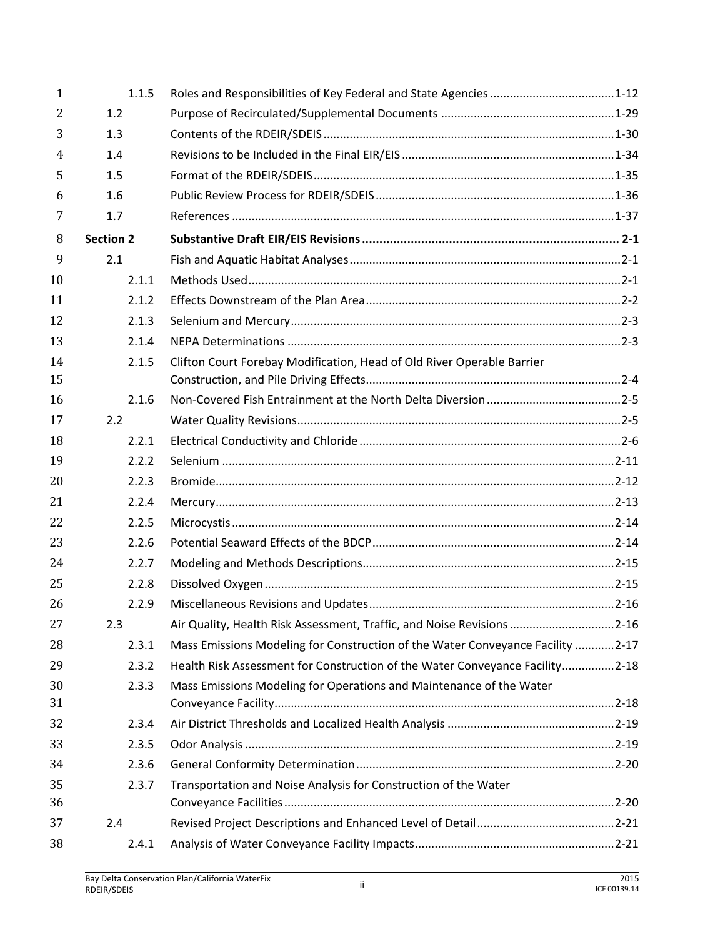| 1              | 1.1.5            | Roles and Responsibilities of Key Federal and State Agencies 1-12              |  |
|----------------|------------------|--------------------------------------------------------------------------------|--|
| $\overline{2}$ | 1.2              |                                                                                |  |
| 3              | 1.3              |                                                                                |  |
| 4              | 1.4              |                                                                                |  |
| 5              | 1.5              |                                                                                |  |
| 6              | 1.6              |                                                                                |  |
| 7              | 1.7              |                                                                                |  |
| 8              | <b>Section 2</b> |                                                                                |  |
| 9              | 2.1              |                                                                                |  |
| 10             | 2.1.1            |                                                                                |  |
| 11             | 2.1.2            |                                                                                |  |
| 12             | 2.1.3            |                                                                                |  |
| 13             | 2.1.4            |                                                                                |  |
| 14             | 2.1.5            | Clifton Court Forebay Modification, Head of Old River Operable Barrier         |  |
| 15             |                  |                                                                                |  |
| 16             | 2.1.6            |                                                                                |  |
| 17             | 2.2              |                                                                                |  |
| 18             | 2.2.1            |                                                                                |  |
| 19             | 2.2.2            |                                                                                |  |
| 20             | 2.2.3            |                                                                                |  |
| 21             | 2.2.4            |                                                                                |  |
| 22             | 2.2.5            |                                                                                |  |
| 23             | 2.2.6            |                                                                                |  |
| 24             | 2.2.7            |                                                                                |  |
| 25             | 2.2.8            |                                                                                |  |
| 26             | 2.2.9            |                                                                                |  |
| 27             | 2.3              | Air Quality, Health Risk Assessment, Traffic, and Noise Revisions 2-16         |  |
| 28             | 2.3.1            | Mass Emissions Modeling for Construction of the Water Conveyance Facility 2-17 |  |
| 29             | 2.3.2            | Health Risk Assessment for Construction of the Water Conveyance Facility2-18   |  |
| 30             | 2.3.3            | Mass Emissions Modeling for Operations and Maintenance of the Water            |  |
| 31             |                  |                                                                                |  |
| 32             | 2.3.4            |                                                                                |  |
| 33             | 2.3.5            |                                                                                |  |
| 34             | 2.3.6            |                                                                                |  |
| 35             | 2.3.7            | Transportation and Noise Analysis for Construction of the Water                |  |
| 36             |                  |                                                                                |  |
| 37             | 2.4              |                                                                                |  |
| 38             | 2.4.1            |                                                                                |  |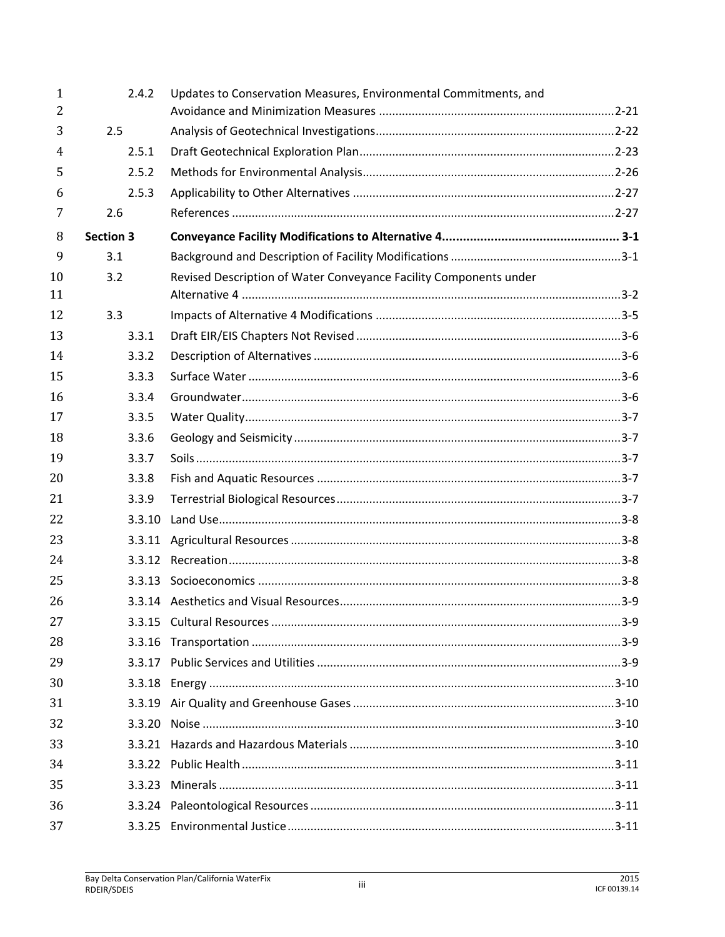| $\mathbf{1}$<br>$\overline{2}$ | 2.4.2            | Updates to Conservation Measures, Environmental Commitments, and  |  |
|--------------------------------|------------------|-------------------------------------------------------------------|--|
| 3                              | 2.5              |                                                                   |  |
| 4                              | 2.5.1            |                                                                   |  |
| 5                              | 2.5.2            |                                                                   |  |
| 6                              | 2.5.3            |                                                                   |  |
| 7                              | 2.6              |                                                                   |  |
| 8                              | <b>Section 3</b> |                                                                   |  |
| 9                              | 3.1              |                                                                   |  |
| 10                             | 3.2              | Revised Description of Water Conveyance Facility Components under |  |
| 11                             |                  |                                                                   |  |
| 12                             | 3.3              |                                                                   |  |
| 13                             | 3.3.1            |                                                                   |  |
| 14                             | 3.3.2            |                                                                   |  |
| 15                             | 3.3.3            |                                                                   |  |
| 16                             | 3.3.4            |                                                                   |  |
| 17                             | 3.3.5            |                                                                   |  |
| 18                             | 3.3.6            |                                                                   |  |
| 19                             | 3.3.7            |                                                                   |  |
| 20                             | 3.3.8            |                                                                   |  |
| 21                             | 3.3.9            |                                                                   |  |
| 22                             | 3.3.10           |                                                                   |  |
| 23                             | 3.3.11           |                                                                   |  |
| 24                             |                  |                                                                   |  |
| 25                             |                  |                                                                   |  |
| 26                             |                  |                                                                   |  |
| 27                             |                  |                                                                   |  |
| 28                             |                  |                                                                   |  |
| 29                             |                  |                                                                   |  |
| 30                             |                  |                                                                   |  |
| 31                             |                  |                                                                   |  |
| 32                             |                  |                                                                   |  |
| 33                             |                  |                                                                   |  |
| 34                             |                  |                                                                   |  |
| 35                             |                  |                                                                   |  |
| 36                             |                  |                                                                   |  |
| 37                             |                  |                                                                   |  |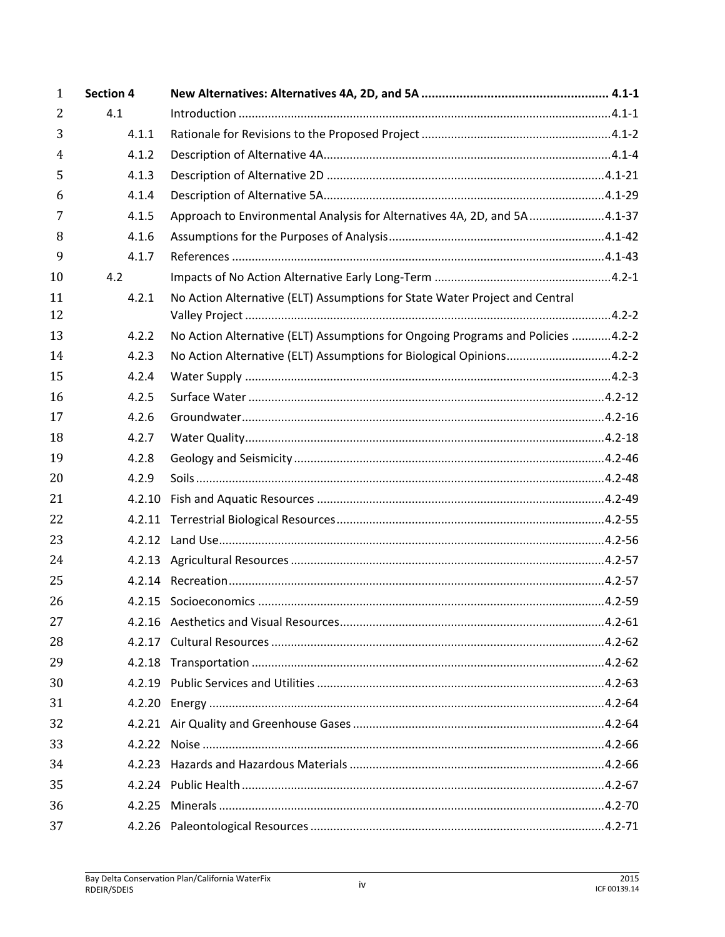| $\mathbf{1}$   | <b>Section 4</b> |                                                                                 |  |
|----------------|------------------|---------------------------------------------------------------------------------|--|
| $\overline{2}$ | 4.1              |                                                                                 |  |
| 3              | 4.1.1            |                                                                                 |  |
| 4              | 4.1.2            |                                                                                 |  |
| 5              | 4.1.3            |                                                                                 |  |
| 6              | 4.1.4            |                                                                                 |  |
| 7              | 4.1.5            | Approach to Environmental Analysis for Alternatives 4A, 2D, and 5A 4.1-37       |  |
| 8              | 4.1.6            |                                                                                 |  |
| 9              | 4.1.7            |                                                                                 |  |
| 10             | 4.2              |                                                                                 |  |
| 11             | 4.2.1            | No Action Alternative (ELT) Assumptions for State Water Project and Central     |  |
| 12             |                  |                                                                                 |  |
| 13             | 4.2.2            | No Action Alternative (ELT) Assumptions for Ongoing Programs and Policies 4.2-2 |  |
| 14             | 4.2.3            | No Action Alternative (ELT) Assumptions for Biological Opinions4.2-2            |  |
| 15             | 4.2.4            |                                                                                 |  |
| 16             | 4.2.5            |                                                                                 |  |
| 17             | 4.2.6            |                                                                                 |  |
| 18             | 4.2.7            |                                                                                 |  |
| 19             | 4.2.8            |                                                                                 |  |
| 20             | 4.2.9            |                                                                                 |  |
| 21             | 4.2.10           |                                                                                 |  |
| 22             |                  |                                                                                 |  |
| 23             |                  |                                                                                 |  |
| 24             |                  |                                                                                 |  |
| 25             |                  |                                                                                 |  |
| 26             |                  |                                                                                 |  |
| 27             |                  |                                                                                 |  |
| 28             |                  |                                                                                 |  |
| 29             |                  |                                                                                 |  |
| 30             |                  |                                                                                 |  |
| 31             |                  |                                                                                 |  |
| 32             |                  |                                                                                 |  |
| 33             |                  |                                                                                 |  |
| 34             |                  |                                                                                 |  |
| 35             |                  |                                                                                 |  |
| 36             |                  |                                                                                 |  |
| 37             |                  |                                                                                 |  |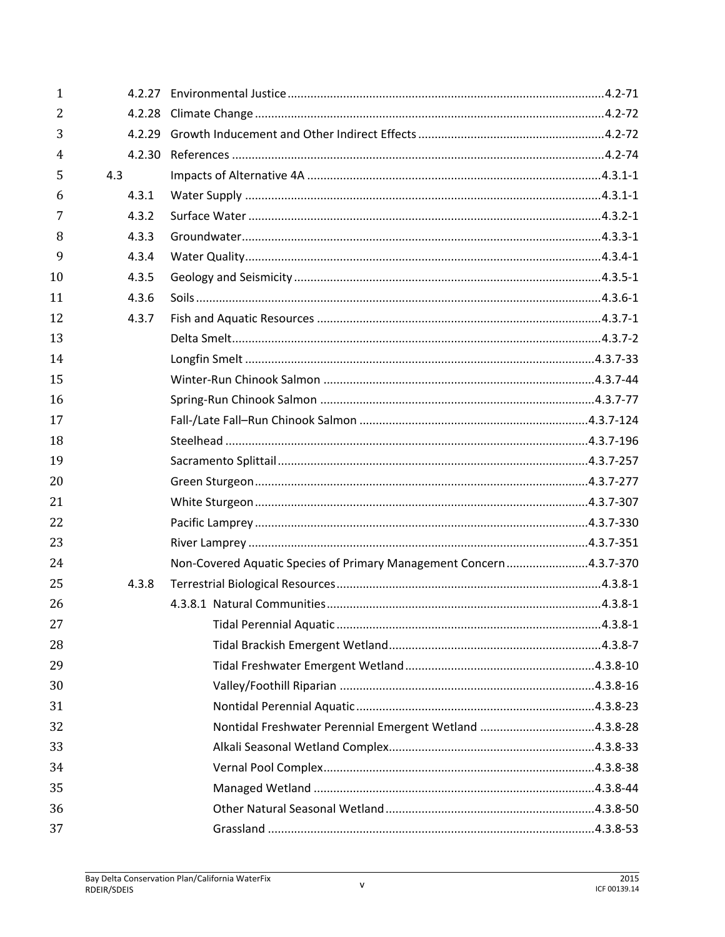| 1  |       |                                                                     |  |
|----|-------|---------------------------------------------------------------------|--|
| 2  |       |                                                                     |  |
| 3  |       |                                                                     |  |
| 4  |       |                                                                     |  |
| 5  | 4.3   |                                                                     |  |
| 6  | 4.3.1 |                                                                     |  |
| 7  | 4.3.2 |                                                                     |  |
| 8  | 4.3.3 |                                                                     |  |
| 9  | 4.3.4 |                                                                     |  |
| 10 | 4.3.5 |                                                                     |  |
| 11 | 4.3.6 |                                                                     |  |
| 12 | 4.3.7 |                                                                     |  |
| 13 |       |                                                                     |  |
| 14 |       |                                                                     |  |
| 15 |       |                                                                     |  |
| 16 |       |                                                                     |  |
| 17 |       |                                                                     |  |
| 18 |       |                                                                     |  |
| 19 |       |                                                                     |  |
| 20 |       |                                                                     |  |
| 21 |       |                                                                     |  |
| 22 |       |                                                                     |  |
| 23 |       |                                                                     |  |
| 24 |       | Non-Covered Aquatic Species of Primary Management Concern 4.3.7-370 |  |
| 25 | 4.3.8 |                                                                     |  |
| 26 |       |                                                                     |  |
| 27 |       |                                                                     |  |
| 28 |       |                                                                     |  |
| 29 |       |                                                                     |  |
| 30 |       |                                                                     |  |
| 31 |       |                                                                     |  |
| 32 |       | Nontidal Freshwater Perennial Emergent Wetland 4.3.8-28             |  |
| 33 |       |                                                                     |  |
| 34 |       |                                                                     |  |
| 35 |       |                                                                     |  |
| 36 |       |                                                                     |  |
| 37 |       |                                                                     |  |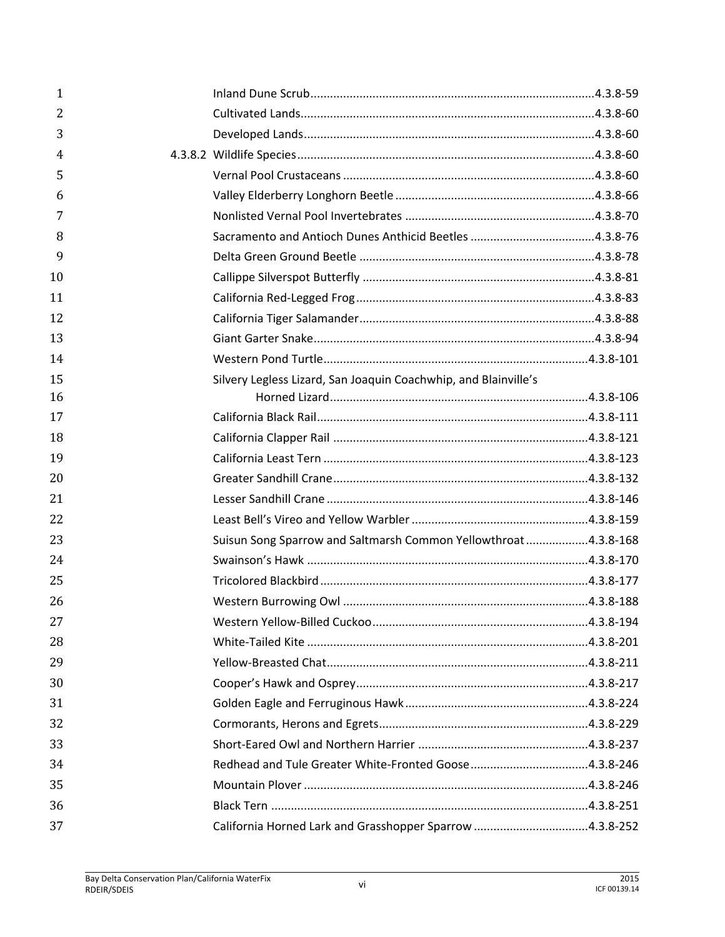| 1  |                                                                 |  |
|----|-----------------------------------------------------------------|--|
| 2  |                                                                 |  |
| 3  |                                                                 |  |
| 4  |                                                                 |  |
| 5  |                                                                 |  |
| 6  |                                                                 |  |
| 7  |                                                                 |  |
| 8  |                                                                 |  |
| 9  |                                                                 |  |
| 10 |                                                                 |  |
| 11 |                                                                 |  |
| 12 |                                                                 |  |
| 13 |                                                                 |  |
| 14 |                                                                 |  |
| 15 | Silvery Legless Lizard, San Joaquin Coachwhip, and Blainville's |  |
| 16 |                                                                 |  |
| 17 |                                                                 |  |
| 18 |                                                                 |  |
| 19 |                                                                 |  |
| 20 |                                                                 |  |
| 21 |                                                                 |  |
| 22 |                                                                 |  |
| 23 | Suisun Song Sparrow and Saltmarsh Common Yellowthroat 4.3.8-168 |  |
| 24 |                                                                 |  |
| 25 |                                                                 |  |
| 26 |                                                                 |  |
| 27 |                                                                 |  |
| 28 |                                                                 |  |
| 29 |                                                                 |  |
| 30 |                                                                 |  |
| 31 |                                                                 |  |
| 32 |                                                                 |  |
| 33 |                                                                 |  |
| 34 |                                                                 |  |
| 35 |                                                                 |  |
| 36 |                                                                 |  |
| 37 |                                                                 |  |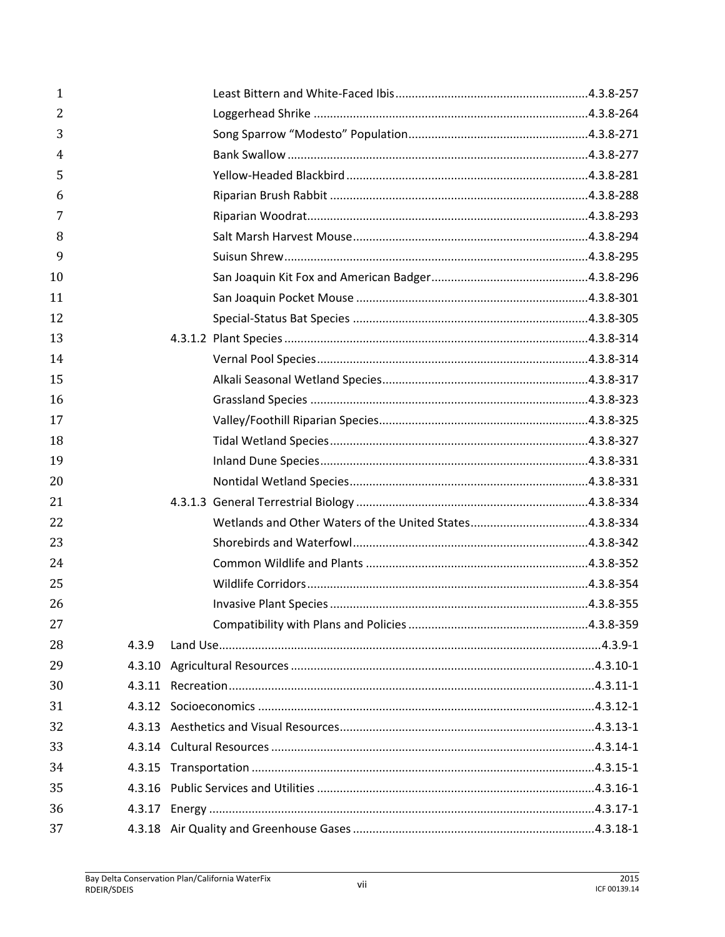| $\mathbf{1}$ |       |  |
|--------------|-------|--|
| 2            |       |  |
| 3            |       |  |
| 4            |       |  |
| 5            |       |  |
| 6            |       |  |
| 7            |       |  |
| 8            |       |  |
| 9            |       |  |
| 10           |       |  |
| 11           |       |  |
| 12           |       |  |
| 13           |       |  |
| 14           |       |  |
| 15           |       |  |
| 16           |       |  |
| 17           |       |  |
| 18           |       |  |
| 19           |       |  |
| 20           |       |  |
| 21           |       |  |
| 22           |       |  |
| 23           |       |  |
| 24           |       |  |
| 25           |       |  |
| 26           |       |  |
| 27           |       |  |
| 28           | 4.3.9 |  |
| 29           |       |  |
| 30           |       |  |
| 31           |       |  |
| 32           |       |  |
| 33           |       |  |
| 34           |       |  |
| 35           |       |  |
| 36           |       |  |
| 37           |       |  |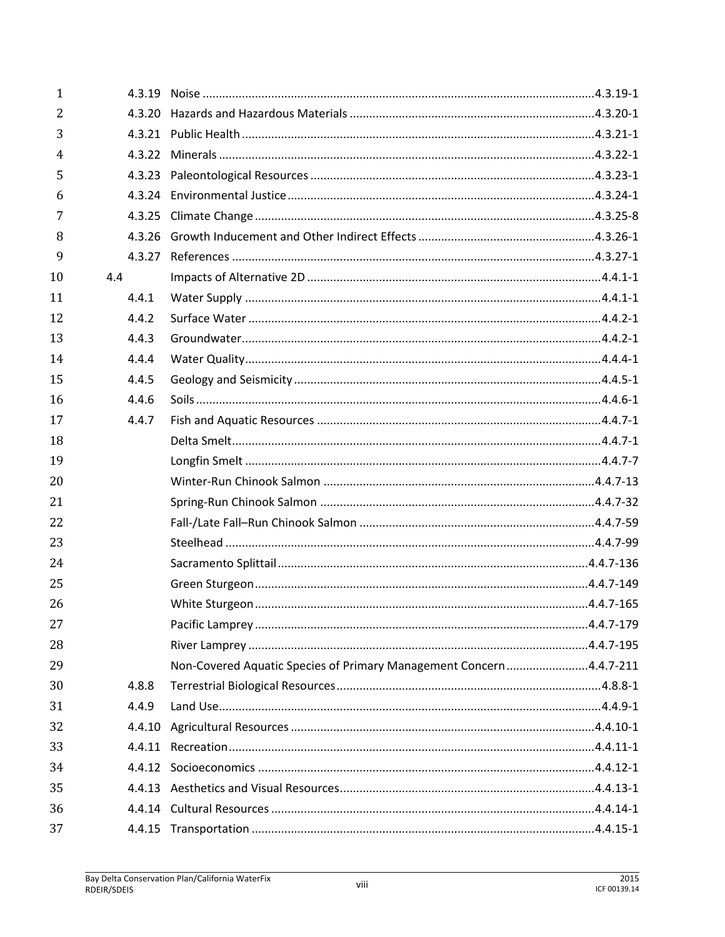| 1              |       |                                                                     |  |
|----------------|-------|---------------------------------------------------------------------|--|
| $\overline{2}$ |       |                                                                     |  |
| 3              |       |                                                                     |  |
| 4              |       |                                                                     |  |
| 5              |       |                                                                     |  |
| 6              |       |                                                                     |  |
| 7              |       |                                                                     |  |
| 8              |       |                                                                     |  |
| 9              |       |                                                                     |  |
| 10             | 4.4   |                                                                     |  |
| 11             | 4.4.1 |                                                                     |  |
| 12             | 4.4.2 |                                                                     |  |
| 13             | 4.4.3 |                                                                     |  |
| 14             | 4.4.4 |                                                                     |  |
| 15             | 4.4.5 |                                                                     |  |
| 16             | 4.4.6 |                                                                     |  |
| 17             | 4.4.7 |                                                                     |  |
| 18             |       |                                                                     |  |
| 19             |       |                                                                     |  |
| 20             |       |                                                                     |  |
| 21             |       |                                                                     |  |
| 22             |       |                                                                     |  |
| 23             |       |                                                                     |  |
| 24             |       |                                                                     |  |
| 25             |       |                                                                     |  |
| 26             |       |                                                                     |  |
| 27             |       |                                                                     |  |
| 28             |       |                                                                     |  |
| 29             |       | Non-Covered Aquatic Species of Primary Management Concern 4.4.7-211 |  |
| 30             | 4.8.8 |                                                                     |  |
| 31             | 4.4.9 |                                                                     |  |
| 32             |       |                                                                     |  |
| 33             |       |                                                                     |  |
| 34             |       |                                                                     |  |
| 35             |       |                                                                     |  |
| 36             |       |                                                                     |  |
| 37             |       |                                                                     |  |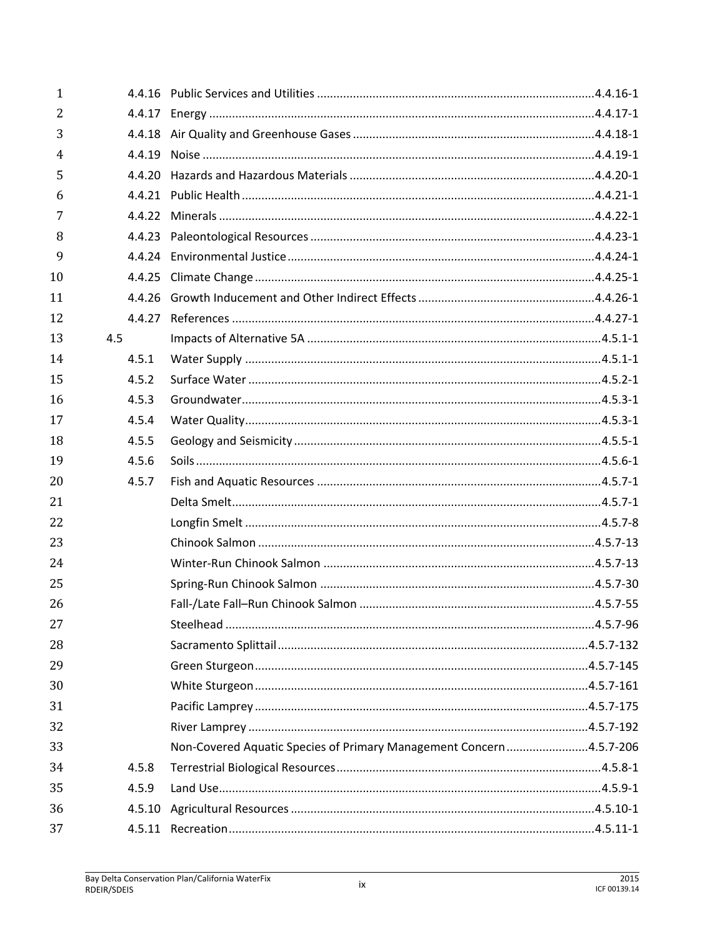| 1              |       |                                                                    |  |
|----------------|-------|--------------------------------------------------------------------|--|
| $\overline{2}$ |       |                                                                    |  |
| 3              |       |                                                                    |  |
| 4              |       |                                                                    |  |
| 5              |       |                                                                    |  |
| 6              |       |                                                                    |  |
| 7              |       |                                                                    |  |
| 8              |       |                                                                    |  |
| 9              |       |                                                                    |  |
| 10             |       |                                                                    |  |
| 11             |       |                                                                    |  |
| 12             |       |                                                                    |  |
| 13             | 4.5   |                                                                    |  |
| 14             | 4.5.1 |                                                                    |  |
| 15             | 4.5.2 |                                                                    |  |
| 16             | 4.5.3 |                                                                    |  |
| 17             | 4.5.4 |                                                                    |  |
| 18             | 4.5.5 |                                                                    |  |
| 19             | 4.5.6 |                                                                    |  |
| 20             | 4.5.7 |                                                                    |  |
| 21             |       |                                                                    |  |
| 22             |       |                                                                    |  |
| 23             |       |                                                                    |  |
| 24             |       |                                                                    |  |
| 25             |       |                                                                    |  |
| 26             |       |                                                                    |  |
| 27             |       |                                                                    |  |
| 28             |       |                                                                    |  |
| 29             |       |                                                                    |  |
| 30             |       |                                                                    |  |
| 31             |       |                                                                    |  |
| 32             |       |                                                                    |  |
| 33             |       | Non-Covered Aquatic Species of Primary Management Concern4.5.7-206 |  |
| 34             | 4.5.8 |                                                                    |  |
| 35             | 4.5.9 |                                                                    |  |
| 36             |       |                                                                    |  |
| 37             |       |                                                                    |  |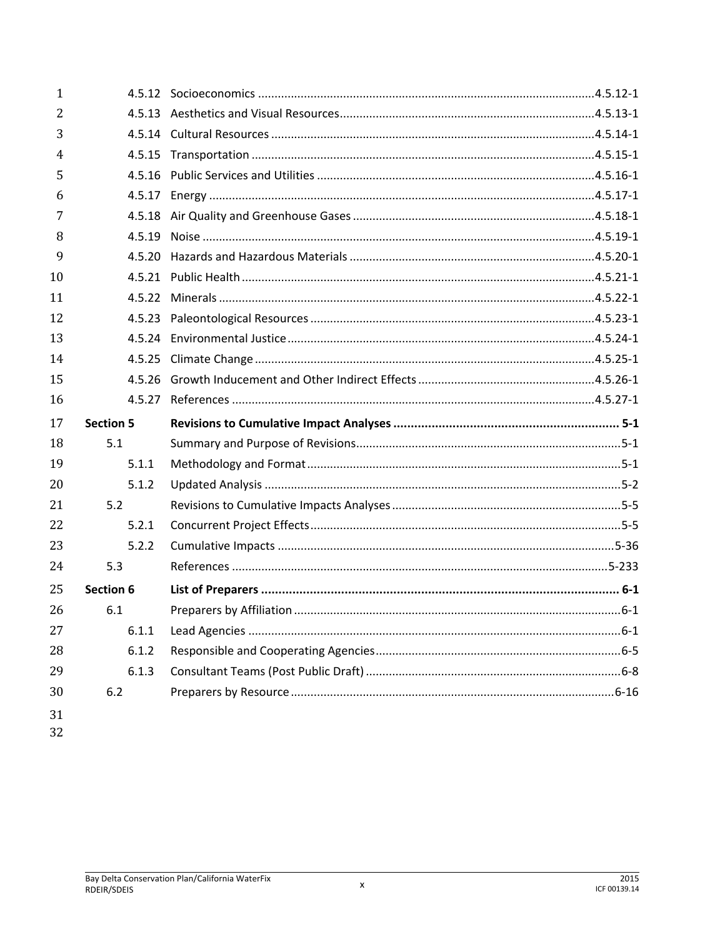| 1  |                  |  |
|----|------------------|--|
| 2  |                  |  |
| 3  |                  |  |
| 4  |                  |  |
| 5  |                  |  |
| 6  |                  |  |
| 7  |                  |  |
| 8  |                  |  |
| 9  |                  |  |
| 10 |                  |  |
| 11 |                  |  |
| 12 |                  |  |
| 13 |                  |  |
| 14 |                  |  |
| 15 |                  |  |
| 16 |                  |  |
|    |                  |  |
| 17 | <b>Section 5</b> |  |
| 18 | 5.1              |  |
| 19 | 5.1.1            |  |
| 20 | 5.1.2            |  |
| 21 | 5.2              |  |
| 22 | 5.2.1            |  |
| 23 | 5.2.2            |  |
| 24 | 5.3              |  |
| 25 | <b>Section 6</b> |  |
| 26 | 6.1              |  |
| 27 | 6.1.1            |  |
| 28 | 6.1.2            |  |
| 29 | 6.1.3            |  |
| 30 | 6.2              |  |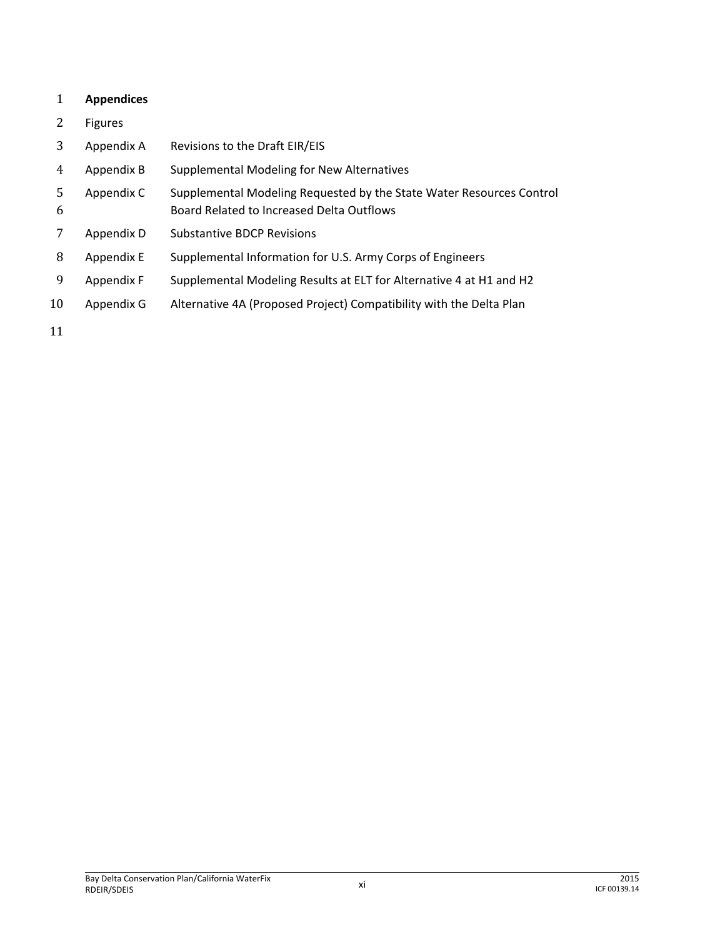## **Appendices**

- Figures
- Appendix A Revisions to the Draft EIR/EIS
- Appendix B Supplemental Modeling for New Alternatives
- Appendix C Supplemental Modeling Requested by the State Water Resources Control Board Related to Increased Delta Outflows
- Appendix D Substantive BDCP Revisions
- Appendix E Supplemental Information for U.S. Army Corps of Engineers
- Appendix F Supplemental Modeling Results at ELT for Alternative 4 at H1 and H2
- Appendix G Alternative 4A (Proposed Project) Compatibility with the Delta Plan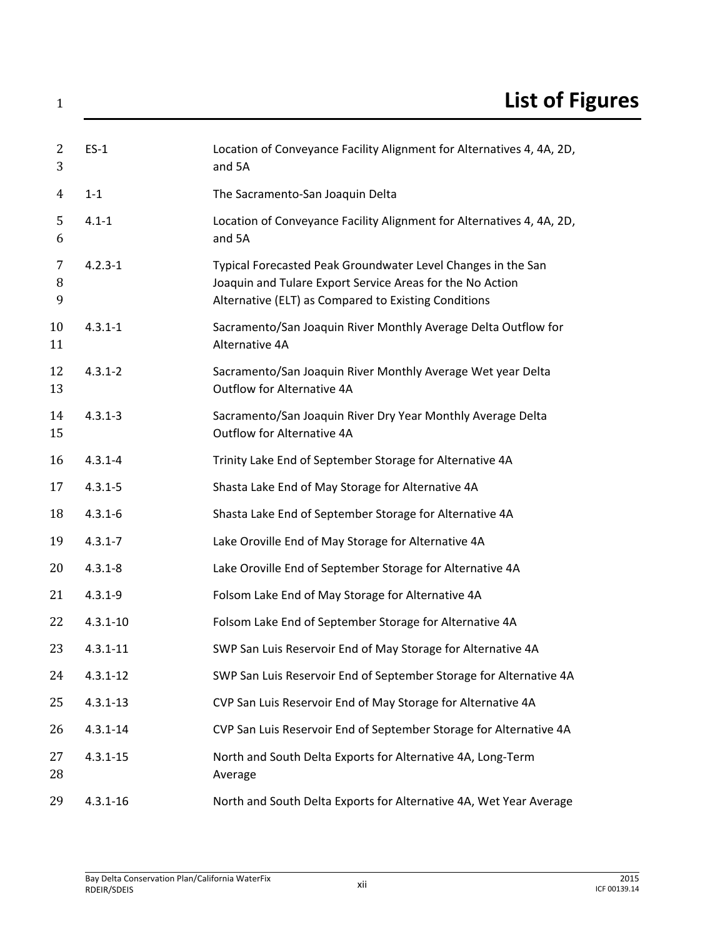| 2<br>3         | $ES-1$       | Location of Conveyance Facility Alignment for Alternatives 4, 4A, 2D,<br>and 5A                                                                                                   |
|----------------|--------------|-----------------------------------------------------------------------------------------------------------------------------------------------------------------------------------|
| $\overline{4}$ | $1 - 1$      | The Sacramento-San Joaquin Delta                                                                                                                                                  |
| 5<br>6         | $4.1 - 1$    | Location of Conveyance Facility Alignment for Alternatives 4, 4A, 2D,<br>and 5A                                                                                                   |
| 7<br>8<br>9    | $4.2.3 - 1$  | Typical Forecasted Peak Groundwater Level Changes in the San<br>Joaquin and Tulare Export Service Areas for the No Action<br>Alternative (ELT) as Compared to Existing Conditions |
| 10<br>11       | $4.3.1 - 1$  | Sacramento/San Joaquin River Monthly Average Delta Outflow for<br>Alternative 4A                                                                                                  |
| 12<br>13       | $4.3.1 - 2$  | Sacramento/San Joaquin River Monthly Average Wet year Delta<br>Outflow for Alternative 4A                                                                                         |
| 14<br>15       | $4.3.1 - 3$  | Sacramento/San Joaquin River Dry Year Monthly Average Delta<br>Outflow for Alternative 4A                                                                                         |
| 16             | $4.3.1 - 4$  | Trinity Lake End of September Storage for Alternative 4A                                                                                                                          |
| 17             | $4.3.1 - 5$  | Shasta Lake End of May Storage for Alternative 4A                                                                                                                                 |
| 18             | $4.3.1 - 6$  | Shasta Lake End of September Storage for Alternative 4A                                                                                                                           |
| 19             | $4.3.1 - 7$  | Lake Oroville End of May Storage for Alternative 4A                                                                                                                               |
| 20             | $4.3.1 - 8$  | Lake Oroville End of September Storage for Alternative 4A                                                                                                                         |
| 21             | $4.3.1 - 9$  | Folsom Lake End of May Storage for Alternative 4A                                                                                                                                 |
| 22             | $4.3.1 - 10$ | Folsom Lake End of September Storage for Alternative 4A                                                                                                                           |
| 23             | $4.3.1 - 11$ | SWP San Luis Reservoir End of May Storage for Alternative 4A                                                                                                                      |
| 24             | $4.3.1 - 12$ | SWP San Luis Reservoir End of September Storage for Alternative 4A                                                                                                                |
| 25             | $4.3.1 - 13$ | CVP San Luis Reservoir End of May Storage for Alternative 4A                                                                                                                      |
| 26             | $4.3.1 - 14$ | CVP San Luis Reservoir End of September Storage for Alternative 4A                                                                                                                |
| 27<br>28       | $4.3.1 - 15$ | North and South Delta Exports for Alternative 4A, Long-Term<br>Average                                                                                                            |
| 29             | $4.3.1 - 16$ | North and South Delta Exports for Alternative 4A, Wet Year Average                                                                                                                |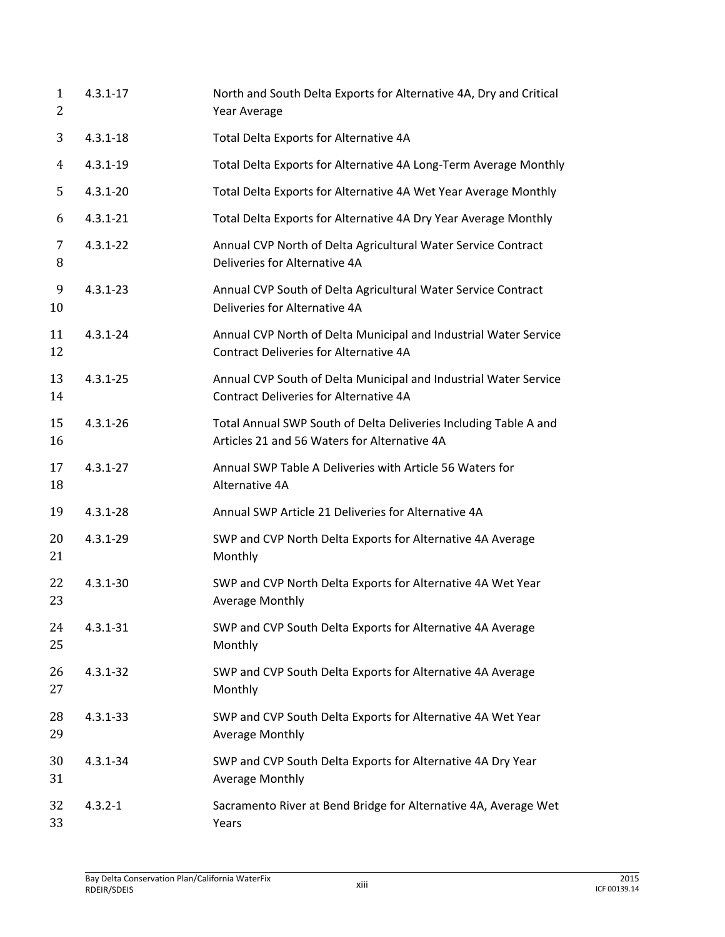| $\mathbf{1}$<br>2 | $4.3.1 - 17$ | North and South Delta Exports for Alternative 4A, Dry and Critical<br>Year Average                                |
|-------------------|--------------|-------------------------------------------------------------------------------------------------------------------|
| 3                 | $4.3.1 - 18$ | Total Delta Exports for Alternative 4A                                                                            |
| 4                 | $4.3.1 - 19$ | Total Delta Exports for Alternative 4A Long-Term Average Monthly                                                  |
| 5                 | $4.3.1 - 20$ | Total Delta Exports for Alternative 4A Wet Year Average Monthly                                                   |
| 6                 | $4.3.1 - 21$ | Total Delta Exports for Alternative 4A Dry Year Average Monthly                                                   |
| 7<br>8            | $4.3.1 - 22$ | Annual CVP North of Delta Agricultural Water Service Contract<br>Deliveries for Alternative 4A                    |
| 9<br>10           | $4.3.1 - 23$ | Annual CVP South of Delta Agricultural Water Service Contract<br>Deliveries for Alternative 4A                    |
| 11<br>12          | $4.3.1 - 24$ | Annual CVP North of Delta Municipal and Industrial Water Service<br><b>Contract Deliveries for Alternative 4A</b> |
| 13<br>14          | $4.3.1 - 25$ | Annual CVP South of Delta Municipal and Industrial Water Service<br><b>Contract Deliveries for Alternative 4A</b> |
| 15<br>16          | $4.3.1 - 26$ | Total Annual SWP South of Delta Deliveries Including Table A and<br>Articles 21 and 56 Waters for Alternative 4A  |
| 17<br>18          | $4.3.1 - 27$ | Annual SWP Table A Deliveries with Article 56 Waters for<br>Alternative 4A                                        |
| 19                | $4.3.1 - 28$ | Annual SWP Article 21 Deliveries for Alternative 4A                                                               |
| 20<br>21          | $4.3.1 - 29$ | SWP and CVP North Delta Exports for Alternative 4A Average<br>Monthly                                             |
| 22<br>23          | $4.3.1 - 30$ | SWP and CVP North Delta Exports for Alternative 4A Wet Year<br>Average Monthly                                    |
| 24<br>25          | $4.3.1 - 31$ | SWP and CVP South Delta Exports for Alternative 4A Average<br>Monthly                                             |
| 26<br>27          | $4.3.1 - 32$ | SWP and CVP South Delta Exports for Alternative 4A Average<br>Monthly                                             |
| 28<br>29          | $4.3.1 - 33$ | SWP and CVP South Delta Exports for Alternative 4A Wet Year<br>Average Monthly                                    |
| 30<br>31          | $4.3.1 - 34$ | SWP and CVP South Delta Exports for Alternative 4A Dry Year<br>Average Monthly                                    |
| 32<br>33          | $4.3.2 - 1$  | Sacramento River at Bend Bridge for Alternative 4A, Average Wet<br>Years                                          |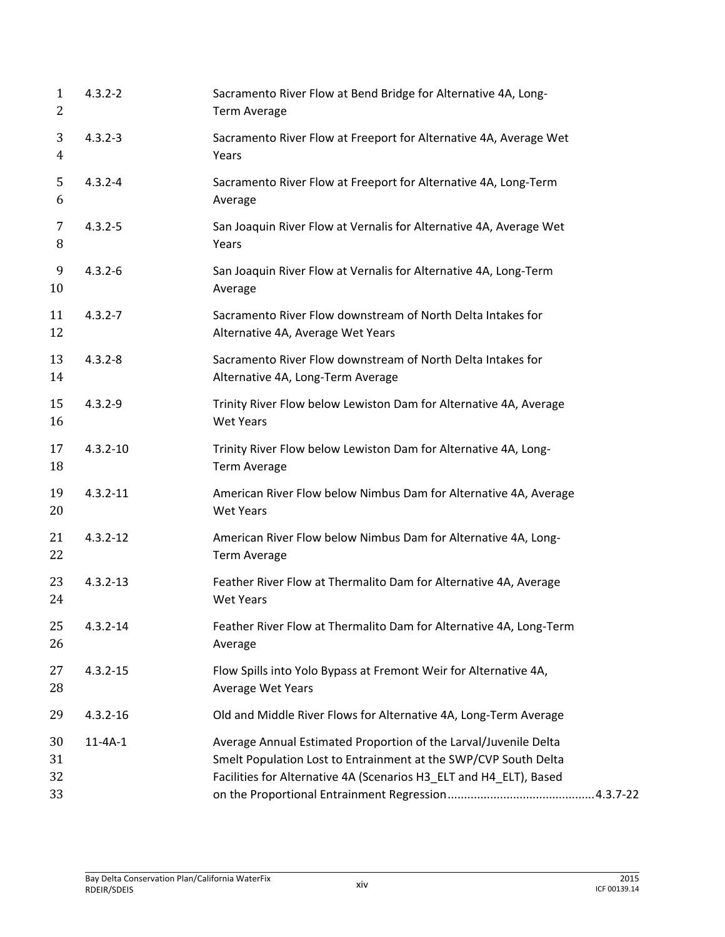| 1<br>2               | $4.3.2 - 2$   | Sacramento River Flow at Bend Bridge for Alternative 4A, Long-<br><b>Term Average</b>                                                                                                                     |
|----------------------|---------------|-----------------------------------------------------------------------------------------------------------------------------------------------------------------------------------------------------------|
| 3<br>4               | $4.3.2 - 3$   | Sacramento River Flow at Freeport for Alternative 4A, Average Wet<br>Years                                                                                                                                |
| 5<br>6               | $4.3.2 - 4$   | Sacramento River Flow at Freeport for Alternative 4A, Long-Term<br>Average                                                                                                                                |
| 7<br>8               | $4.3.2 - 5$   | San Joaquin River Flow at Vernalis for Alternative 4A, Average Wet<br>Years                                                                                                                               |
| 9<br>10              | $4.3.2 - 6$   | San Joaquin River Flow at Vernalis for Alternative 4A, Long-Term<br>Average                                                                                                                               |
| 11<br>12             | $4.3.2 - 7$   | Sacramento River Flow downstream of North Delta Intakes for<br>Alternative 4A, Average Wet Years                                                                                                          |
| 13<br>14             | $4.3.2 - 8$   | Sacramento River Flow downstream of North Delta Intakes for<br>Alternative 4A, Long-Term Average                                                                                                          |
| 15<br>16             | $4.3.2 - 9$   | Trinity River Flow below Lewiston Dam for Alternative 4A, Average<br><b>Wet Years</b>                                                                                                                     |
| 17<br>18             | $4.3.2 - 10$  | Trinity River Flow below Lewiston Dam for Alternative 4A, Long-<br><b>Term Average</b>                                                                                                                    |
| 19<br>20             | $4.3.2 - 11$  | American River Flow below Nimbus Dam for Alternative 4A, Average<br><b>Wet Years</b>                                                                                                                      |
| 21<br>22             | $4.3.2 - 12$  | American River Flow below Nimbus Dam for Alternative 4A, Long-<br><b>Term Average</b>                                                                                                                     |
| 23<br>24             | $4.3.2 - 13$  | Feather River Flow at Thermalito Dam for Alternative 4A, Average<br><b>Wet Years</b>                                                                                                                      |
| 25<br>26             | $4.3.2 - 14$  | Feather River Flow at Thermalito Dam for Alternative 4A, Long-Term<br>Average                                                                                                                             |
| 27<br>28             | $4.3.2 - 15$  | Flow Spills into Yolo Bypass at Fremont Weir for Alternative 4A,<br>Average Wet Years                                                                                                                     |
| 29                   | $4.3.2 - 16$  | Old and Middle River Flows for Alternative 4A, Long-Term Average                                                                                                                                          |
| 30<br>31<br>32<br>33 | $11 - 4A - 1$ | Average Annual Estimated Proportion of the Larval/Juvenile Delta<br>Smelt Population Lost to Entrainment at the SWP/CVP South Delta<br>Facilities for Alternative 4A (Scenarios H3_ELT and H4_ELT), Based |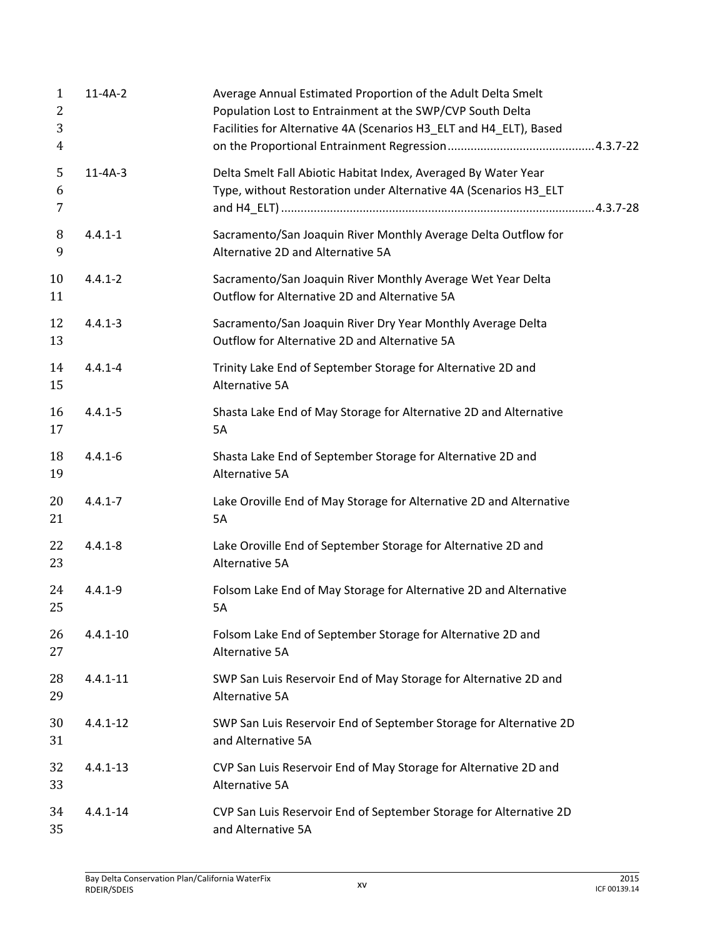| $\mathbf{1}$<br>2<br>3<br>4 | $11 - 4A - 2$ | Average Annual Estimated Proportion of the Adult Delta Smelt<br>Population Lost to Entrainment at the SWP/CVP South Delta<br>Facilities for Alternative 4A (Scenarios H3_ELT and H4_ELT), Based |  |
|-----------------------------|---------------|-------------------------------------------------------------------------------------------------------------------------------------------------------------------------------------------------|--|
| 5<br>6<br>7                 | $11 - 4A - 3$ | Delta Smelt Fall Abiotic Habitat Index, Averaged By Water Year<br>Type, without Restoration under Alternative 4A (Scenarios H3_ELT                                                              |  |
| 8<br>9                      | $4.4.1 - 1$   | Sacramento/San Joaquin River Monthly Average Delta Outflow for<br>Alternative 2D and Alternative 5A                                                                                             |  |
| 10<br>11                    | $4.4.1 - 2$   | Sacramento/San Joaquin River Monthly Average Wet Year Delta<br>Outflow for Alternative 2D and Alternative 5A                                                                                    |  |
| 12<br>13                    | $4.4.1 - 3$   | Sacramento/San Joaquin River Dry Year Monthly Average Delta<br>Outflow for Alternative 2D and Alternative 5A                                                                                    |  |
| 14<br>15                    | $4.4.1 - 4$   | Trinity Lake End of September Storage for Alternative 2D and<br>Alternative 5A                                                                                                                  |  |
| 16<br>17                    | $4.4.1 - 5$   | Shasta Lake End of May Storage for Alternative 2D and Alternative<br>5A                                                                                                                         |  |
| 18<br>19                    | $4.4.1 - 6$   | Shasta Lake End of September Storage for Alternative 2D and<br>Alternative 5A                                                                                                                   |  |
| 20<br>21                    | $4.4.1 - 7$   | Lake Oroville End of May Storage for Alternative 2D and Alternative<br>5A                                                                                                                       |  |
| 22<br>23                    | $4.4.1 - 8$   | Lake Oroville End of September Storage for Alternative 2D and<br>Alternative 5A                                                                                                                 |  |
| 24<br>25                    | $4.4.1 - 9$   | Folsom Lake End of May Storage for Alternative 2D and Alternative<br>5A                                                                                                                         |  |
| 26<br>27                    | $4.4.1 - 10$  | Folsom Lake End of September Storage for Alternative 2D and<br>Alternative 5A                                                                                                                   |  |
| 28<br>29                    | $4.4.1 - 11$  | SWP San Luis Reservoir End of May Storage for Alternative 2D and<br>Alternative 5A                                                                                                              |  |
| 30<br>31                    | $4.4.1 - 12$  | SWP San Luis Reservoir End of September Storage for Alternative 2D<br>and Alternative 5A                                                                                                        |  |
| 32<br>33                    | $4.4.1 - 13$  | CVP San Luis Reservoir End of May Storage for Alternative 2D and<br>Alternative 5A                                                                                                              |  |
| 34<br>35                    | $4.4.1 - 14$  | CVP San Luis Reservoir End of September Storage for Alternative 2D<br>and Alternative 5A                                                                                                        |  |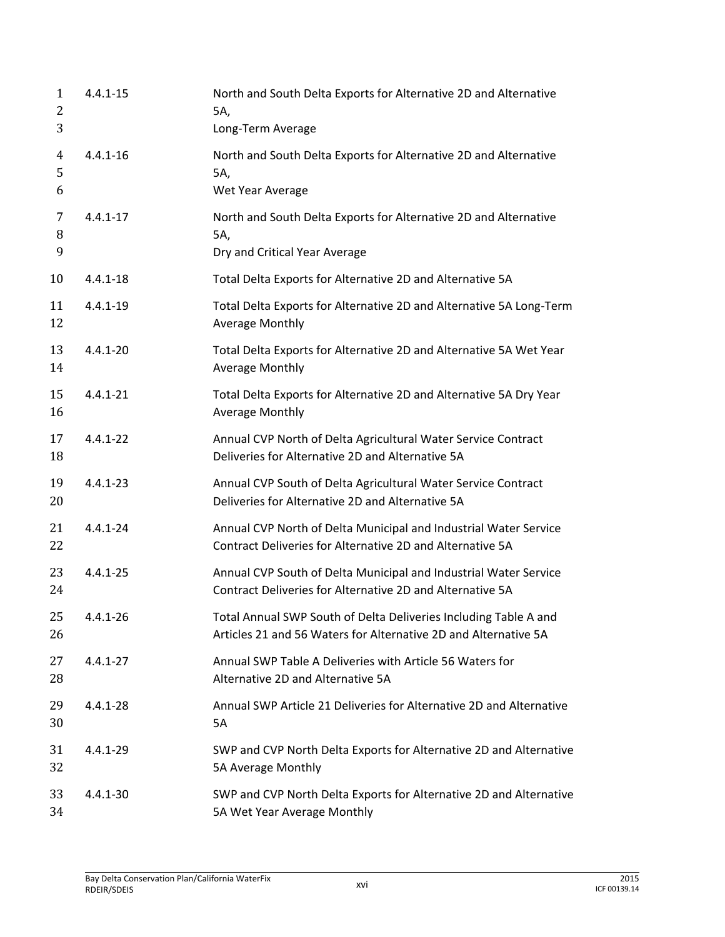| 1<br>2<br>3              | $4.4.1 - 15$ | North and South Delta Exports for Alternative 2D and Alternative<br>5A,<br>Long-Term Average                                        |
|--------------------------|--------------|-------------------------------------------------------------------------------------------------------------------------------------|
| $\overline{4}$<br>5<br>6 | $4.4.1 - 16$ | North and South Delta Exports for Alternative 2D and Alternative<br>5A,<br>Wet Year Average                                         |
| 7<br>8<br>9              | $4.4.1 - 17$ | North and South Delta Exports for Alternative 2D and Alternative<br>5A,<br>Dry and Critical Year Average                            |
| 10                       | $4.4.1 - 18$ | Total Delta Exports for Alternative 2D and Alternative 5A                                                                           |
| 11<br>12                 | $4.4.1 - 19$ | Total Delta Exports for Alternative 2D and Alternative 5A Long-Term<br><b>Average Monthly</b>                                       |
| 13<br>14                 | $4.4.1 - 20$ | Total Delta Exports for Alternative 2D and Alternative 5A Wet Year<br><b>Average Monthly</b>                                        |
| 15<br>16                 | $4.4.1 - 21$ | Total Delta Exports for Alternative 2D and Alternative 5A Dry Year<br>Average Monthly                                               |
| 17<br>18                 | $4.4.1 - 22$ | Annual CVP North of Delta Agricultural Water Service Contract<br>Deliveries for Alternative 2D and Alternative 5A                   |
| 19<br>20                 | $4.4.1 - 23$ | Annual CVP South of Delta Agricultural Water Service Contract<br>Deliveries for Alternative 2D and Alternative 5A                   |
| 21<br>22                 | $4.4.1 - 24$ | Annual CVP North of Delta Municipal and Industrial Water Service<br>Contract Deliveries for Alternative 2D and Alternative 5A       |
| 23<br>24                 | $4.4.1 - 25$ | Annual CVP South of Delta Municipal and Industrial Water Service<br>Contract Deliveries for Alternative 2D and Alternative 5A       |
| 25<br>26                 | $4.4.1 - 26$ | Total Annual SWP South of Delta Deliveries Including Table A and<br>Articles 21 and 56 Waters for Alternative 2D and Alternative 5A |
| 27<br>28                 | $4.4.1 - 27$ | Annual SWP Table A Deliveries with Article 56 Waters for<br>Alternative 2D and Alternative 5A                                       |
| 29<br>30                 | $4.4.1 - 28$ | Annual SWP Article 21 Deliveries for Alternative 2D and Alternative<br><b>5A</b>                                                    |
| 31<br>32                 | $4.4.1 - 29$ | SWP and CVP North Delta Exports for Alternative 2D and Alternative<br>5A Average Monthly                                            |
| 33<br>34                 | $4.4.1 - 30$ | SWP and CVP North Delta Exports for Alternative 2D and Alternative<br>5A Wet Year Average Monthly                                   |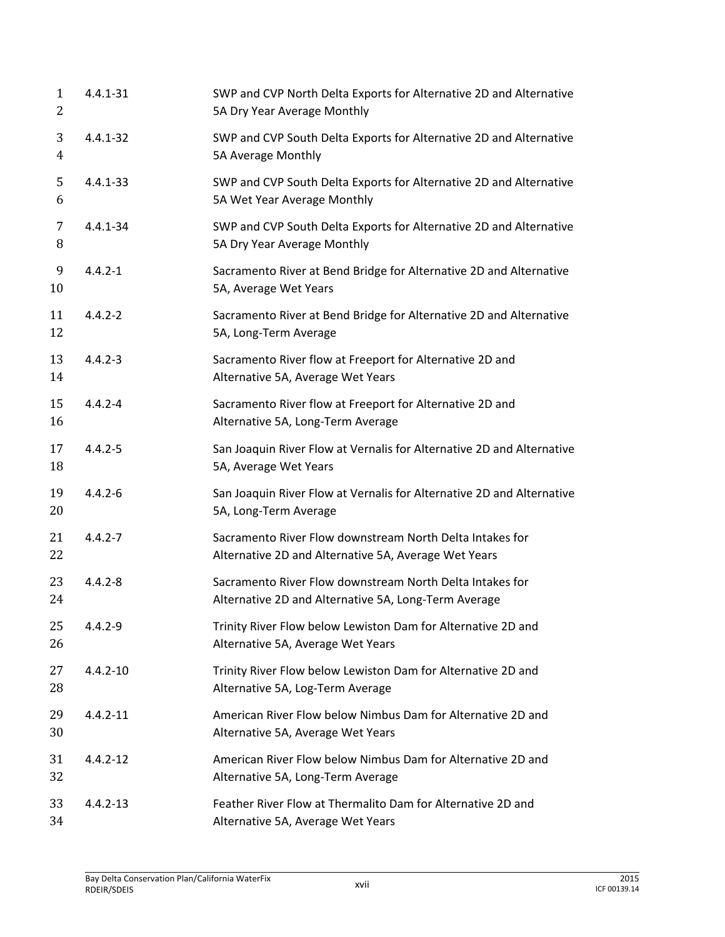| $\mathbf{1}$<br>2 | $4.4.1 - 31$ | SWP and CVP North Delta Exports for Alternative 2D and Alternative<br>5A Dry Year Average Monthly                |
|-------------------|--------------|------------------------------------------------------------------------------------------------------------------|
| 3<br>4            | $4.4.1 - 32$ | SWP and CVP South Delta Exports for Alternative 2D and Alternative<br>5A Average Monthly                         |
| 5<br>6            | $4.4.1 - 33$ | SWP and CVP South Delta Exports for Alternative 2D and Alternative<br>5A Wet Year Average Monthly                |
| 7<br>8            | $4.4.1 - 34$ | SWP and CVP South Delta Exports for Alternative 2D and Alternative<br>5A Dry Year Average Monthly                |
| 9<br>10           | $4.4.2 - 1$  | Sacramento River at Bend Bridge for Alternative 2D and Alternative<br>5A, Average Wet Years                      |
| 11<br>12          | $4.4.2 - 2$  | Sacramento River at Bend Bridge for Alternative 2D and Alternative<br>5A, Long-Term Average                      |
| 13<br>14          | $4.4.2 - 3$  | Sacramento River flow at Freeport for Alternative 2D and<br>Alternative 5A, Average Wet Years                    |
| 15<br>16          | $4.4.2 - 4$  | Sacramento River flow at Freeport for Alternative 2D and<br>Alternative 5A, Long-Term Average                    |
| 17<br>18          | $4.4.2 - 5$  | San Joaquin River Flow at Vernalis for Alternative 2D and Alternative<br>5A, Average Wet Years                   |
| 19<br>20          | $4.4.2 - 6$  | San Joaquin River Flow at Vernalis for Alternative 2D and Alternative<br>5A, Long-Term Average                   |
| 21<br>22          | $4.4.2 - 7$  | Sacramento River Flow downstream North Delta Intakes for<br>Alternative 2D and Alternative 5A, Average Wet Years |
| 23<br>24          | $4.4.2 - 8$  | Sacramento River Flow downstream North Delta Intakes for<br>Alternative 2D and Alternative 5A, Long-Term Average |
| 25<br>26          | $4.4.2 - 9$  | Trinity River Flow below Lewiston Dam for Alternative 2D and<br>Alternative 5A, Average Wet Years                |
| 27<br>28          | $4.4.2 - 10$ | Trinity River Flow below Lewiston Dam for Alternative 2D and<br>Alternative 5A, Log-Term Average                 |
| 29<br>30          | $4.4.2 - 11$ | American River Flow below Nimbus Dam for Alternative 2D and<br>Alternative 5A, Average Wet Years                 |
| 31<br>32          | $4.4.2 - 12$ | American River Flow below Nimbus Dam for Alternative 2D and<br>Alternative 5A, Long-Term Average                 |
| 33<br>34          | $4.4.2 - 13$ | Feather River Flow at Thermalito Dam for Alternative 2D and<br>Alternative 5A, Average Wet Years                 |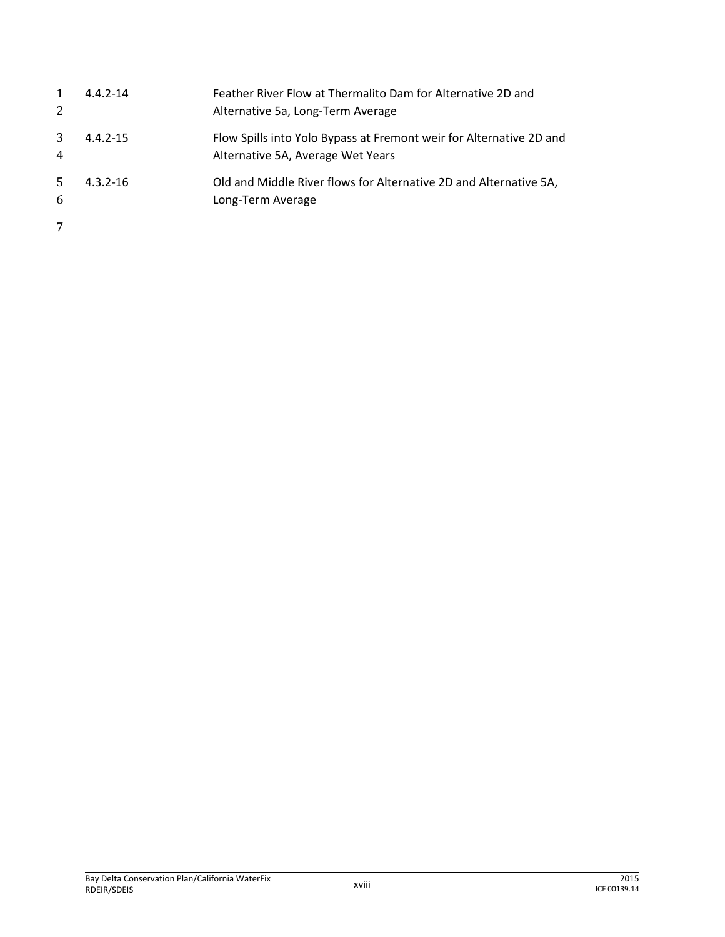| 1<br>2              | $4.4.2 - 14$ | Feather River Flow at Thermalito Dam for Alternative 2D and<br>Alternative 5a, Long-Term Average         |
|---------------------|--------------|----------------------------------------------------------------------------------------------------------|
| 3<br>$\overline{4}$ | $4.4.2 - 15$ | Flow Spills into Yolo Bypass at Fremont weir for Alternative 2D and<br>Alternative 5A, Average Wet Years |
| 5.<br>6             | $4.3.2 - 16$ | Old and Middle River flows for Alternative 2D and Alternative 5A,<br>Long-Term Average                   |
| 7                   |              |                                                                                                          |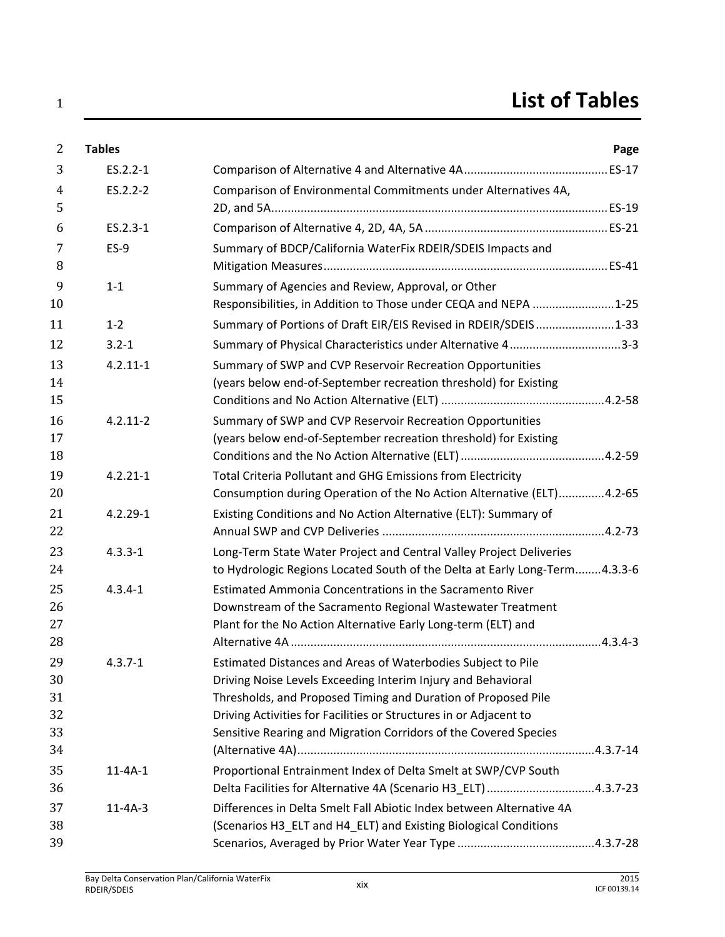| $\overline{2}$ | <b>Tables</b> |                                                                            | Page |
|----------------|---------------|----------------------------------------------------------------------------|------|
| 3              | ES.2.2-1      |                                                                            |      |
| $\overline{4}$ | ES.2.2-2      | Comparison of Environmental Commitments under Alternatives 4A,             |      |
| 5              |               |                                                                            |      |
| 6              | ES.2.3-1      |                                                                            |      |
| 7              | $ES-9$        | Summary of BDCP/California WaterFix RDEIR/SDEIS Impacts and                |      |
| 8              |               |                                                                            |      |
| 9              | $1 - 1$       | Summary of Agencies and Review, Approval, or Other                         |      |
| 10             |               | Responsibilities, in Addition to Those under CEQA and NEPA 1-25            |      |
| 11             | $1 - 2$       | Summary of Portions of Draft EIR/EIS Revised in RDEIR/SDEIS1-33            |      |
| 12             | $3.2 - 1$     | Summary of Physical Characteristics under Alternative 43-3                 |      |
| 13             | $4.2.11 - 1$  | Summary of SWP and CVP Reservoir Recreation Opportunities                  |      |
| 14             |               | (years below end-of-September recreation threshold) for Existing           |      |
| 15             |               |                                                                            |      |
| 16             | $4.2.11 - 2$  | Summary of SWP and CVP Reservoir Recreation Opportunities                  |      |
| 17             |               | (years below end-of-September recreation threshold) for Existing           |      |
| 18             |               |                                                                            |      |
| 19             | $4.2.21 - 1$  | Total Criteria Pollutant and GHG Emissions from Electricity                |      |
| 20             |               | Consumption during Operation of the No Action Alternative (ELT)4.2-65      |      |
| 21             | $4.2.29 - 1$  | Existing Conditions and No Action Alternative (ELT): Summary of            |      |
| 22             |               |                                                                            |      |
| 23             | $4.3.3 - 1$   | Long-Term State Water Project and Central Valley Project Deliveries        |      |
| 24             |               | to Hydrologic Regions Located South of the Delta at Early Long-Term4.3.3-6 |      |
| 25             | $4.3.4 - 1$   | Estimated Ammonia Concentrations in the Sacramento River                   |      |
| 26             |               | Downstream of the Sacramento Regional Wastewater Treatment                 |      |
| 27             |               | Plant for the No Action Alternative Early Long-term (ELT) and              |      |
| 28             |               |                                                                            |      |
| 29             | $4.3.7 - 1$   | Estimated Distances and Areas of Waterbodies Subject to Pile               |      |
| 30             |               | Driving Noise Levels Exceeding Interim Injury and Behavioral               |      |
| 31             |               | Thresholds, and Proposed Timing and Duration of Proposed Pile              |      |
| 32             |               | Driving Activities for Facilities or Structures in or Adjacent to          |      |
| 33             |               | Sensitive Rearing and Migration Corridors of the Covered Species           |      |
| 34             |               |                                                                            |      |
| 35             | $11 - 4A - 1$ | Proportional Entrainment Index of Delta Smelt at SWP/CVP South             |      |
| 36             |               | Delta Facilities for Alternative 4A (Scenario H3_ELT) 4.3.7-23             |      |
| 37             | $11 - 4A - 3$ | Differences in Delta Smelt Fall Abiotic Index between Alternative 4A       |      |
| 38             |               | (Scenarios H3_ELT and H4_ELT) and Existing Biological Conditions           |      |
| 39             |               |                                                                            |      |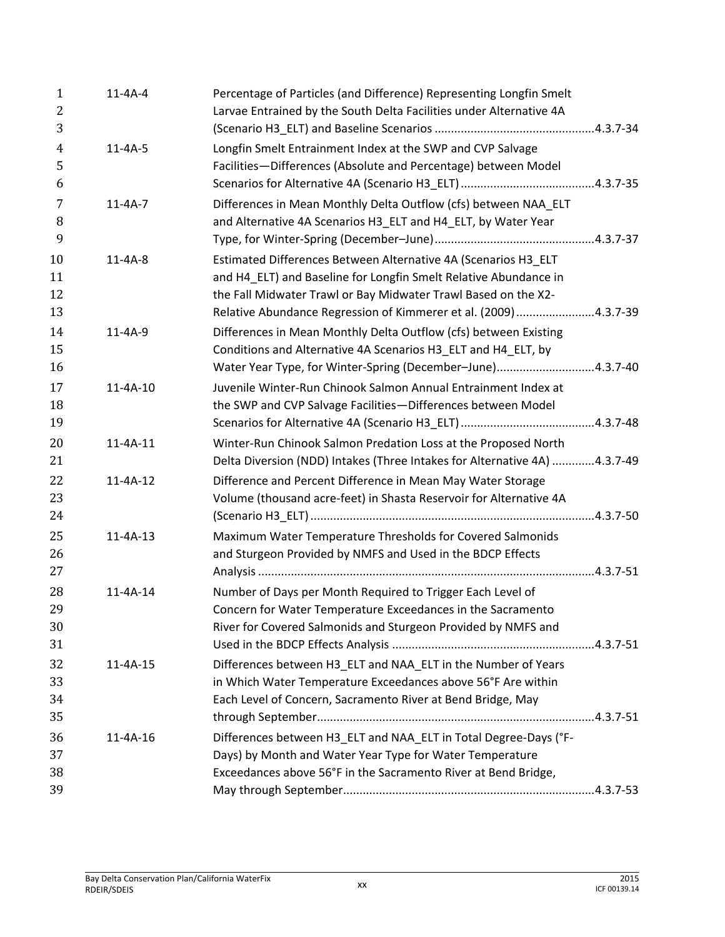| $\mathbf{1}$<br>$\overline{2}$ | $11 - 4A - 4$  | Percentage of Particles (and Difference) Representing Longfin Smelt<br>Larvae Entrained by the South Delta Facilities under Alternative 4A                                                                                                                          |  |
|--------------------------------|----------------|---------------------------------------------------------------------------------------------------------------------------------------------------------------------------------------------------------------------------------------------------------------------|--|
| 3                              |                |                                                                                                                                                                                                                                                                     |  |
| $\overline{4}$<br>5<br>6       | $11 - 4A - 5$  | Longfin Smelt Entrainment Index at the SWP and CVP Salvage<br>Facilities-Differences (Absolute and Percentage) between Model                                                                                                                                        |  |
| 7<br>8<br>9                    | $11 - 4A - 7$  | Differences in Mean Monthly Delta Outflow (cfs) between NAA ELT<br>and Alternative 4A Scenarios H3_ELT and H4_ELT, by Water Year                                                                                                                                    |  |
| 10<br>11<br>12                 | $11 - 4A - 8$  | Estimated Differences Between Alternative 4A (Scenarios H3 ELT<br>and H4_ELT) and Baseline for Longfin Smelt Relative Abundance in<br>the Fall Midwater Trawl or Bay Midwater Trawl Based on the X2-                                                                |  |
| 13<br>14<br>15<br>16           | $11 - 4A - 9$  | Relative Abundance Regression of Kimmerer et al. (2009) 4.3.7-39<br>Differences in Mean Monthly Delta Outflow (cfs) between Existing<br>Conditions and Alternative 4A Scenarios H3_ELT and H4_ELT, by<br>Water Year Type, for Winter-Spring (December-June)4.3.7-40 |  |
| 17<br>18<br>19                 | $11 - 4A - 10$ | Juvenile Winter-Run Chinook Salmon Annual Entrainment Index at<br>the SWP and CVP Salvage Facilities-Differences between Model                                                                                                                                      |  |
| 20<br>21                       | $11 - 4A - 11$ | Winter-Run Chinook Salmon Predation Loss at the Proposed North<br>Delta Diversion (NDD) Intakes (Three Intakes for Alternative 4A) 4.3.7-49                                                                                                                         |  |
| 22<br>23<br>24                 | $11 - 4A - 12$ | Difference and Percent Difference in Mean May Water Storage<br>Volume (thousand acre-feet) in Shasta Reservoir for Alternative 4A                                                                                                                                   |  |
| 25<br>26<br>27                 | $11 - 4A - 13$ | Maximum Water Temperature Thresholds for Covered Salmonids<br>and Sturgeon Provided by NMFS and Used in the BDCP Effects                                                                                                                                            |  |
| 28<br>29<br>30<br>31           | 11-4A-14       | Number of Days per Month Required to Trigger Each Level of<br>Concern for Water Temperature Exceedances in the Sacramento<br>River for Covered Salmonids and Sturgeon Provided by NMFS and                                                                          |  |
| 32<br>33<br>34<br>35           | $11 - 4A - 15$ | Differences between H3_ELT and NAA_ELT in the Number of Years<br>in Which Water Temperature Exceedances above 56°F Are within<br>Each Level of Concern, Sacramento River at Bend Bridge, May                                                                        |  |
| 36<br>37<br>38<br>39           | $11 - 4A - 16$ | Differences between H3_ELT and NAA_ELT in Total Degree-Days (°F-<br>Days) by Month and Water Year Type for Water Temperature<br>Exceedances above 56°F in the Sacramento River at Bend Bridge,                                                                      |  |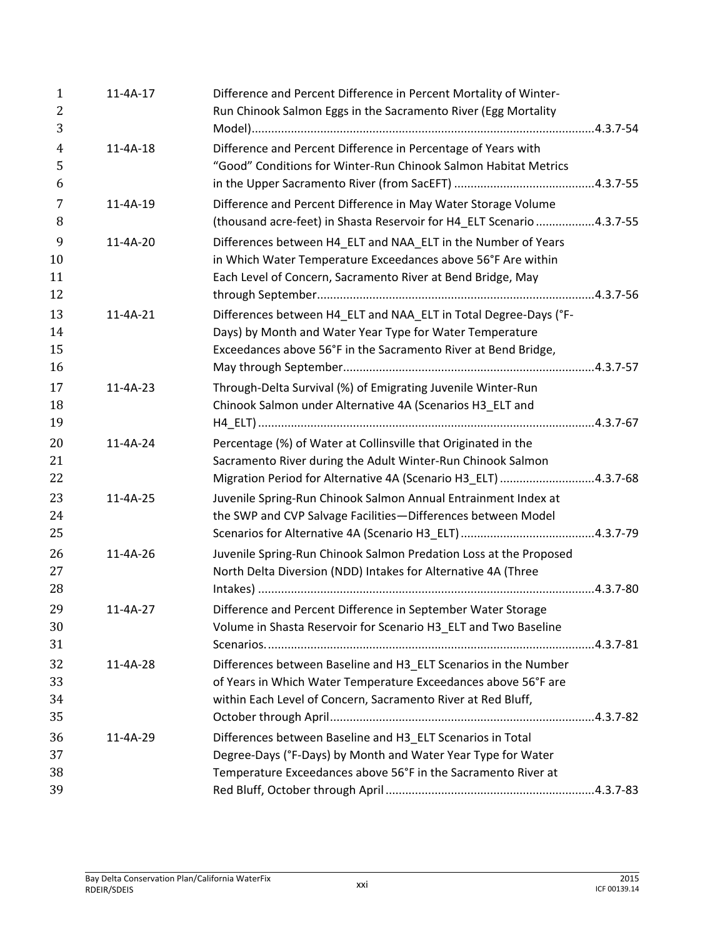| 1<br>2<br>3              | 11-4A-17       | Difference and Percent Difference in Percent Mortality of Winter-<br>Run Chinook Salmon Eggs in the Sacramento River (Egg Mortality                                                               |  |
|--------------------------|----------------|---------------------------------------------------------------------------------------------------------------------------------------------------------------------------------------------------|--|
| $\overline{4}$<br>5<br>6 | 11-4A-18       | Difference and Percent Difference in Percentage of Years with<br>"Good" Conditions for Winter-Run Chinook Salmon Habitat Metrics                                                                  |  |
| 7<br>8                   | 11-4A-19       | Difference and Percent Difference in May Water Storage Volume<br>(thousand acre-feet) in Shasta Reservoir for H4_ELT Scenario 4.3.7-55                                                            |  |
| 9<br>10<br>11<br>12      | $11 - 4A - 20$ | Differences between H4_ELT and NAA_ELT in the Number of Years<br>in Which Water Temperature Exceedances above 56°F Are within<br>Each Level of Concern, Sacramento River at Bend Bridge, May      |  |
| 13<br>14<br>15<br>16     | 11-4A-21       | Differences between H4_ELT and NAA_ELT in Total Degree-Days (°F-<br>Days) by Month and Water Year Type for Water Temperature<br>Exceedances above 56°F in the Sacramento River at Bend Bridge,    |  |
| 17<br>18<br>19           | $11 - 4A - 23$ | Through-Delta Survival (%) of Emigrating Juvenile Winter-Run<br>Chinook Salmon under Alternative 4A (Scenarios H3_ELT and                                                                         |  |
| 20<br>21<br>22           | 11-4A-24       | Percentage (%) of Water at Collinsville that Originated in the<br>Sacramento River during the Adult Winter-Run Chinook Salmon<br>Migration Period for Alternative 4A (Scenario H3_ELT) 4.3.7-68   |  |
| 23<br>24<br>25           | 11-4A-25       | Juvenile Spring-Run Chinook Salmon Annual Entrainment Index at<br>the SWP and CVP Salvage Facilities-Differences between Model                                                                    |  |
| 26<br>27<br>28           | $11 - 4A - 26$ | Juvenile Spring-Run Chinook Salmon Predation Loss at the Proposed<br>North Delta Diversion (NDD) Intakes for Alternative 4A (Three                                                                |  |
| 29<br>30<br>31           | 11-4A-27       | Difference and Percent Difference in September Water Storage<br>Volume in Shasta Reservoir for Scenario H3_ELT and Two Baseline                                                                   |  |
| 32<br>33<br>34<br>35     | 11-4A-28       | Differences between Baseline and H3_ELT Scenarios in the Number<br>of Years in Which Water Temperature Exceedances above 56°F are<br>within Each Level of Concern, Sacramento River at Red Bluff, |  |
| 36<br>37<br>38<br>39     | 11-4A-29       | Differences between Baseline and H3_ELT Scenarios in Total<br>Degree-Days (°F-Days) by Month and Water Year Type for Water<br>Temperature Exceedances above 56°F in the Sacramento River at       |  |
|                          |                |                                                                                                                                                                                                   |  |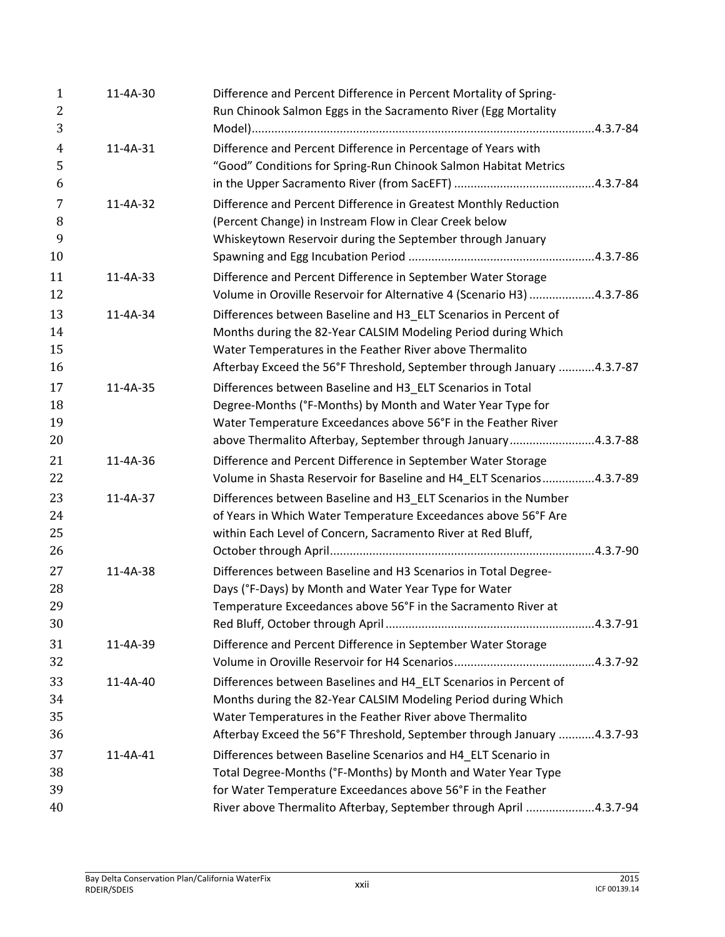| 1<br>2         | $11 - 4A - 30$ | Difference and Percent Difference in Percent Mortality of Spring-<br>Run Chinook Salmon Eggs in the Sacramento River (Egg Mortality   |  |
|----------------|----------------|---------------------------------------------------------------------------------------------------------------------------------------|--|
| 3              |                |                                                                                                                                       |  |
| $\overline{4}$ | $11 - 4A - 31$ | Difference and Percent Difference in Percentage of Years with                                                                         |  |
| 5              |                | "Good" Conditions for Spring-Run Chinook Salmon Habitat Metrics                                                                       |  |
| 6              |                |                                                                                                                                       |  |
| 7              | 11-4A-32       | Difference and Percent Difference in Greatest Monthly Reduction                                                                       |  |
| 8              |                | (Percent Change) in Instream Flow in Clear Creek below                                                                                |  |
| 9              |                | Whiskeytown Reservoir during the September through January                                                                            |  |
| 10             |                |                                                                                                                                       |  |
| 11<br>12       | 11-4A-33       | Difference and Percent Difference in September Water Storage<br>Volume in Oroville Reservoir for Alternative 4 (Scenario H3) 4.3.7-86 |  |
| 13             | 11-4A-34       | Differences between Baseline and H3_ELT Scenarios in Percent of                                                                       |  |
| 14             |                | Months during the 82-Year CALSIM Modeling Period during Which                                                                         |  |
| 15             |                | Water Temperatures in the Feather River above Thermalito                                                                              |  |
| 16             |                | Afterbay Exceed the 56°F Threshold, September through January 4.3.7-87                                                                |  |
| 17             | 11-4A-35       | Differences between Baseline and H3_ELT Scenarios in Total                                                                            |  |
| 18             |                | Degree-Months (°F-Months) by Month and Water Year Type for                                                                            |  |
| 19             |                | Water Temperature Exceedances above 56°F in the Feather River                                                                         |  |
| 20             |                | above Thermalito Afterbay, September through January4.3.7-88                                                                          |  |
| 21<br>22       | 11-4A-36       | Difference and Percent Difference in September Water Storage<br>Volume in Shasta Reservoir for Baseline and H4_ELT Scenarios4.3.7-89  |  |
| 23             | 11-4A-37       | Differences between Baseline and H3_ELT Scenarios in the Number                                                                       |  |
| 24             |                | of Years in Which Water Temperature Exceedances above 56°F Are                                                                        |  |
| 25             |                | within Each Level of Concern, Sacramento River at Red Bluff,                                                                          |  |
| 26             |                |                                                                                                                                       |  |
| 27             | $11 - 4A - 38$ | Differences between Baseline and H3 Scenarios in Total Degree-                                                                        |  |
| 28             |                | Days (°F-Days) by Month and Water Year Type for Water                                                                                 |  |
| 29             |                | Temperature Exceedances above 56°F in the Sacramento River at                                                                         |  |
| 30             |                |                                                                                                                                       |  |
| 31<br>32       | 11-4A-39       | Difference and Percent Difference in September Water Storage                                                                          |  |
| 33             | 11-4A-40       | Differences between Baselines and H4_ELT Scenarios in Percent of                                                                      |  |
| 34             |                | Months during the 82-Year CALSIM Modeling Period during Which                                                                         |  |
| 35             |                | Water Temperatures in the Feather River above Thermalito                                                                              |  |
| 36             |                | Afterbay Exceed the 56°F Threshold, September through January 4.3.7-93                                                                |  |
| 37             | 11-4A-41       | Differences between Baseline Scenarios and H4 ELT Scenario in                                                                         |  |
| 38             |                | Total Degree-Months (°F-Months) by Month and Water Year Type                                                                          |  |
| 39             |                | for Water Temperature Exceedances above 56°F in the Feather                                                                           |  |
| 40             |                | River above Thermalito Afterbay, September through April 4.3.7-94                                                                     |  |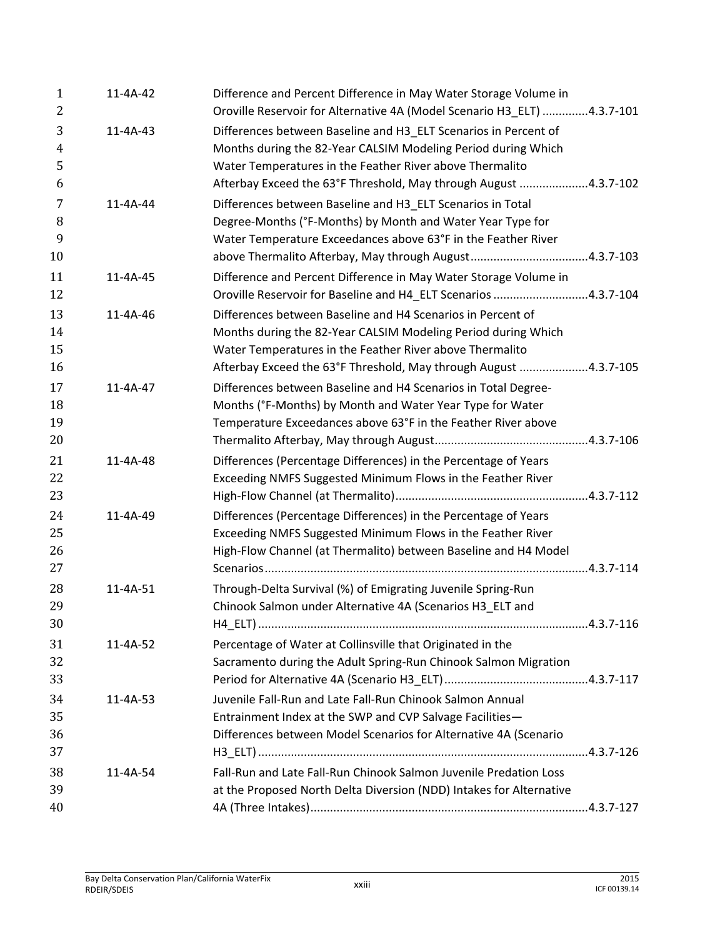| $\mathbf{1}$<br>2             | 11-4A-42       | Difference and Percent Difference in May Water Storage Volume in<br>Oroville Reservoir for Alternative 4A (Model Scenario H3_ELT) 4.3.7-101                                                                                                                      |  |
|-------------------------------|----------------|------------------------------------------------------------------------------------------------------------------------------------------------------------------------------------------------------------------------------------------------------------------|--|
| 3<br>$\overline{4}$<br>5<br>6 | 11-4A-43       | Differences between Baseline and H3 ELT Scenarios in Percent of<br>Months during the 82-Year CALSIM Modeling Period during Which<br>Water Temperatures in the Feather River above Thermalito<br>Afterbay Exceed the 63°F Threshold, May through August 4.3.7-102 |  |
| 7<br>8<br>9<br>10             | $11 - 4A - 44$ | Differences between Baseline and H3_ELT Scenarios in Total<br>Degree-Months (°F-Months) by Month and Water Year Type for<br>Water Temperature Exceedances above 63°F in the Feather River                                                                        |  |
| 11<br>12                      | 11-4A-45       | Difference and Percent Difference in May Water Storage Volume in<br>Oroville Reservoir for Baseline and H4_ELT Scenarios 4.3.7-104                                                                                                                               |  |
| 13<br>14<br>15<br>16          | 11-4A-46       | Differences between Baseline and H4 Scenarios in Percent of<br>Months during the 82-Year CALSIM Modeling Period during Which<br>Water Temperatures in the Feather River above Thermalito<br>Afterbay Exceed the 63°F Threshold, May through August 4.3.7-105     |  |
| 17<br>18<br>19<br>20          | $11 - 4A - 47$ | Differences between Baseline and H4 Scenarios in Total Degree-<br>Months (°F-Months) by Month and Water Year Type for Water<br>Temperature Exceedances above 63°F in the Feather River above                                                                     |  |
| 21<br>22<br>23                | 11-4A-48       | Differences (Percentage Differences) in the Percentage of Years<br>Exceeding NMFS Suggested Minimum Flows in the Feather River                                                                                                                                   |  |
| 24<br>25<br>26<br>27          | 11-4A-49       | Differences (Percentage Differences) in the Percentage of Years<br>Exceeding NMFS Suggested Minimum Flows in the Feather River<br>High-Flow Channel (at Thermalito) between Baseline and H4 Model                                                                |  |
| 28<br>29<br>30                | 11-4A-51       | Through-Delta Survival (%) of Emigrating Juvenile Spring-Run<br>Chinook Salmon under Alternative 4A (Scenarios H3_ELT and                                                                                                                                        |  |
| 31<br>32<br>33                | 11-4A-52       | Percentage of Water at Collinsville that Originated in the<br>Sacramento during the Adult Spring-Run Chinook Salmon Migration                                                                                                                                    |  |
| 34<br>35<br>36<br>37          | 11-4A-53       | Juvenile Fall-Run and Late Fall-Run Chinook Salmon Annual<br>Entrainment Index at the SWP and CVP Salvage Facilities-<br>Differences between Model Scenarios for Alternative 4A (Scenario                                                                        |  |
| 38<br>39                      | 11-4A-54       | Fall-Run and Late Fall-Run Chinook Salmon Juvenile Predation Loss<br>at the Proposed North Delta Diversion (NDD) Intakes for Alternative                                                                                                                         |  |
| 40                            |                |                                                                                                                                                                                                                                                                  |  |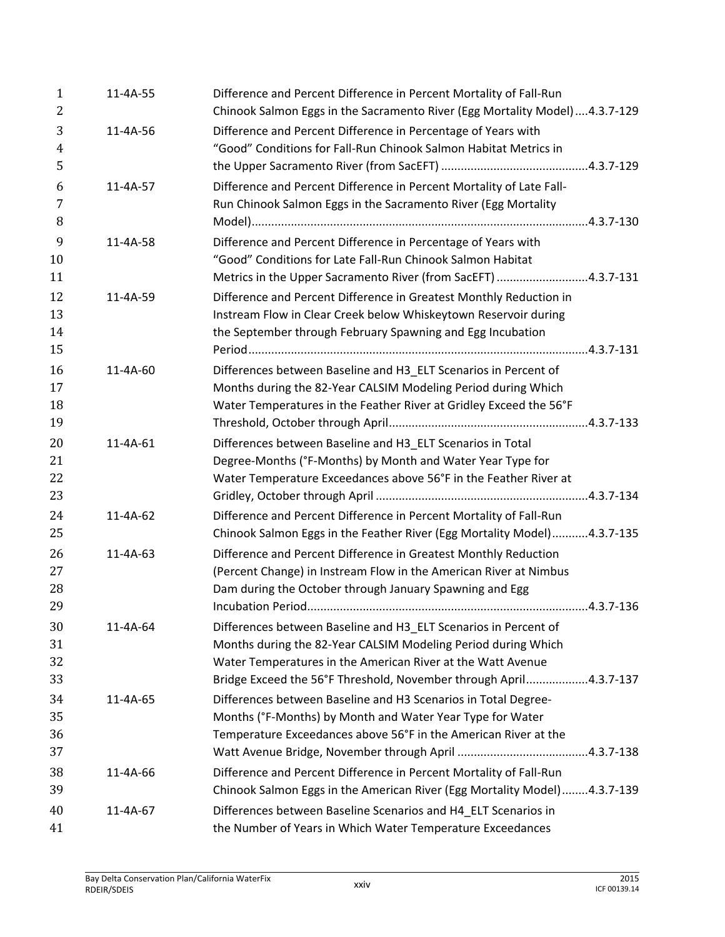| $\mathbf{1}$<br>2          | 11-4A-55 | Difference and Percent Difference in Percent Mortality of Fall-Run<br>Chinook Salmon Eggs in the Sacramento River (Egg Mortality Model)  4.3.7-129                                                                                                                   |
|----------------------------|----------|----------------------------------------------------------------------------------------------------------------------------------------------------------------------------------------------------------------------------------------------------------------------|
| 3<br>$\overline{4}$<br>5   | 11-4A-56 | Difference and Percent Difference in Percentage of Years with<br>"Good" Conditions for Fall-Run Chinook Salmon Habitat Metrics in                                                                                                                                    |
| 6<br>7<br>8                | 11-4A-57 | Difference and Percent Difference in Percent Mortality of Late Fall-<br>Run Chinook Salmon Eggs in the Sacramento River (Egg Mortality                                                                                                                               |
| 9<br>10<br>11              | 11-4A-58 | Difference and Percent Difference in Percentage of Years with<br>"Good" Conditions for Late Fall-Run Chinook Salmon Habitat<br>Metrics in the Upper Sacramento River (from SacEFT) 4.3.7-131                                                                         |
| 12<br>13<br>14             | 11-4A-59 | Difference and Percent Difference in Greatest Monthly Reduction in<br>Instream Flow in Clear Creek below Whiskeytown Reservoir during<br>the September through February Spawning and Egg Incubation                                                                  |
| 15<br>16<br>17<br>18       | 11-4A-60 | Differences between Baseline and H3_ELT Scenarios in Percent of<br>Months during the 82-Year CALSIM Modeling Period during Which<br>Water Temperatures in the Feather River at Gridley Exceed the 56°F                                                               |
| 19<br>20<br>21<br>22<br>23 | 11-4A-61 | Differences between Baseline and H3_ELT Scenarios in Total<br>Degree-Months (°F-Months) by Month and Water Year Type for<br>Water Temperature Exceedances above 56°F in the Feather River at                                                                         |
| 24<br>25                   | 11-4A-62 | Difference and Percent Difference in Percent Mortality of Fall-Run<br>Chinook Salmon Eggs in the Feather River (Egg Mortality Model)4.3.7-135                                                                                                                        |
| 26<br>27<br>28<br>29       | 11-4A-63 | Difference and Percent Difference in Greatest Monthly Reduction<br>(Percent Change) in Instream Flow in the American River at Nimbus<br>Dam during the October through January Spawning and Egg                                                                      |
| 30<br>31<br>32<br>33       | 11-4A-64 | Differences between Baseline and H3 ELT Scenarios in Percent of<br>Months during the 82-Year CALSIM Modeling Period during Which<br>Water Temperatures in the American River at the Watt Avenue<br>Bridge Exceed the 56°F Threshold, November through April4.3.7-137 |
| 34<br>35<br>36<br>37       | 11-4A-65 | Differences between Baseline and H3 Scenarios in Total Degree-<br>Months (°F-Months) by Month and Water Year Type for Water<br>Temperature Exceedances above 56°F in the American River at the                                                                       |
| 38<br>39                   | 11-4A-66 | Difference and Percent Difference in Percent Mortality of Fall-Run<br>Chinook Salmon Eggs in the American River (Egg Mortality Model)4.3.7-139                                                                                                                       |
| 40<br>41                   | 11-4A-67 | Differences between Baseline Scenarios and H4_ELT Scenarios in<br>the Number of Years in Which Water Temperature Exceedances                                                                                                                                         |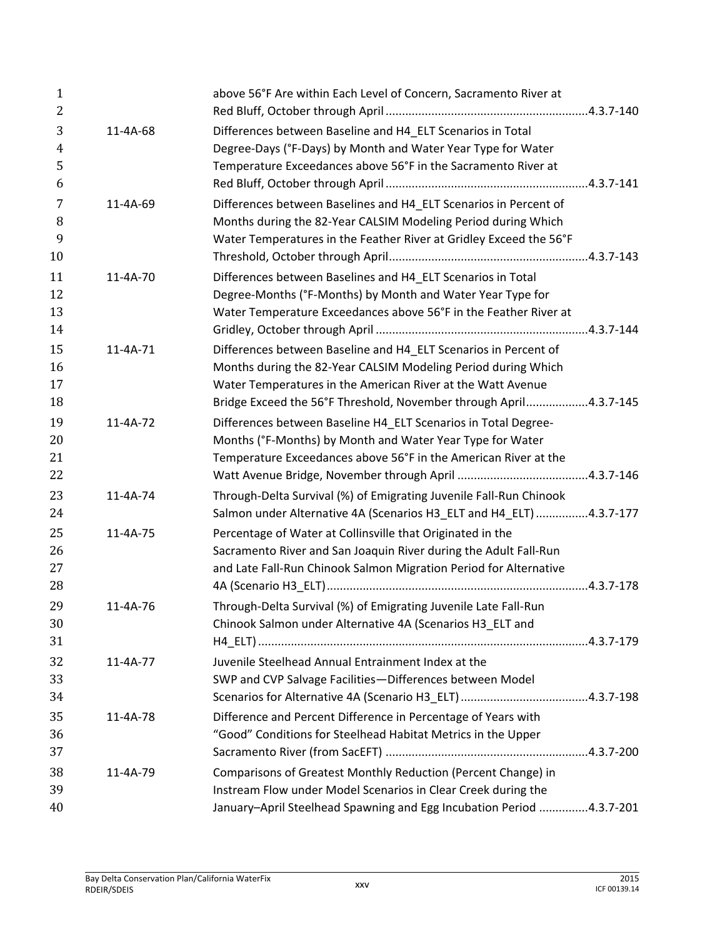|          | above 56°F Are within Each Level of Concern, Sacramento River at                                                                                                                                                                                                    |
|----------|---------------------------------------------------------------------------------------------------------------------------------------------------------------------------------------------------------------------------------------------------------------------|
| 11-4A-68 | Differences between Baseline and H4_ELT Scenarios in Total<br>Degree-Days (°F-Days) by Month and Water Year Type for Water<br>Temperature Exceedances above 56°F in the Sacramento River at                                                                         |
| 11-4A-69 | Differences between Baselines and H4_ELT Scenarios in Percent of<br>Months during the 82-Year CALSIM Modeling Period during Which<br>Water Temperatures in the Feather River at Gridley Exceed the 56°F                                                             |
| 11-4A-70 | Differences between Baselines and H4_ELT Scenarios in Total<br>Degree-Months (°F-Months) by Month and Water Year Type for<br>Water Temperature Exceedances above 56°F in the Feather River at                                                                       |
| 11-4A-71 | Differences between Baseline and H4_ELT Scenarios in Percent of<br>Months during the 82-Year CALSIM Modeling Period during Which<br>Water Temperatures in the American River at the Watt Avenue                                                                     |
| 11-4A-72 | Bridge Exceed the 56°F Threshold, November through April4.3.7-145<br>Differences between Baseline H4_ELT Scenarios in Total Degree-<br>Months (°F-Months) by Month and Water Year Type for Water<br>Temperature Exceedances above 56°F in the American River at the |
| 11-4A-74 | Through-Delta Survival (%) of Emigrating Juvenile Fall-Run Chinook<br>Salmon under Alternative 4A (Scenarios H3_ELT and H4_ELT) 4.3.7-177                                                                                                                           |
| 11-4A-75 | Percentage of Water at Collinsville that Originated in the<br>Sacramento River and San Joaquin River during the Adult Fall-Run<br>and Late Fall-Run Chinook Salmon Migration Period for Alternative                                                                 |
| 11-4A-76 | Through-Delta Survival (%) of Emigrating Juvenile Late Fall-Run<br>Chinook Salmon under Alternative 4A (Scenarios H3_ELT and                                                                                                                                        |
| 11-4A-77 | Juvenile Steelhead Annual Entrainment Index at the<br>SWP and CVP Salvage Facilities-Differences between Model                                                                                                                                                      |
| 11-4A-78 | Difference and Percent Difference in Percentage of Years with<br>"Good" Conditions for Steelhead Habitat Metrics in the Upper                                                                                                                                       |
| 11-4A-79 | Comparisons of Greatest Monthly Reduction (Percent Change) in<br>Instream Flow under Model Scenarios in Clear Creek during the<br>January-April Steelhead Spawning and Egg Incubation Period 4.3.7-201                                                              |
|          |                                                                                                                                                                                                                                                                     |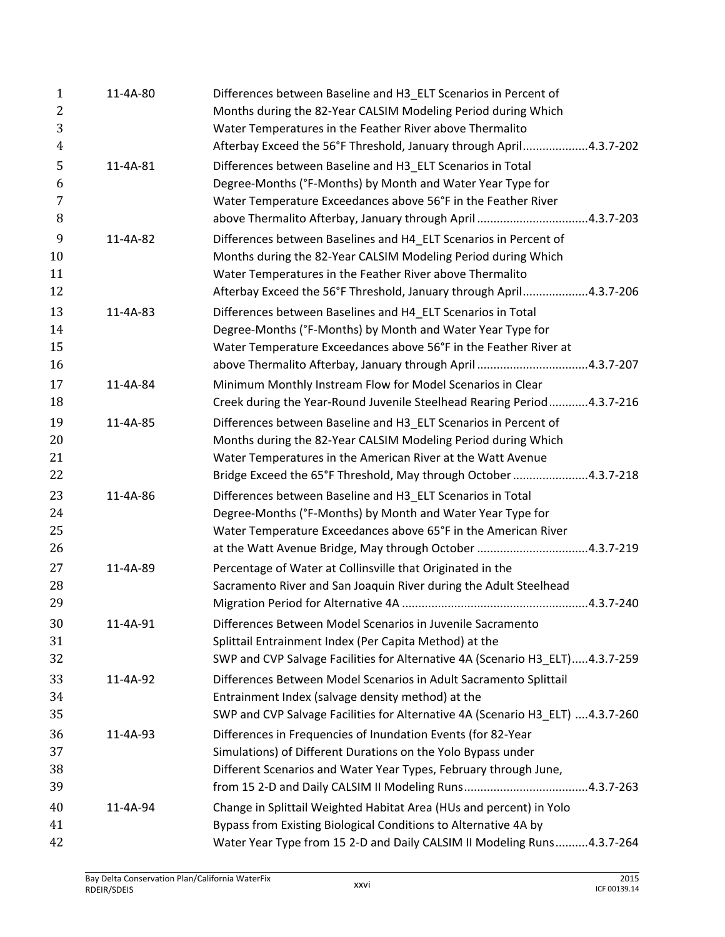| $\mathbf{1}$<br>$\overline{2}$<br>3 | 11-4A-80 | Differences between Baseline and H3 ELT Scenarios in Percent of<br>Months during the 82-Year CALSIM Modeling Period during Which<br>Water Temperatures in the Feather River above Thermalito |
|-------------------------------------|----------|----------------------------------------------------------------------------------------------------------------------------------------------------------------------------------------------|
| 4                                   |          | Afterbay Exceed the 56°F Threshold, January through April4.3.7-202                                                                                                                           |
| 5                                   | 11-4A-81 | Differences between Baseline and H3_ELT Scenarios in Total                                                                                                                                   |
| 6                                   |          | Degree-Months (°F-Months) by Month and Water Year Type for                                                                                                                                   |
| 7                                   |          | Water Temperature Exceedances above 56°F in the Feather River                                                                                                                                |
| 8                                   |          | above Thermalito Afterbay, January through April 4.3.7-203                                                                                                                                   |
| 9                                   | 11-4A-82 | Differences between Baselines and H4_ELT Scenarios in Percent of                                                                                                                             |
| 10                                  |          | Months during the 82-Year CALSIM Modeling Period during Which                                                                                                                                |
| 11                                  |          | Water Temperatures in the Feather River above Thermalito                                                                                                                                     |
| 12                                  |          | Afterbay Exceed the 56°F Threshold, January through April4.3.7-206                                                                                                                           |
| 13                                  | 11-4A-83 | Differences between Baselines and H4_ELT Scenarios in Total                                                                                                                                  |
| 14                                  |          | Degree-Months (°F-Months) by Month and Water Year Type for                                                                                                                                   |
| 15                                  |          | Water Temperature Exceedances above 56°F in the Feather River at                                                                                                                             |
| 16                                  |          | above Thermalito Afterbay, January through April 4.3.7-207                                                                                                                                   |
| 17                                  | 11-4A-84 | Minimum Monthly Instream Flow for Model Scenarios in Clear                                                                                                                                   |
| 18                                  |          | Creek during the Year-Round Juvenile Steelhead Rearing Period4.3.7-216                                                                                                                       |
| 19                                  | 11-4A-85 | Differences between Baseline and H3_ELT Scenarios in Percent of                                                                                                                              |
| 20                                  |          | Months during the 82-Year CALSIM Modeling Period during Which                                                                                                                                |
| 21                                  |          | Water Temperatures in the American River at the Watt Avenue                                                                                                                                  |
| 22                                  |          | Bridge Exceed the 65°F Threshold, May through October 4.3.7-218                                                                                                                              |
| 23                                  | 11-4A-86 | Differences between Baseline and H3_ELT Scenarios in Total                                                                                                                                   |
| 24                                  |          | Degree-Months (°F-Months) by Month and Water Year Type for                                                                                                                                   |
| 25                                  |          | Water Temperature Exceedances above 65°F in the American River                                                                                                                               |
| 26                                  |          | at the Watt Avenue Bridge, May through October 4.3.7-219                                                                                                                                     |
| 27                                  | 11-4A-89 | Percentage of Water at Collinsville that Originated in the                                                                                                                                   |
| 28                                  |          | Sacramento River and San Joaquin River during the Adult Steelhead                                                                                                                            |
| 29                                  |          |                                                                                                                                                                                              |
| 30                                  | 11-4A-91 | Differences Between Model Scenarios in Juvenile Sacramento                                                                                                                                   |
| 31                                  |          | Splittail Entrainment Index (Per Capita Method) at the                                                                                                                                       |
| 32                                  |          | SWP and CVP Salvage Facilities for Alternative 4A (Scenario H3 ELT)4.3.7-259                                                                                                                 |
| 33                                  | 11-4A-92 | Differences Between Model Scenarios in Adult Sacramento Splittail                                                                                                                            |
| 34                                  |          | Entrainment Index (salvage density method) at the                                                                                                                                            |
| 35                                  |          | SWP and CVP Salvage Facilities for Alternative 4A (Scenario H3_ELT) 4.3.7-260                                                                                                                |
| 36                                  | 11-4A-93 | Differences in Frequencies of Inundation Events (for 82-Year                                                                                                                                 |
| 37                                  |          | Simulations) of Different Durations on the Yolo Bypass under                                                                                                                                 |
| 38                                  |          | Different Scenarios and Water Year Types, February through June,                                                                                                                             |
| 39                                  |          |                                                                                                                                                                                              |
| 40                                  | 11-4A-94 | Change in Splittail Weighted Habitat Area (HUs and percent) in Yolo                                                                                                                          |
| 41                                  |          | Bypass from Existing Biological Conditions to Alternative 4A by                                                                                                                              |
| 42                                  |          | Water Year Type from 15 2-D and Daily CALSIM II Modeling Runs4.3.7-264                                                                                                                       |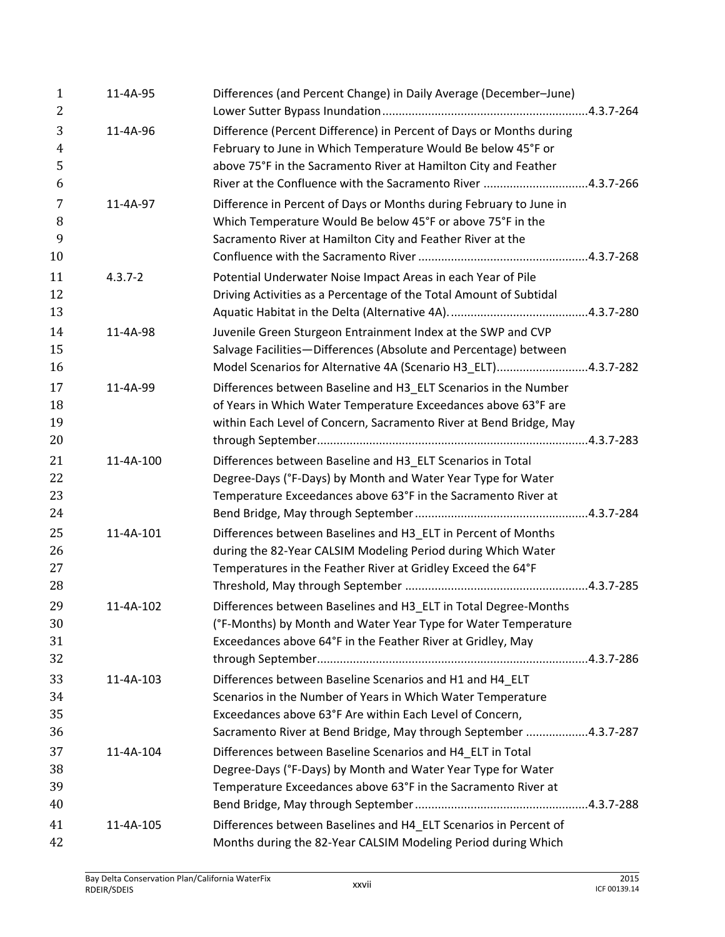| $\mathbf{1}$<br>2 | 11-4A-95    | Differences (and Percent Change) in Daily Average (December-June)   |
|-------------------|-------------|---------------------------------------------------------------------|
| 3                 | 11-4A-96    | Difference (Percent Difference) in Percent of Days or Months during |
| $\overline{4}$    |             | February to June in Which Temperature Would Be below 45°F or        |
| 5                 |             | above 75°F in the Sacramento River at Hamilton City and Feather     |
| 6                 |             | River at the Confluence with the Sacramento River 4.3.7-266         |
| 7                 | 11-4A-97    | Difference in Percent of Days or Months during February to June in  |
| 8                 |             | Which Temperature Would Be below 45°F or above 75°F in the          |
| 9                 |             | Sacramento River at Hamilton City and Feather River at the          |
| 10                |             |                                                                     |
| 11                | $4.3.7 - 2$ | Potential Underwater Noise Impact Areas in each Year of Pile        |
| 12                |             | Driving Activities as a Percentage of the Total Amount of Subtidal  |
| 13                |             |                                                                     |
| 14                | 11-4A-98    | Juvenile Green Sturgeon Entrainment Index at the SWP and CVP        |
| 15                |             | Salvage Facilities-Differences (Absolute and Percentage) between    |
| 16                |             | Model Scenarios for Alternative 4A (Scenario H3_ELT)4.3.7-282       |
| 17                | 11-4A-99    | Differences between Baseline and H3_ELT Scenarios in the Number     |
| 18                |             | of Years in Which Water Temperature Exceedances above 63°F are      |
| 19                |             | within Each Level of Concern, Sacramento River at Bend Bridge, May  |
| 20                |             |                                                                     |
| 21                | 11-4A-100   | Differences between Baseline and H3_ELT Scenarios in Total          |
| 22                |             | Degree-Days (°F-Days) by Month and Water Year Type for Water        |
| 23                |             | Temperature Exceedances above 63°F in the Sacramento River at       |
| 24                |             |                                                                     |
| 25                | 11-4A-101   | Differences between Baselines and H3_ELT in Percent of Months       |
| 26                |             | during the 82-Year CALSIM Modeling Period during Which Water        |
| 27                |             | Temperatures in the Feather River at Gridley Exceed the 64°F        |
| 28                |             |                                                                     |
| 29                | 11-4A-102   | Differences between Baselines and H3_ELT in Total Degree-Months     |
| 30                |             | (°F-Months) by Month and Water Year Type for Water Temperature      |
| 31                |             | Exceedances above 64°F in the Feather River at Gridley, May         |
| 32                |             |                                                                     |
| 33                | 11-4A-103   | Differences between Baseline Scenarios and H1 and H4_ELT            |
| 34                |             | Scenarios in the Number of Years in Which Water Temperature         |
| 35                |             | Exceedances above 63°F Are within Each Level of Concern,            |
| 36                |             | Sacramento River at Bend Bridge, May through September 4.3.7-287    |
| 37                | 11-4A-104   | Differences between Baseline Scenarios and H4 ELT in Total          |
| 38                |             | Degree-Days (°F-Days) by Month and Water Year Type for Water        |
| 39                |             | Temperature Exceedances above 63°F in the Sacramento River at       |
| 40                |             |                                                                     |
| 41                | 11-4A-105   | Differences between Baselines and H4_ELT Scenarios in Percent of    |
| 42                |             | Months during the 82-Year CALSIM Modeling Period during Which       |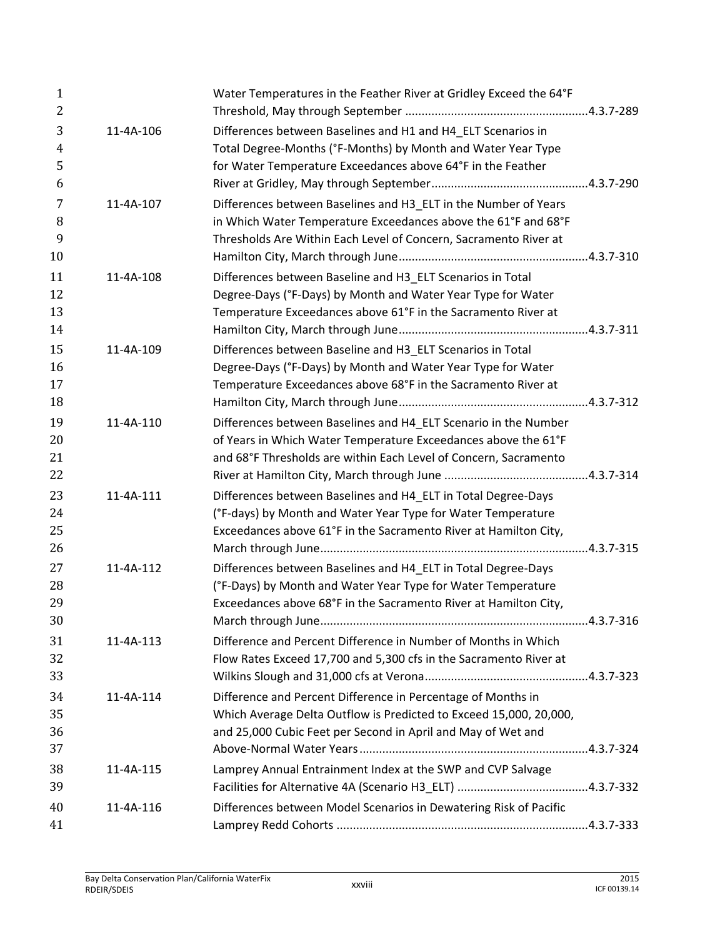| $\mathbf{1}$<br>2             |           | Water Temperatures in the Feather River at Gridley Exceed the 64°F                                                                                                                                    |  |
|-------------------------------|-----------|-------------------------------------------------------------------------------------------------------------------------------------------------------------------------------------------------------|--|
| 3<br>$\overline{4}$<br>5<br>6 | 11-4A-106 | Differences between Baselines and H1 and H4_ELT Scenarios in<br>Total Degree-Months (°F-Months) by Month and Water Year Type<br>for Water Temperature Exceedances above 64°F in the Feather           |  |
| 7<br>8<br>9<br>10             | 11-4A-107 | Differences between Baselines and H3_ELT in the Number of Years<br>in Which Water Temperature Exceedances above the 61°F and 68°F<br>Thresholds Are Within Each Level of Concern, Sacramento River at |  |
| 11<br>12<br>13<br>14          | 11-4A-108 | Differences between Baseline and H3_ELT Scenarios in Total<br>Degree-Days (°F-Days) by Month and Water Year Type for Water<br>Temperature Exceedances above 61°F in the Sacramento River at           |  |
| 15<br>16<br>17<br>18          | 11-4A-109 | Differences between Baseline and H3_ELT Scenarios in Total<br>Degree-Days (°F-Days) by Month and Water Year Type for Water<br>Temperature Exceedances above 68°F in the Sacramento River at           |  |
| 19<br>20<br>21<br>22          | 11-4A-110 | Differences between Baselines and H4_ELT Scenario in the Number<br>of Years in Which Water Temperature Exceedances above the 61°F<br>and 68°F Thresholds are within Each Level of Concern, Sacramento |  |
| 23<br>24<br>25<br>26          | 11-4A-111 | Differences between Baselines and H4_ELT in Total Degree-Days<br>(°F-days) by Month and Water Year Type for Water Temperature<br>Exceedances above 61°F in the Sacramento River at Hamilton City,     |  |
| 27<br>28<br>29<br>30          | 11-4A-112 | Differences between Baselines and H4_ELT in Total Degree-Days<br>(°F-Days) by Month and Water Year Type for Water Temperature<br>Exceedances above 68°F in the Sacramento River at Hamilton City,     |  |
| 31<br>32<br>33                | 11-4A-113 | Difference and Percent Difference in Number of Months in Which<br>Flow Rates Exceed 17,700 and 5,300 cfs in the Sacramento River at                                                                   |  |
| 34<br>35<br>36<br>37          | 11-4A-114 | Difference and Percent Difference in Percentage of Months in<br>Which Average Delta Outflow is Predicted to Exceed 15,000, 20,000,<br>and 25,000 Cubic Feet per Second in April and May of Wet and    |  |
| 38<br>39                      | 11-4A-115 | Lamprey Annual Entrainment Index at the SWP and CVP Salvage                                                                                                                                           |  |
| 40<br>41                      | 11-4A-116 | Differences between Model Scenarios in Dewatering Risk of Pacific                                                                                                                                     |  |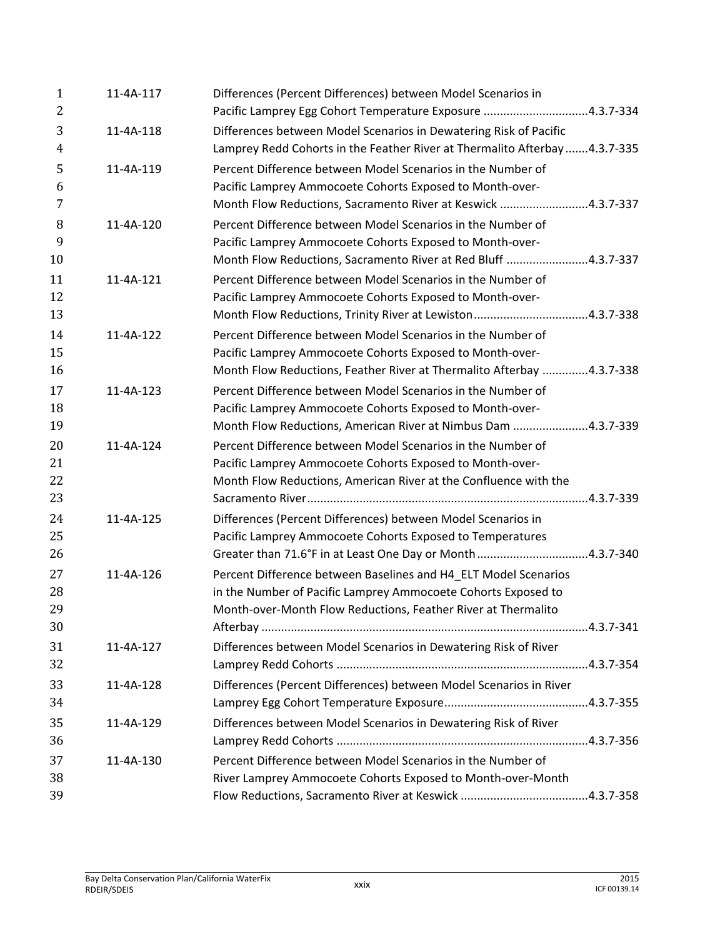| $\mathbf{1}$<br>2    | 11-4A-117 | Differences (Percent Differences) between Model Scenarios in<br>Pacific Lamprey Egg Cohort Temperature Exposure 4.3.7-334                                                                         |  |
|----------------------|-----------|---------------------------------------------------------------------------------------------------------------------------------------------------------------------------------------------------|--|
| 3<br>$\overline{4}$  | 11-4A-118 | Differences between Model Scenarios in Dewatering Risk of Pacific<br>Lamprey Redd Cohorts in the Feather River at Thermalito Afterbay4.3.7-335                                                    |  |
| 5<br>6<br>7          | 11-4A-119 | Percent Difference between Model Scenarios in the Number of<br>Pacific Lamprey Ammocoete Cohorts Exposed to Month-over-<br>Month Flow Reductions, Sacramento River at Keswick 4.3.7-337           |  |
| 8<br>9<br>10         | 11-4A-120 | Percent Difference between Model Scenarios in the Number of<br>Pacific Lamprey Ammocoete Cohorts Exposed to Month-over-<br>Month Flow Reductions, Sacramento River at Red Bluff 4.3.7-337         |  |
| 11<br>12<br>13       | 11-4A-121 | Percent Difference between Model Scenarios in the Number of<br>Pacific Lamprey Ammocoete Cohorts Exposed to Month-over-                                                                           |  |
| 14<br>15<br>16       | 11-4A-122 | Percent Difference between Model Scenarios in the Number of<br>Pacific Lamprey Ammocoete Cohorts Exposed to Month-over-<br>Month Flow Reductions, Feather River at Thermalito Afterbay 4.3.7-338  |  |
| 17<br>18<br>19       | 11-4A-123 | Percent Difference between Model Scenarios in the Number of<br>Pacific Lamprey Ammocoete Cohorts Exposed to Month-over-<br>Month Flow Reductions, American River at Nimbus Dam 4.3.7-339          |  |
| 20<br>21<br>22<br>23 | 11-4A-124 | Percent Difference between Model Scenarios in the Number of<br>Pacific Lamprey Ammocoete Cohorts Exposed to Month-over-<br>Month Flow Reductions, American River at the Confluence with the       |  |
| 24<br>25<br>26       | 11-4A-125 | Differences (Percent Differences) between Model Scenarios in<br>Pacific Lamprey Ammocoete Cohorts Exposed to Temperatures<br>Greater than 71.6°F in at Least One Day or Month4.3.7-340            |  |
| 27<br>28<br>29<br>30 | 11-4A-126 | Percent Difference between Baselines and H4_ELT Model Scenarios<br>in the Number of Pacific Lamprey Ammocoete Cohorts Exposed to<br>Month-over-Month Flow Reductions, Feather River at Thermalito |  |
| 31<br>32             | 11-4A-127 | Differences between Model Scenarios in Dewatering Risk of River                                                                                                                                   |  |
| 33<br>34             | 11-4A-128 | Differences (Percent Differences) between Model Scenarios in River                                                                                                                                |  |
| 35<br>36             | 11-4A-129 | Differences between Model Scenarios in Dewatering Risk of River                                                                                                                                   |  |
| 37<br>38             | 11-4A-130 | Percent Difference between Model Scenarios in the Number of<br>River Lamprey Ammocoete Cohorts Exposed to Month-over-Month                                                                        |  |
| 39                   |           |                                                                                                                                                                                                   |  |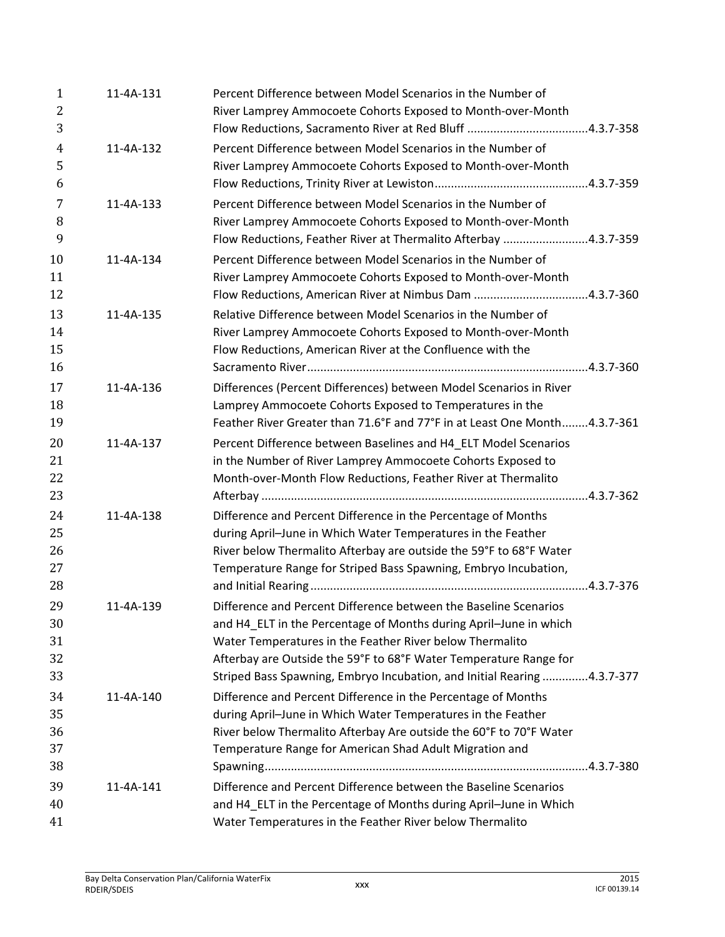| $\mathbf{1}$<br>$\overline{2}$ | 11-4A-131 | Percent Difference between Model Scenarios in the Number of<br>River Lamprey Ammocoete Cohorts Exposed to Month-over-Month |
|--------------------------------|-----------|----------------------------------------------------------------------------------------------------------------------------|
| 3                              |           |                                                                                                                            |
| $\overline{4}$                 | 11-4A-132 | Percent Difference between Model Scenarios in the Number of                                                                |
| 5                              |           | River Lamprey Ammocoete Cohorts Exposed to Month-over-Month                                                                |
| 6                              |           |                                                                                                                            |
| 7                              | 11-4A-133 | Percent Difference between Model Scenarios in the Number of                                                                |
| 8                              |           | River Lamprey Ammocoete Cohorts Exposed to Month-over-Month                                                                |
| 9                              |           | Flow Reductions, Feather River at Thermalito Afterbay 4.3.7-359                                                            |
| 10                             | 11-4A-134 | Percent Difference between Model Scenarios in the Number of                                                                |
| 11                             |           | River Lamprey Ammocoete Cohorts Exposed to Month-over-Month                                                                |
| 12                             |           |                                                                                                                            |
| 13                             | 11-4A-135 | Relative Difference between Model Scenarios in the Number of                                                               |
| 14                             |           | River Lamprey Ammocoete Cohorts Exposed to Month-over-Month                                                                |
| 15                             |           | Flow Reductions, American River at the Confluence with the                                                                 |
| 16                             |           |                                                                                                                            |
| 17                             | 11-4A-136 | Differences (Percent Differences) between Model Scenarios in River                                                         |
| 18                             |           | Lamprey Ammocoete Cohorts Exposed to Temperatures in the                                                                   |
| 19                             |           | Feather River Greater than 71.6°F and 77°F in at Least One Month4.3.7-361                                                  |
| 20                             | 11-4A-137 | Percent Difference between Baselines and H4_ELT Model Scenarios                                                            |
| 21                             |           | in the Number of River Lamprey Ammocoete Cohorts Exposed to                                                                |
| 22                             |           | Month-over-Month Flow Reductions, Feather River at Thermalito                                                              |
| 23                             |           |                                                                                                                            |
| 24                             | 11-4A-138 | Difference and Percent Difference in the Percentage of Months                                                              |
| 25                             |           | during April-June in Which Water Temperatures in the Feather                                                               |
| 26                             |           | River below Thermalito Afterbay are outside the 59°F to 68°F Water                                                         |
| 27                             |           | Temperature Range for Striped Bass Spawning, Embryo Incubation,                                                            |
| 28                             |           |                                                                                                                            |
| 29                             | 11-4A-139 | Difference and Percent Difference between the Baseline Scenarios                                                           |
| 30                             |           | and H4_ELT in the Percentage of Months during April-June in which                                                          |
| 31                             |           | Water Temperatures in the Feather River below Thermalito                                                                   |
| 32                             |           | Afterbay are Outside the 59°F to 68°F Water Temperature Range for                                                          |
| 33                             |           | Striped Bass Spawning, Embryo Incubation, and Initial Rearing 4.3.7-377                                                    |
|                                |           |                                                                                                                            |
| 34                             | 11-4A-140 | Difference and Percent Difference in the Percentage of Months                                                              |
| 35                             |           | during April-June in Which Water Temperatures in the Feather                                                               |
| 36                             |           | River below Thermalito Afterbay Are outside the 60°F to 70°F Water                                                         |
| 37                             |           | Temperature Range for American Shad Adult Migration and                                                                    |
| 38                             |           |                                                                                                                            |
| 39                             | 11-4A-141 | Difference and Percent Difference between the Baseline Scenarios                                                           |
| 40                             |           | and H4_ELT in the Percentage of Months during April-June in Which                                                          |
| 41                             |           | Water Temperatures in the Feather River below Thermalito                                                                   |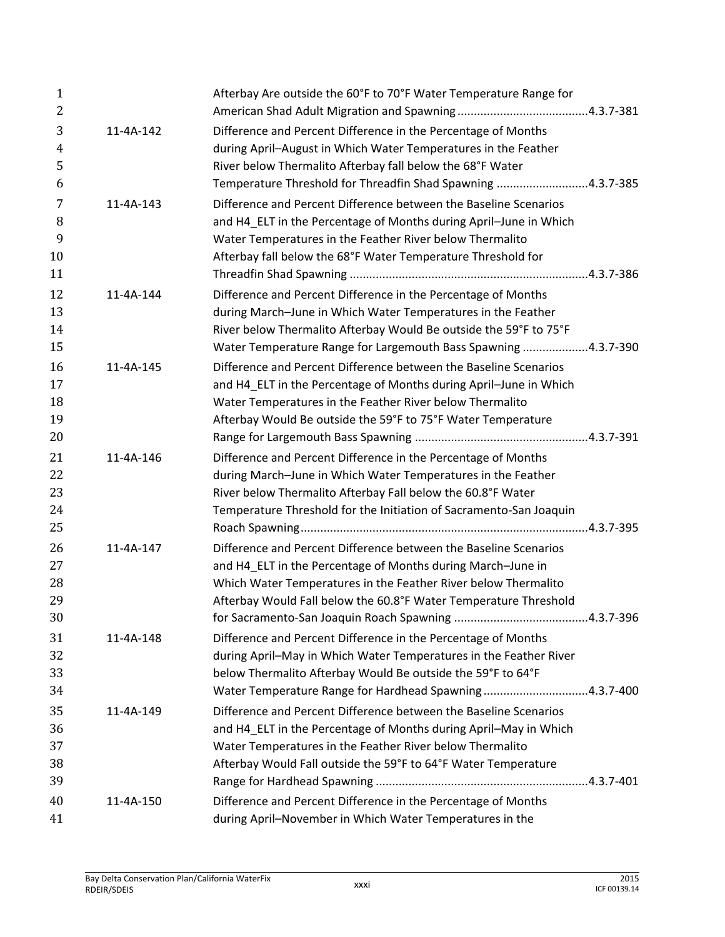| $\mathbf{1}$<br>2   |           | Afterbay Are outside the 60°F to 70°F Water Temperature Range for                                                               |
|---------------------|-----------|---------------------------------------------------------------------------------------------------------------------------------|
| 3<br>$\overline{4}$ | 11-4A-142 | Difference and Percent Difference in the Percentage of Months<br>during April-August in Which Water Temperatures in the Feather |
| 5                   |           | River below Thermalito Afterbay fall below the 68°F Water                                                                       |
| 6                   |           | Temperature Threshold for Threadfin Shad Spawning 4.3.7-385                                                                     |
| 7                   | 11-4A-143 | Difference and Percent Difference between the Baseline Scenarios                                                                |
| 8                   |           | and H4 ELT in the Percentage of Months during April-June in Which                                                               |
| 9                   |           | Water Temperatures in the Feather River below Thermalito                                                                        |
| 10                  |           | Afterbay fall below the 68°F Water Temperature Threshold for                                                                    |
| 11                  |           |                                                                                                                                 |
| 12                  | 11-4A-144 | Difference and Percent Difference in the Percentage of Months                                                                   |
| 13                  |           | during March-June in Which Water Temperatures in the Feather                                                                    |
| 14                  |           | River below Thermalito Afterbay Would Be outside the 59°F to 75°F                                                               |
| 15                  |           | Water Temperature Range for Largemouth Bass Spawning 4.3.7-390                                                                  |
| 16                  | 11-4A-145 | Difference and Percent Difference between the Baseline Scenarios                                                                |
| 17                  |           | and H4 ELT in the Percentage of Months during April-June in Which                                                               |
| 18                  |           | Water Temperatures in the Feather River below Thermalito                                                                        |
| 19                  |           | Afterbay Would Be outside the 59°F to 75°F Water Temperature                                                                    |
| 20                  |           |                                                                                                                                 |
| 21                  | 11-4A-146 | Difference and Percent Difference in the Percentage of Months                                                                   |
| 22                  |           | during March-June in Which Water Temperatures in the Feather                                                                    |
| 23                  |           | River below Thermalito Afterbay Fall below the 60.8°F Water                                                                     |
| 24                  |           | Temperature Threshold for the Initiation of Sacramento-San Joaquin                                                              |
| 25                  |           |                                                                                                                                 |
| 26                  | 11-4A-147 | Difference and Percent Difference between the Baseline Scenarios                                                                |
| 27                  |           | and H4_ELT in the Percentage of Months during March-June in                                                                     |
| 28                  |           | Which Water Temperatures in the Feather River below Thermalito                                                                  |
| 29                  |           | Afterbay Would Fall below the 60.8°F Water Temperature Threshold                                                                |
| 30                  |           |                                                                                                                                 |
| 31                  | 11-4A-148 | Difference and Percent Difference in the Percentage of Months                                                                   |
| 32                  |           | during April-May in Which Water Temperatures in the Feather River                                                               |
| 33                  |           | below Thermalito Afterbay Would Be outside the 59°F to 64°F                                                                     |
| 34                  |           | Water Temperature Range for Hardhead Spawning4.3.7-400                                                                          |
| 35                  | 11-4A-149 | Difference and Percent Difference between the Baseline Scenarios                                                                |
| 36                  |           | and H4_ELT in the Percentage of Months during April-May in Which                                                                |
| 37                  |           | Water Temperatures in the Feather River below Thermalito                                                                        |
| 38                  |           | Afterbay Would Fall outside the 59°F to 64°F Water Temperature                                                                  |
| 39                  |           |                                                                                                                                 |
| 40                  | 11-4A-150 | Difference and Percent Difference in the Percentage of Months                                                                   |
| 41                  |           | during April-November in Which Water Temperatures in the                                                                        |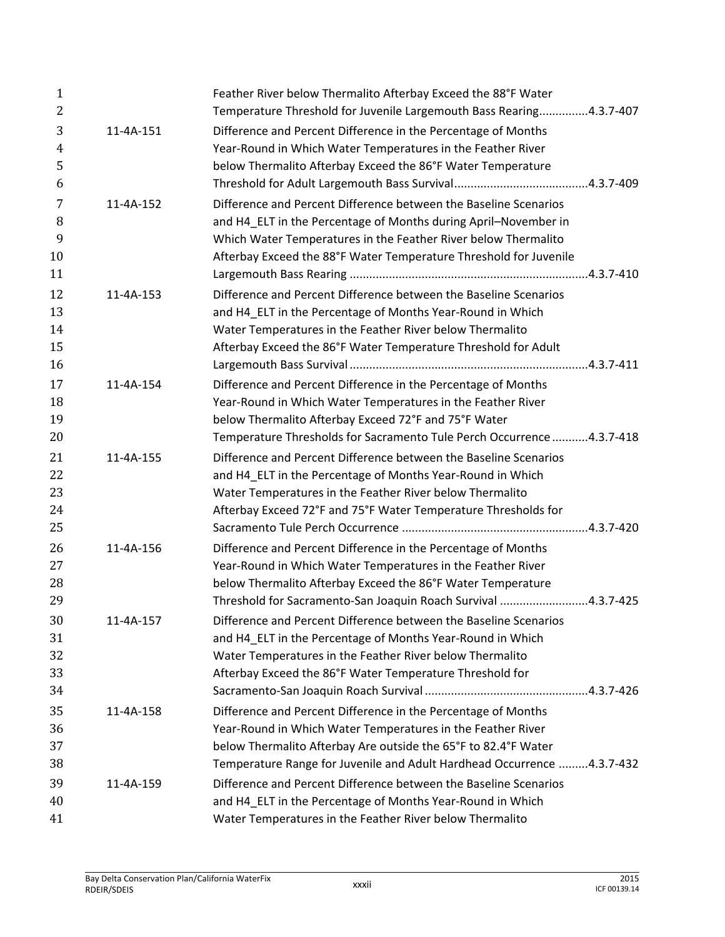| $\mathbf{1}$<br>$\overline{2}$ |           | Feather River below Thermalito Afterbay Exceed the 88°F Water<br>Temperature Threshold for Juvenile Largemouth Bass Rearing4.3.7-407 |
|--------------------------------|-----------|--------------------------------------------------------------------------------------------------------------------------------------|
| 3                              | 11-4A-151 | Difference and Percent Difference in the Percentage of Months                                                                        |
| $\overline{4}$                 |           | Year-Round in Which Water Temperatures in the Feather River                                                                          |
| 5                              |           | below Thermalito Afterbay Exceed the 86°F Water Temperature                                                                          |
| 6                              |           |                                                                                                                                      |
| 7                              | 11-4A-152 | Difference and Percent Difference between the Baseline Scenarios                                                                     |
| 8                              |           | and H4 ELT in the Percentage of Months during April-November in                                                                      |
| 9                              |           | Which Water Temperatures in the Feather River below Thermalito                                                                       |
| 10                             |           | Afterbay Exceed the 88°F Water Temperature Threshold for Juvenile                                                                    |
| 11                             |           |                                                                                                                                      |
| 12                             | 11-4A-153 | Difference and Percent Difference between the Baseline Scenarios                                                                     |
| 13                             |           | and H4_ELT in the Percentage of Months Year-Round in Which                                                                           |
| 14                             |           | Water Temperatures in the Feather River below Thermalito                                                                             |
| 15                             |           | Afterbay Exceed the 86°F Water Temperature Threshold for Adult                                                                       |
| 16                             |           |                                                                                                                                      |
| 17                             | 11-4A-154 | Difference and Percent Difference in the Percentage of Months                                                                        |
| 18                             |           | Year-Round in Which Water Temperatures in the Feather River                                                                          |
| 19                             |           | below Thermalito Afterbay Exceed 72°F and 75°F Water                                                                                 |
| 20                             |           | Temperature Thresholds for Sacramento Tule Perch Occurrence 4.3.7-418                                                                |
| 21                             | 11-4A-155 | Difference and Percent Difference between the Baseline Scenarios                                                                     |
| 22                             |           | and H4_ELT in the Percentage of Months Year-Round in Which                                                                           |
| 23                             |           | Water Temperatures in the Feather River below Thermalito                                                                             |
| 24                             |           | Afterbay Exceed 72°F and 75°F Water Temperature Thresholds for                                                                       |
| 25                             |           |                                                                                                                                      |
| 26                             | 11-4A-156 | Difference and Percent Difference in the Percentage of Months                                                                        |
| 27                             |           | Year-Round in Which Water Temperatures in the Feather River                                                                          |
| 28                             |           | below Thermalito Afterbay Exceed the 86°F Water Temperature                                                                          |
| 29                             |           | Threshold for Sacramento-San Joaquin Roach Survival 4.3.7-425                                                                        |
| 30                             | 11-4A-157 | Difference and Percent Difference between the Baseline Scenarios                                                                     |
| 31                             |           | and H4 ELT in the Percentage of Months Year-Round in Which                                                                           |
| 32                             |           | Water Temperatures in the Feather River below Thermalito                                                                             |
| 33                             |           | Afterbay Exceed the 86°F Water Temperature Threshold for                                                                             |
| 34                             |           |                                                                                                                                      |
| 35                             | 11-4A-158 | Difference and Percent Difference in the Percentage of Months                                                                        |
| 36                             |           | Year-Round in Which Water Temperatures in the Feather River                                                                          |
| 37                             |           | below Thermalito Afterbay Are outside the 65°F to 82.4°F Water                                                                       |
| 38                             |           | Temperature Range for Juvenile and Adult Hardhead Occurrence  4.3.7-432                                                              |
| 39                             | 11-4A-159 | Difference and Percent Difference between the Baseline Scenarios                                                                     |
| 40                             |           | and H4_ELT in the Percentage of Months Year-Round in Which                                                                           |
| 41                             |           | Water Temperatures in the Feather River below Thermalito                                                                             |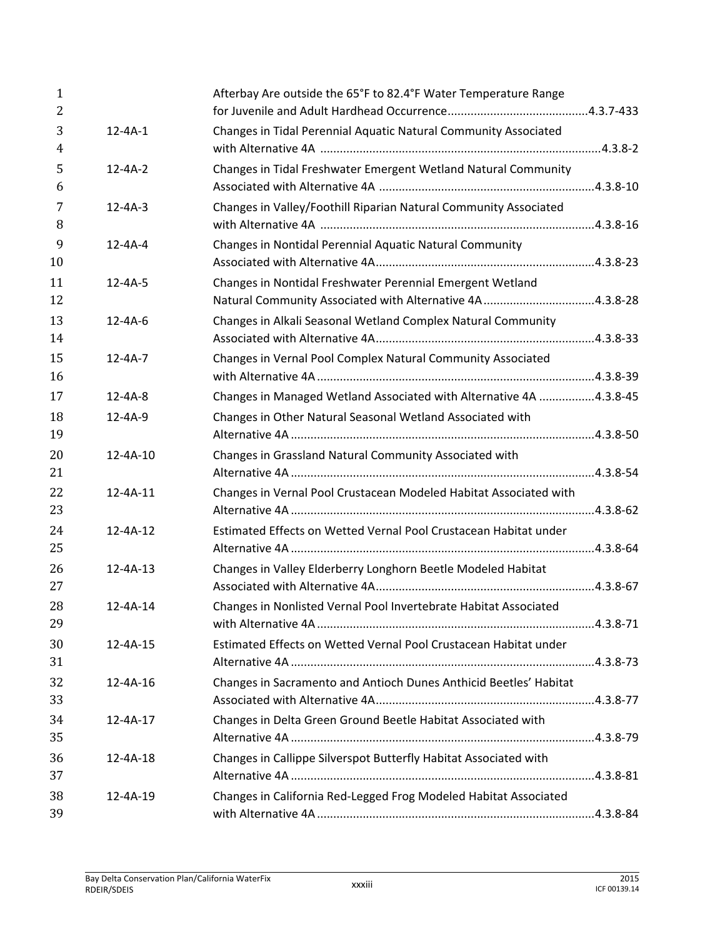| $\mathbf{1}$<br>$\overline{2}$ |                | Afterbay Are outside the 65°F to 82.4°F Water Temperature Range                                                        |  |
|--------------------------------|----------------|------------------------------------------------------------------------------------------------------------------------|--|
| 3<br>$\overline{4}$            | $12 - 4A - 1$  | Changes in Tidal Perennial Aquatic Natural Community Associated                                                        |  |
| 5<br>6                         | $12 - 4A - 2$  | Changes in Tidal Freshwater Emergent Wetland Natural Community                                                         |  |
| 7<br>8                         | $12 - 4A - 3$  | Changes in Valley/Foothill Riparian Natural Community Associated                                                       |  |
| 9<br>10                        | $12 - 4A - 4$  | Changes in Nontidal Perennial Aquatic Natural Community                                                                |  |
| 11<br>12                       | $12 - 4A - 5$  | Changes in Nontidal Freshwater Perennial Emergent Wetland<br>Natural Community Associated with Alternative 4A 4.3.8-28 |  |
| 13<br>14                       | $12 - 4A - 6$  | Changes in Alkali Seasonal Wetland Complex Natural Community                                                           |  |
| 15<br>16                       | $12 - 4A - 7$  | Changes in Vernal Pool Complex Natural Community Associated                                                            |  |
| 17                             | $12 - 4A - 8$  | Changes in Managed Wetland Associated with Alternative 4A 4.3.8-45                                                     |  |
| 18                             | $12 - 4A - 9$  | Changes in Other Natural Seasonal Wetland Associated with                                                              |  |
| 19                             |                |                                                                                                                        |  |
| 20<br>21                       | 12-4A-10       | Changes in Grassland Natural Community Associated with                                                                 |  |
| 22<br>23                       | 12-4A-11       | Changes in Vernal Pool Crustacean Modeled Habitat Associated with                                                      |  |
| 24<br>25                       | $12 - 4A - 12$ | Estimated Effects on Wetted Vernal Pool Crustacean Habitat under                                                       |  |
| 26<br>27                       | $12 - 4A - 13$ | Changes in Valley Elderberry Longhorn Beetle Modeled Habitat                                                           |  |
| 28<br>29                       | $12 - 4A - 14$ | Changes in Nonlisted Vernal Pool Invertebrate Habitat Associated                                                       |  |
| 30<br>31                       | 12-4A-15       | Estimated Effects on Wetted Vernal Pool Crustacean Habitat under                                                       |  |
| 32<br>33                       | 12-4A-16       | Changes in Sacramento and Antioch Dunes Anthicid Beetles' Habitat                                                      |  |
| 34<br>35                       | 12-4A-17       | Changes in Delta Green Ground Beetle Habitat Associated with                                                           |  |
| 36<br>37                       | 12-4A-18       | Changes in Callippe Silverspot Butterfly Habitat Associated with                                                       |  |
| 38<br>39                       | 12-4A-19       | Changes in California Red-Legged Frog Modeled Habitat Associated                                                       |  |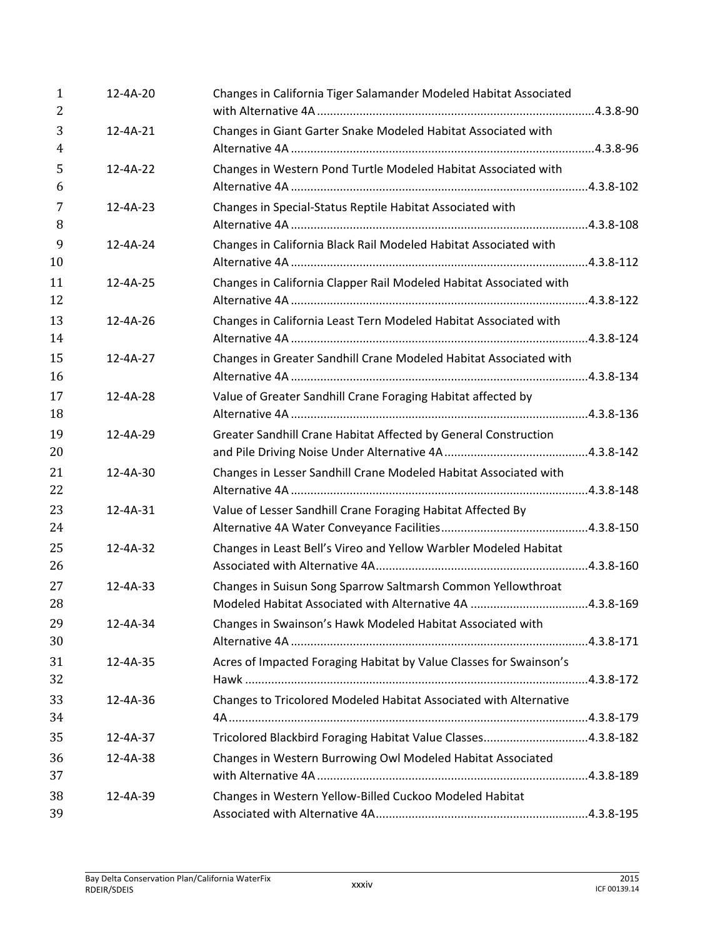| 1<br>2              | 12-4A-20       | Changes in California Tiger Salamander Modeled Habitat Associated  |  |
|---------------------|----------------|--------------------------------------------------------------------|--|
| 3<br>$\overline{4}$ | $12 - 4A - 21$ | Changes in Giant Garter Snake Modeled Habitat Associated with      |  |
| 5<br>6              | $12 - 4A - 22$ | Changes in Western Pond Turtle Modeled Habitat Associated with     |  |
| 7<br>8              | $12 - 4A - 23$ | Changes in Special-Status Reptile Habitat Associated with          |  |
| 9<br>10             | 12-4A-24       | Changes in California Black Rail Modeled Habitat Associated with   |  |
| 11<br>12            | 12-4A-25       | Changes in California Clapper Rail Modeled Habitat Associated with |  |
| 13<br>14            | 12-4A-26       | Changes in California Least Tern Modeled Habitat Associated with   |  |
| 15<br>16            | 12-4A-27       | Changes in Greater Sandhill Crane Modeled Habitat Associated with  |  |
| 17<br>18            | 12-4A-28       | Value of Greater Sandhill Crane Foraging Habitat affected by       |  |
| 19<br>20            | $12 - 4A - 29$ | Greater Sandhill Crane Habitat Affected by General Construction    |  |
| 21<br>22            | 12-4A-30       | Changes in Lesser Sandhill Crane Modeled Habitat Associated with   |  |
| 23<br>24            | 12-4A-31       | Value of Lesser Sandhill Crane Foraging Habitat Affected By        |  |
| 25<br>26            | 12-4A-32       | Changes in Least Bell's Vireo and Yellow Warbler Modeled Habitat   |  |
| 27<br>28            | $12 - 4A - 33$ | Changes in Suisun Song Sparrow Saltmarsh Common Yellowthroat       |  |
| 29<br>30            | 12-4A-34       | Changes in Swainson's Hawk Modeled Habitat Associated with         |  |
| 31<br>32            | 12-4A-35       | Acres of Impacted Foraging Habitat by Value Classes for Swainson's |  |
| 33<br>34            | 12-4A-36       | Changes to Tricolored Modeled Habitat Associated with Alternative  |  |
| 35                  | 12-4A-37       | Tricolored Blackbird Foraging Habitat Value Classes4.3.8-182       |  |
| 36<br>37            | 12-4A-38       | Changes in Western Burrowing Owl Modeled Habitat Associated        |  |
| 38<br>39            | 12-4A-39       | Changes in Western Yellow-Billed Cuckoo Modeled Habitat            |  |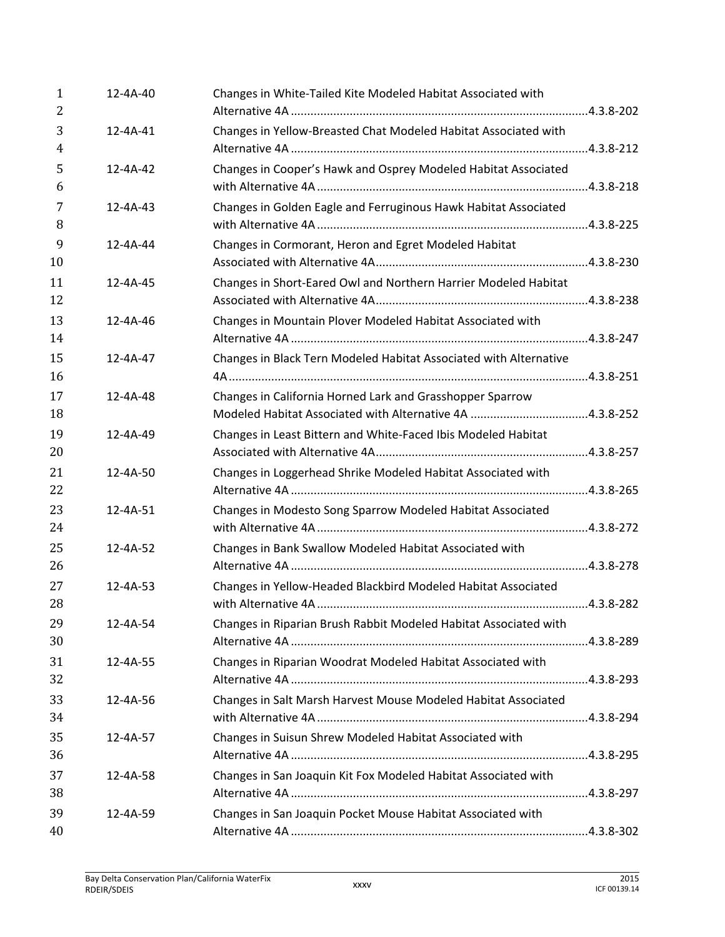| $\mathbf{1}$<br>2 | 12-4A-40       | Changes in White-Tailed Kite Modeled Habitat Associated with      |  |
|-------------------|----------------|-------------------------------------------------------------------|--|
| 3                 | 12-4A-41       | Changes in Yellow-Breasted Chat Modeled Habitat Associated with   |  |
| $\overline{4}$    |                |                                                                   |  |
| 5<br>6            | $12 - 4A - 42$ | Changes in Cooper's Hawk and Osprey Modeled Habitat Associated    |  |
| 7<br>8            | $12 - 4A - 43$ | Changes in Golden Eagle and Ferruginous Hawk Habitat Associated   |  |
| 9<br>10           | $12 - 4A - 44$ | Changes in Cormorant, Heron and Egret Modeled Habitat             |  |
| 11<br>12          | $12 - 4A - 45$ | Changes in Short-Eared Owl and Northern Harrier Modeled Habitat   |  |
| 13<br>14          | 12-4A-46       | Changes in Mountain Plover Modeled Habitat Associated with        |  |
| 15<br>16          | $12 - 4A - 47$ | Changes in Black Tern Modeled Habitat Associated with Alternative |  |
| 17<br>18          | 12-4A-48       | Changes in California Horned Lark and Grasshopper Sparrow         |  |
| 19<br>20          | $12 - 4A - 49$ | Changes in Least Bittern and White-Faced Ibis Modeled Habitat     |  |
| 21<br>22          | 12-4A-50       | Changes in Loggerhead Shrike Modeled Habitat Associated with      |  |
| 23<br>24          | 12-4A-51       | Changes in Modesto Song Sparrow Modeled Habitat Associated        |  |
| 25<br>26          | 12-4A-52       | Changes in Bank Swallow Modeled Habitat Associated with           |  |
| 27<br>28          | $12 - 4A - 53$ | Changes in Yellow-Headed Blackbird Modeled Habitat Associated     |  |
| 29<br>30          | 12-4A-54       | Changes in Riparian Brush Rabbit Modeled Habitat Associated with  |  |
| 31<br>32          | 12-4A-55       | Changes in Riparian Woodrat Modeled Habitat Associated with       |  |
| 33<br>34          | 12-4A-56       | Changes in Salt Marsh Harvest Mouse Modeled Habitat Associated    |  |
| 35<br>36          | 12-4A-57       | Changes in Suisun Shrew Modeled Habitat Associated with           |  |
| 37<br>38          | 12-4A-58       | Changes in San Joaquin Kit Fox Modeled Habitat Associated with    |  |
| 39<br>40          | 12-4A-59       | Changes in San Joaquin Pocket Mouse Habitat Associated with       |  |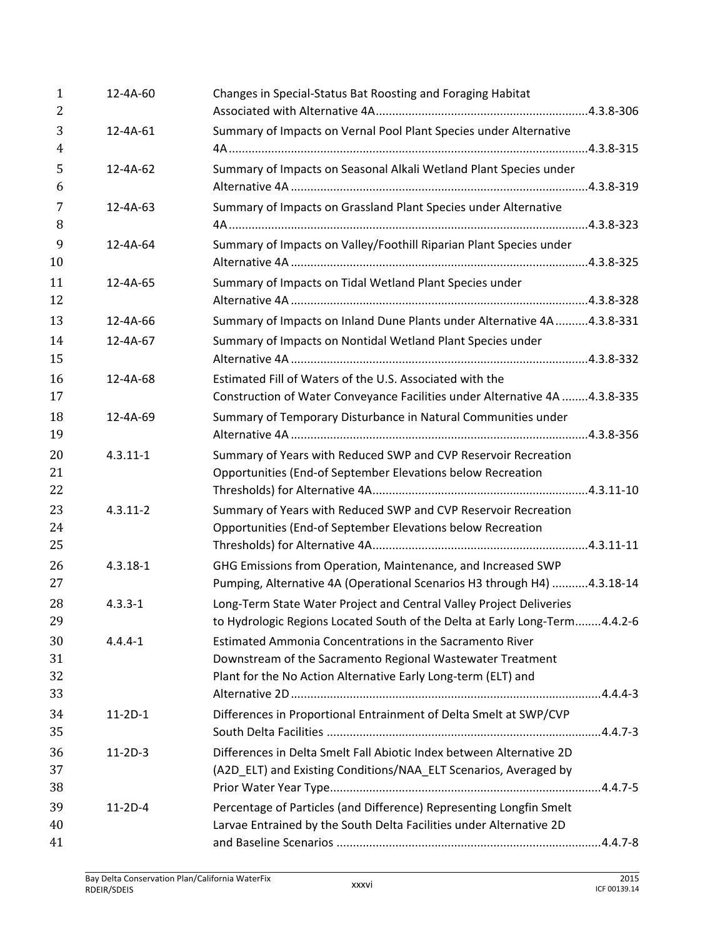| $\mathbf{1}$<br>2    | 12-4A-60       | Changes in Special-Status Bat Roosting and Foraging Habitat                                                                                                                             |
|----------------------|----------------|-----------------------------------------------------------------------------------------------------------------------------------------------------------------------------------------|
| 3<br>$\overline{4}$  | 12-4A-61       | Summary of Impacts on Vernal Pool Plant Species under Alternative                                                                                                                       |
| 5<br>6               | 12-4A-62       | Summary of Impacts on Seasonal Alkali Wetland Plant Species under                                                                                                                       |
| 7<br>8               | $12 - 4A - 63$ | Summary of Impacts on Grassland Plant Species under Alternative                                                                                                                         |
| 9<br>10              | 12-4A-64       | Summary of Impacts on Valley/Foothill Riparian Plant Species under                                                                                                                      |
| 11<br>12             | $12 - 4A - 65$ | Summary of Impacts on Tidal Wetland Plant Species under                                                                                                                                 |
| 13                   | 12-4A-66       | Summary of Impacts on Inland Dune Plants under Alternative 4A  4.3.8-331                                                                                                                |
| 14<br>15             | 12-4A-67       | Summary of Impacts on Nontidal Wetland Plant Species under                                                                                                                              |
| 16<br>17             | 12-4A-68       | Estimated Fill of Waters of the U.S. Associated with the<br>Construction of Water Conveyance Facilities under Alternative 4A 4.3.8-335                                                  |
| 18<br>19             | $12 - 4A - 69$ | Summary of Temporary Disturbance in Natural Communities under                                                                                                                           |
| 20<br>21<br>22       | $4.3.11 - 1$   | Summary of Years with Reduced SWP and CVP Reservoir Recreation<br>Opportunities (End-of September Elevations below Recreation                                                           |
| 23<br>24<br>25       | $4.3.11 - 2$   | Summary of Years with Reduced SWP and CVP Reservoir Recreation<br>Opportunities (End-of September Elevations below Recreation                                                           |
| 26<br>27             | $4.3.18 - 1$   | GHG Emissions from Operation, Maintenance, and Increased SWP<br>Pumping, Alternative 4A (Operational Scenarios H3 through H4) 4.3.18-14                                                 |
| 28<br>29             | $4.3.3 - 1$    | Long-Term State Water Project and Central Valley Project Deliveries<br>to Hydrologic Regions Located South of the Delta at Early Long-Term4.4.2-6                                       |
| 30<br>31<br>32<br>33 | $4.4.4 - 1$    | Estimated Ammonia Concentrations in the Sacramento River<br>Downstream of the Sacramento Regional Wastewater Treatment<br>Plant for the No Action Alternative Early Long-term (ELT) and |
| 34<br>35             | $11-2D-1$      | Differences in Proportional Entrainment of Delta Smelt at SWP/CVP                                                                                                                       |
| 36<br>37<br>38       | $11-2D-3$      | Differences in Delta Smelt Fall Abiotic Index between Alternative 2D<br>(A2D_ELT) and Existing Conditions/NAA_ELT Scenarios, Averaged by                                                |
| 39<br>40             | $11-2D-4$      | Percentage of Particles (and Difference) Representing Longfin Smelt<br>Larvae Entrained by the South Delta Facilities under Alternative 2D                                              |
| 41                   |                |                                                                                                                                                                                         |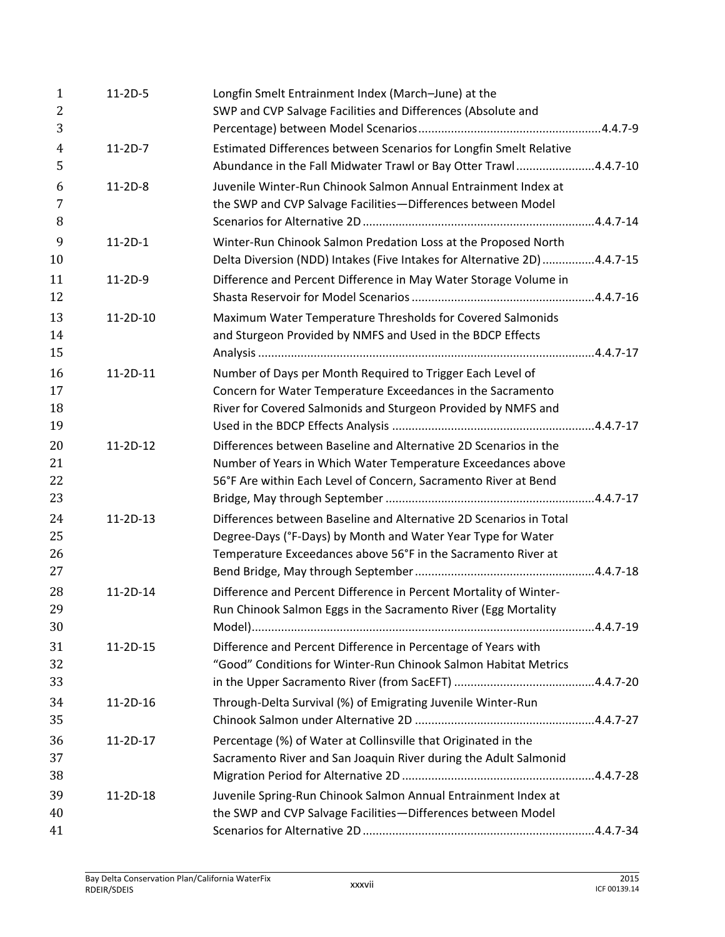| $\mathbf{1}$<br>2    | $11-2D-5$  | Longfin Smelt Entrainment Index (March-June) at the<br>SWP and CVP Salvage Facilities and Differences (Absolute and                                                                                 |  |
|----------------------|------------|-----------------------------------------------------------------------------------------------------------------------------------------------------------------------------------------------------|--|
| 3                    |            |                                                                                                                                                                                                     |  |
| $\overline{4}$<br>5  | $11-2D-7$  | Estimated Differences between Scenarios for Longfin Smelt Relative<br>Abundance in the Fall Midwater Trawl or Bay Otter Trawl4.4.7-10                                                               |  |
| 6<br>7<br>8          | $11-2D-8$  | Juvenile Winter-Run Chinook Salmon Annual Entrainment Index at<br>the SWP and CVP Salvage Facilities-Differences between Model                                                                      |  |
| 9<br>10              | $11-2D-1$  | Winter-Run Chinook Salmon Predation Loss at the Proposed North<br>Delta Diversion (NDD) Intakes (Five Intakes for Alternative 2D) 4.4.7-15                                                          |  |
| 11<br>12             | 11-2D-9    | Difference and Percent Difference in May Water Storage Volume in                                                                                                                                    |  |
| 13<br>14<br>15       | $11-2D-10$ | Maximum Water Temperature Thresholds for Covered Salmonids<br>and Sturgeon Provided by NMFS and Used in the BDCP Effects                                                                            |  |
| 16<br>17<br>18<br>19 | 11-2D-11   | Number of Days per Month Required to Trigger Each Level of<br>Concern for Water Temperature Exceedances in the Sacramento<br>River for Covered Salmonids and Sturgeon Provided by NMFS and          |  |
| 20<br>21<br>22<br>23 | $11-2D-12$ | Differences between Baseline and Alternative 2D Scenarios in the<br>Number of Years in Which Water Temperature Exceedances above<br>56°F Are within Each Level of Concern, Sacramento River at Bend |  |
| 24<br>25<br>26<br>27 | $11-2D-13$ | Differences between Baseline and Alternative 2D Scenarios in Total<br>Degree-Days (°F-Days) by Month and Water Year Type for Water<br>Temperature Exceedances above 56°F in the Sacramento River at |  |
| 28<br>29<br>30       | $11-2D-14$ | Difference and Percent Difference in Percent Mortality of Winter-<br>Run Chinook Salmon Eggs in the Sacramento River (Egg Mortality                                                                 |  |
| 31<br>32<br>33       | 11-2D-15   | Difference and Percent Difference in Percentage of Years with<br>"Good" Conditions for Winter-Run Chinook Salmon Habitat Metrics                                                                    |  |
| 34<br>35             | 11-2D-16   | Through-Delta Survival (%) of Emigrating Juvenile Winter-Run                                                                                                                                        |  |
| 36<br>37<br>38       | $11-2D-17$ | Percentage (%) of Water at Collinsville that Originated in the<br>Sacramento River and San Joaquin River during the Adult Salmonid                                                                  |  |
| 39<br>40<br>41       | 11-2D-18   | Juvenile Spring-Run Chinook Salmon Annual Entrainment Index at<br>the SWP and CVP Salvage Facilities-Differences between Model                                                                      |  |
|                      |            |                                                                                                                                                                                                     |  |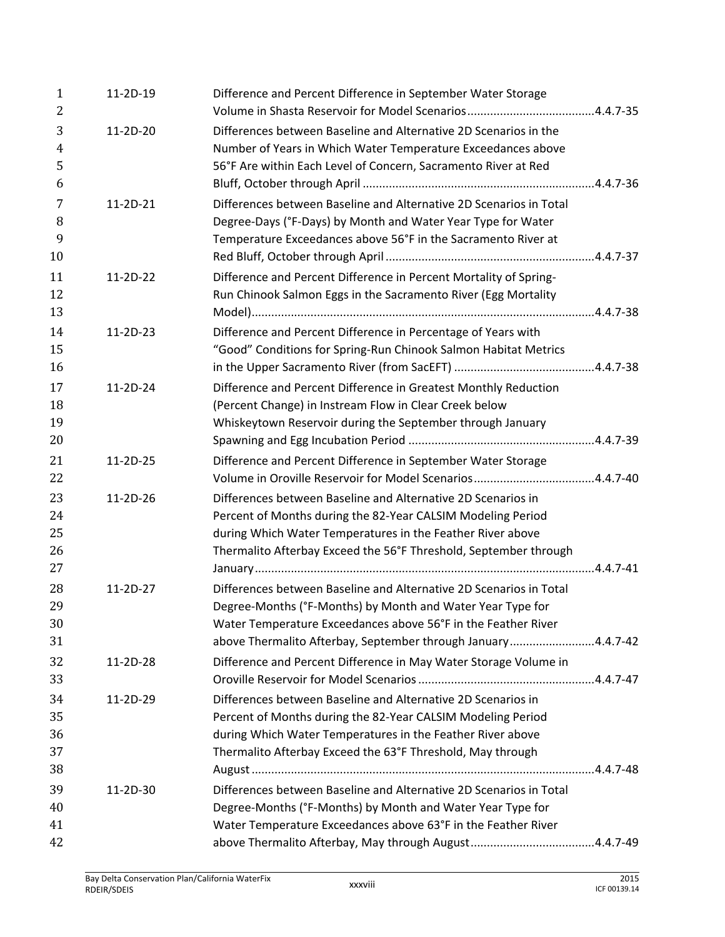| $\mathbf{1}$<br>2 | 11-2D-19   | Difference and Percent Difference in September Water Storage       |  |
|-------------------|------------|--------------------------------------------------------------------|--|
| 3                 | 11-2D-20   | Differences between Baseline and Alternative 2D Scenarios in the   |  |
| $\overline{4}$    |            | Number of Years in Which Water Temperature Exceedances above       |  |
| 5                 |            | 56°F Are within Each Level of Concern, Sacramento River at Red     |  |
| 6                 |            |                                                                    |  |
| 7                 | $11-2D-21$ | Differences between Baseline and Alternative 2D Scenarios in Total |  |
| 8                 |            | Degree-Days (°F-Days) by Month and Water Year Type for Water       |  |
| 9                 |            | Temperature Exceedances above 56°F in the Sacramento River at      |  |
| 10                |            |                                                                    |  |
| 11                | 11-2D-22   | Difference and Percent Difference in Percent Mortality of Spring-  |  |
| 12                |            | Run Chinook Salmon Eggs in the Sacramento River (Egg Mortality     |  |
| 13                |            |                                                                    |  |
| 14                | 11-2D-23   | Difference and Percent Difference in Percentage of Years with      |  |
| 15                |            | "Good" Conditions for Spring-Run Chinook Salmon Habitat Metrics    |  |
| 16                |            |                                                                    |  |
| 17                | 11-2D-24   | Difference and Percent Difference in Greatest Monthly Reduction    |  |
| 18                |            | (Percent Change) in Instream Flow in Clear Creek below             |  |
| 19                |            | Whiskeytown Reservoir during the September through January         |  |
| 20                |            |                                                                    |  |
| 21                | 11-2D-25   | Difference and Percent Difference in September Water Storage       |  |
| 22                |            |                                                                    |  |
| 23                | 11-2D-26   | Differences between Baseline and Alternative 2D Scenarios in       |  |
| 24                |            | Percent of Months during the 82-Year CALSIM Modeling Period        |  |
| 25                |            | during Which Water Temperatures in the Feather River above         |  |
| 26                |            | Thermalito Afterbay Exceed the 56°F Threshold, September through   |  |
| 27                |            |                                                                    |  |
| 28                | 11-2D-27   | Differences between Baseline and Alternative 2D Scenarios in Total |  |
| 29                |            | Degree-Months (°F-Months) by Month and Water Year Type for         |  |
| 30                |            | Water Temperature Exceedances above 56°F in the Feather River      |  |
| 31                |            | above Thermalito Afterbay, September through January4.4.7-42       |  |
| 32                | 11-2D-28   | Difference and Percent Difference in May Water Storage Volume in   |  |
| 33                |            |                                                                    |  |
| 34                | 11-2D-29   | Differences between Baseline and Alternative 2D Scenarios in       |  |
| 35                |            | Percent of Months during the 82-Year CALSIM Modeling Period        |  |
| 36                |            | during Which Water Temperatures in the Feather River above         |  |
| 37                |            | Thermalito Afterbay Exceed the 63°F Threshold, May through         |  |
| 38                |            |                                                                    |  |
| 39                | 11-2D-30   | Differences between Baseline and Alternative 2D Scenarios in Total |  |
| 40                |            | Degree-Months (°F-Months) by Month and Water Year Type for         |  |
| 41                |            | Water Temperature Exceedances above 63°F in the Feather River      |  |
| 42                |            |                                                                    |  |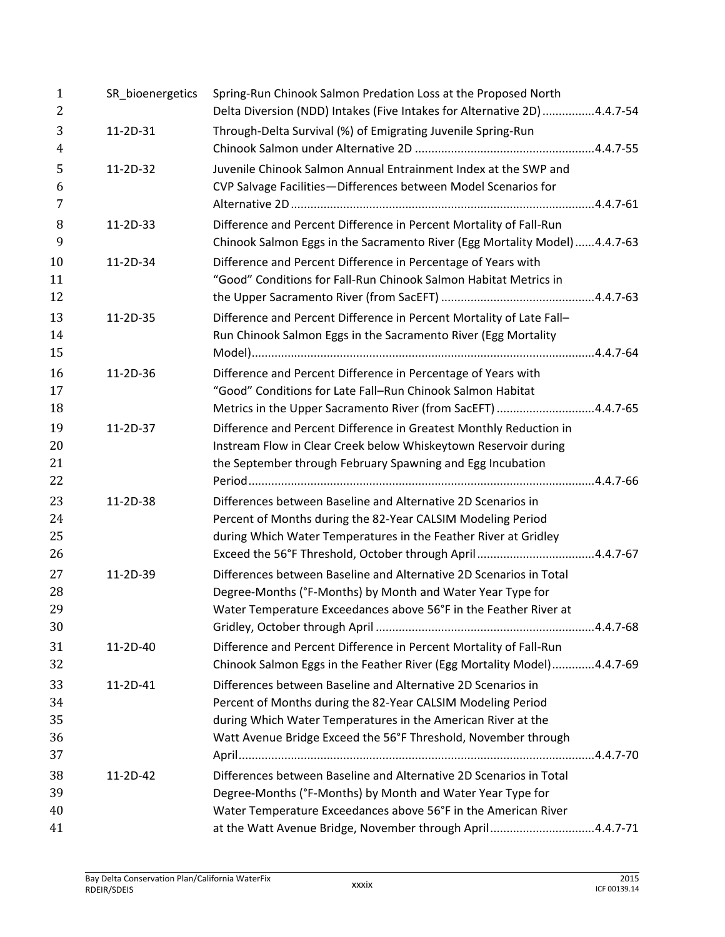| $\mathbf{1}$<br>$\overline{2}$ | SR_bioenergetics | Spring-Run Chinook Salmon Predation Loss at the Proposed North<br>Delta Diversion (NDD) Intakes (Five Intakes for Alternative 2D) 4.4.7-54 |  |
|--------------------------------|------------------|--------------------------------------------------------------------------------------------------------------------------------------------|--|
| 3                              | 11-2D-31         | Through-Delta Survival (%) of Emigrating Juvenile Spring-Run                                                                               |  |
| 4                              |                  |                                                                                                                                            |  |
| 5                              | 11-2D-32         | Juvenile Chinook Salmon Annual Entrainment Index at the SWP and                                                                            |  |
| 6                              |                  | CVP Salvage Facilities-Differences between Model Scenarios for                                                                             |  |
| 7                              |                  |                                                                                                                                            |  |
| 8                              | 11-2D-33         | Difference and Percent Difference in Percent Mortality of Fall-Run                                                                         |  |
| 9                              |                  | Chinook Salmon Eggs in the Sacramento River (Egg Mortality Model)4.4.7-63                                                                  |  |
| 10                             | 11-2D-34         | Difference and Percent Difference in Percentage of Years with                                                                              |  |
| 11                             |                  | "Good" Conditions for Fall-Run Chinook Salmon Habitat Metrics in                                                                           |  |
| 12                             |                  |                                                                                                                                            |  |
| 13                             | 11-2D-35         | Difference and Percent Difference in Percent Mortality of Late Fall-                                                                       |  |
| 14                             |                  | Run Chinook Salmon Eggs in the Sacramento River (Egg Mortality                                                                             |  |
| 15                             |                  |                                                                                                                                            |  |
| 16                             | 11-2D-36         | Difference and Percent Difference in Percentage of Years with                                                                              |  |
| 17                             |                  | "Good" Conditions for Late Fall-Run Chinook Salmon Habitat                                                                                 |  |
| 18                             |                  | Metrics in the Upper Sacramento River (from SacEFT) 4.4.7-65                                                                               |  |
| 19                             | 11-2D-37         | Difference and Percent Difference in Greatest Monthly Reduction in                                                                         |  |
| 20                             |                  | Instream Flow in Clear Creek below Whiskeytown Reservoir during                                                                            |  |
| 21                             |                  | the September through February Spawning and Egg Incubation                                                                                 |  |
| 22                             |                  |                                                                                                                                            |  |
| 23                             | 11-2D-38         | Differences between Baseline and Alternative 2D Scenarios in                                                                               |  |
| 24                             |                  | Percent of Months during the 82-Year CALSIM Modeling Period                                                                                |  |
| 25                             |                  | during Which Water Temperatures in the Feather River at Gridley                                                                            |  |
| 26                             |                  |                                                                                                                                            |  |
| 27                             | 11-2D-39         | Differences between Baseline and Alternative 2D Scenarios in Total                                                                         |  |
| 28                             |                  | Degree-Months (°F-Months) by Month and Water Year Type for                                                                                 |  |
| 29                             |                  | Water Temperature Exceedances above 56°F in the Feather River at                                                                           |  |
| 30                             |                  |                                                                                                                                            |  |
| 31                             | 11-2D-40         | Difference and Percent Difference in Percent Mortality of Fall-Run                                                                         |  |
| 32                             |                  | Chinook Salmon Eggs in the Feather River (Egg Mortality Model)4.4.7-69                                                                     |  |
| 33                             | 11-2D-41         | Differences between Baseline and Alternative 2D Scenarios in                                                                               |  |
| 34                             |                  | Percent of Months during the 82-Year CALSIM Modeling Period                                                                                |  |
| 35                             |                  | during Which Water Temperatures in the American River at the                                                                               |  |
| 36                             |                  | Watt Avenue Bridge Exceed the 56°F Threshold, November through                                                                             |  |
| 37                             |                  |                                                                                                                                            |  |
| 38                             | 11-2D-42         | Differences between Baseline and Alternative 2D Scenarios in Total                                                                         |  |
| 39                             |                  | Degree-Months (°F-Months) by Month and Water Year Type for                                                                                 |  |
| 40                             |                  | Water Temperature Exceedances above 56°F in the American River                                                                             |  |
| 41                             |                  | at the Watt Avenue Bridge, November through April4.4.7-71                                                                                  |  |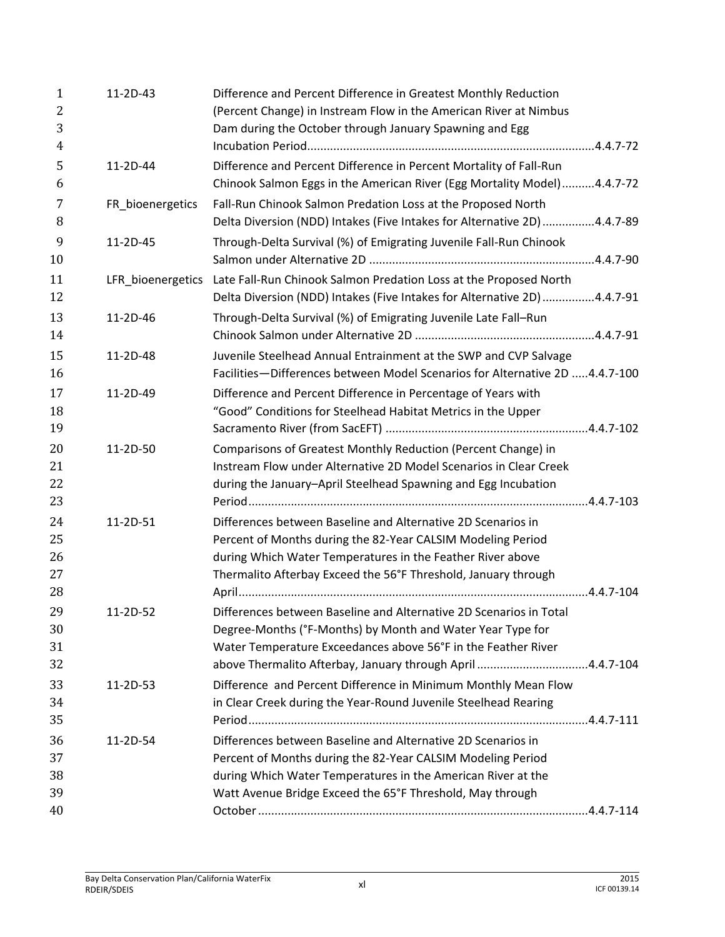| $\mathbf{1}$        | $11-2D-43$        | Difference and Percent Difference in Greatest Monthly Reduction                                                             |  |
|---------------------|-------------------|-----------------------------------------------------------------------------------------------------------------------------|--|
| $\overline{2}$      |                   | (Percent Change) in Instream Flow in the American River at Nimbus                                                           |  |
| 3<br>$\overline{4}$ |                   | Dam during the October through January Spawning and Egg                                                                     |  |
| 5                   | 11-2D-44          | Difference and Percent Difference in Percent Mortality of Fall-Run                                                          |  |
| 6                   |                   | Chinook Salmon Eggs in the American River (Egg Mortality Model)4.4.7-72                                                     |  |
| 7                   | FR_bioenergetics  | Fall-Run Chinook Salmon Predation Loss at the Proposed North                                                                |  |
| 8                   |                   | Delta Diversion (NDD) Intakes (Five Intakes for Alternative 2D) 4.4.7-89                                                    |  |
| 9<br>10             | 11-2D-45          | Through-Delta Survival (%) of Emigrating Juvenile Fall-Run Chinook                                                          |  |
| 11                  | LFR_bioenergetics | Late Fall-Run Chinook Salmon Predation Loss at the Proposed North                                                           |  |
| 12                  |                   | Delta Diversion (NDD) Intakes (Five Intakes for Alternative 2D) 4.4.7-91                                                    |  |
| 13<br>14            | $11-2D-46$        | Through-Delta Survival (%) of Emigrating Juvenile Late Fall-Run                                                             |  |
| 15                  | 11-2D-48          | Juvenile Steelhead Annual Entrainment at the SWP and CVP Salvage                                                            |  |
| 16                  |                   | Facilities-Differences between Model Scenarios for Alternative 2D 4.4.7-100                                                 |  |
| 17                  | 11-2D-49          | Difference and Percent Difference in Percentage of Years with                                                               |  |
| 18                  |                   | "Good" Conditions for Steelhead Habitat Metrics in the Upper                                                                |  |
| 19                  |                   |                                                                                                                             |  |
| 20                  | 11-2D-50          | Comparisons of Greatest Monthly Reduction (Percent Change) in                                                               |  |
| 21                  |                   | Instream Flow under Alternative 2D Model Scenarios in Clear Creek                                                           |  |
| 22                  |                   | during the January-April Steelhead Spawning and Egg Incubation                                                              |  |
| 23                  |                   |                                                                                                                             |  |
| 24                  | 11-2D-51          | Differences between Baseline and Alternative 2D Scenarios in                                                                |  |
| 25                  |                   | Percent of Months during the 82-Year CALSIM Modeling Period                                                                 |  |
| 26                  |                   | during Which Water Temperatures in the Feather River above                                                                  |  |
| 27                  |                   | Thermalito Afterbay Exceed the 56°F Threshold, January through                                                              |  |
| 28                  |                   |                                                                                                                             |  |
| 29                  | $11 - 2D - 52$    | Differences between Baseline and Alternative 2D Scenarios in Total                                                          |  |
| 30<br>31            |                   | Degree-Months (°F-Months) by Month and Water Year Type for<br>Water Temperature Exceedances above 56°F in the Feather River |  |
| 32                  |                   | above Thermalito Afterbay, January through April 4.4.7-104                                                                  |  |
| 33                  | 11-2D-53          | Difference and Percent Difference in Minimum Monthly Mean Flow                                                              |  |
| 34                  |                   | in Clear Creek during the Year-Round Juvenile Steelhead Rearing                                                             |  |
| 35                  |                   |                                                                                                                             |  |
| 36                  | 11-2D-54          | Differences between Baseline and Alternative 2D Scenarios in                                                                |  |
| 37                  |                   | Percent of Months during the 82-Year CALSIM Modeling Period                                                                 |  |
| 38                  |                   | during Which Water Temperatures in the American River at the                                                                |  |
| 39                  |                   | Watt Avenue Bridge Exceed the 65°F Threshold, May through                                                                   |  |
| 40                  |                   |                                                                                                                             |  |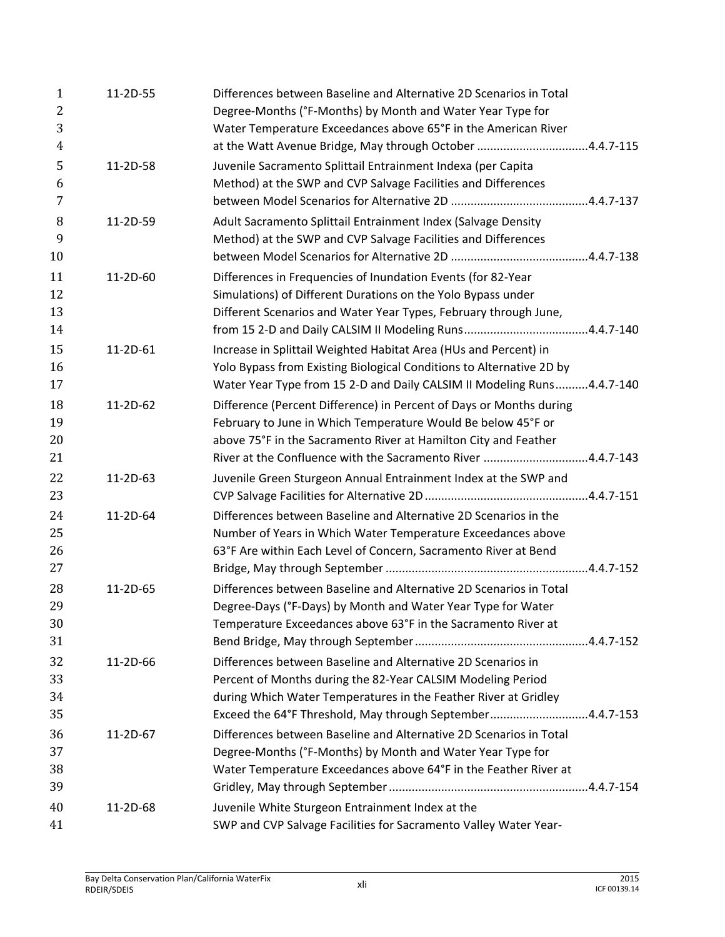| $\mathbf{1}$<br>2<br>3     | 11-2D-55   | Differences between Baseline and Alternative 2D Scenarios in Total<br>Degree-Months (°F-Months) by Month and Water Year Type for<br>Water Temperature Exceedances above 65°F in the American River                                                                    |
|----------------------------|------------|-----------------------------------------------------------------------------------------------------------------------------------------------------------------------------------------------------------------------------------------------------------------------|
| 4                          |            | at the Watt Avenue Bridge, May through October 4.4.7-115                                                                                                                                                                                                              |
| 5<br>6<br>7                | 11-2D-58   | Juvenile Sacramento Splittail Entrainment Indexa (per Capita<br>Method) at the SWP and CVP Salvage Facilities and Differences                                                                                                                                         |
| 8<br>9<br>10               | 11-2D-59   | Adult Sacramento Splittail Entrainment Index (Salvage Density<br>Method) at the SWP and CVP Salvage Facilities and Differences                                                                                                                                        |
| 11<br>12<br>13<br>14       | 11-2D-60   | Differences in Frequencies of Inundation Events (for 82-Year<br>Simulations) of Different Durations on the Yolo Bypass under<br>Different Scenarios and Water Year Types, February through June,                                                                      |
| 15<br>16<br>17             | 11-2D-61   | Increase in Splittail Weighted Habitat Area (HUs and Percent) in<br>Yolo Bypass from Existing Biological Conditions to Alternative 2D by<br>Water Year Type from 15 2-D and Daily CALSIM II Modeling Runs4.4.7-140                                                    |
| 18<br>19<br>20<br>21       | $11-2D-62$ | Difference (Percent Difference) in Percent of Days or Months during<br>February to June in Which Temperature Would Be below 45°F or<br>above 75°F in the Sacramento River at Hamilton City and Feather<br>River at the Confluence with the Sacramento River 4.4.7-143 |
| 22<br>23                   | 11-2D-63   | Juvenile Green Sturgeon Annual Entrainment Index at the SWP and                                                                                                                                                                                                       |
| 24<br>25<br>26             | 11-2D-64   | Differences between Baseline and Alternative 2D Scenarios in the<br>Number of Years in Which Water Temperature Exceedances above<br>63°F Are within Each Level of Concern, Sacramento River at Bend                                                                   |
| 27<br>28<br>29<br>30<br>31 | 11-2D-65   | Differences between Baseline and Alternative 2D Scenarios in Total<br>Degree-Days (°F-Days) by Month and Water Year Type for Water<br>Temperature Exceedances above 63°F in the Sacramento River at                                                                   |
| 32<br>33<br>34<br>35       | 11-2D-66   | Differences between Baseline and Alternative 2D Scenarios in<br>Percent of Months during the 82-Year CALSIM Modeling Period<br>during Which Water Temperatures in the Feather River at Gridley<br>Exceed the 64°F Threshold, May through September4.4.7-153           |
| 36<br>37<br>38<br>39       | 11-2D-67   | Differences between Baseline and Alternative 2D Scenarios in Total<br>Degree-Months (°F-Months) by Month and Water Year Type for<br>Water Temperature Exceedances above 64°F in the Feather River at                                                                  |
| 40<br>41                   | 11-2D-68   | Juvenile White Sturgeon Entrainment Index at the<br>SWP and CVP Salvage Facilities for Sacramento Valley Water Year-                                                                                                                                                  |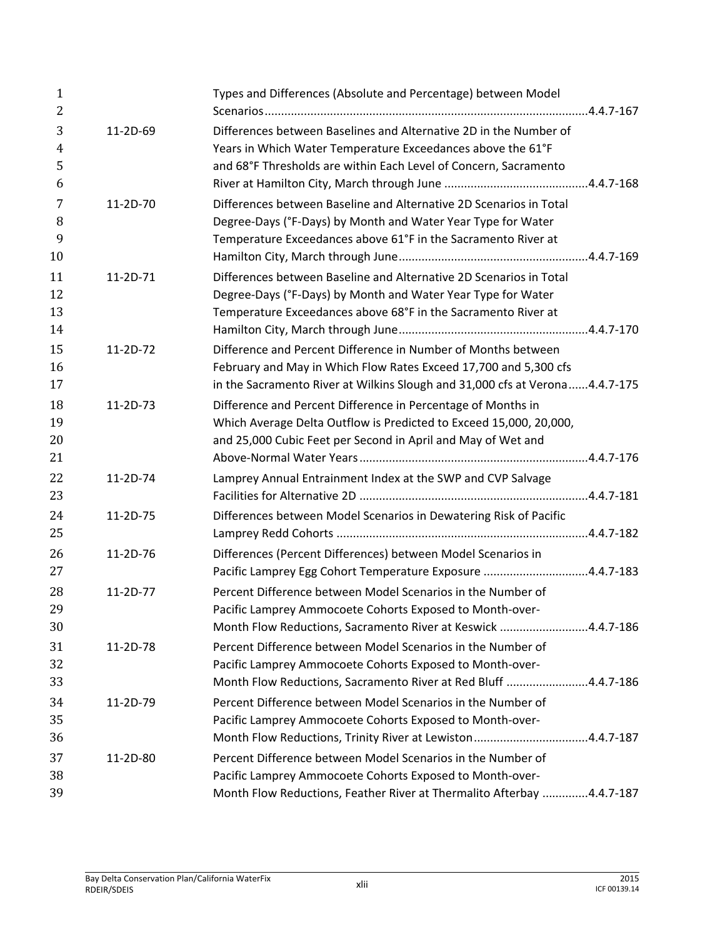| $\mathbf{1}$<br>2    |            | Types and Differences (Absolute and Percentage) between Model                                                                                                                                                                                                                     |  |
|----------------------|------------|-----------------------------------------------------------------------------------------------------------------------------------------------------------------------------------------------------------------------------------------------------------------------------------|--|
| 3<br>4<br>5<br>6     | 11-2D-69   | Differences between Baselines and Alternative 2D in the Number of<br>Years in Which Water Temperature Exceedances above the 61°F<br>and 68°F Thresholds are within Each Level of Concern, Sacramento                                                                              |  |
| 7<br>8<br>9          | 11-2D-70   | Differences between Baseline and Alternative 2D Scenarios in Total<br>Degree-Days (°F-Days) by Month and Water Year Type for Water<br>Temperature Exceedances above 61°F in the Sacramento River at                                                                               |  |
| 10<br>11<br>12<br>13 | 11-2D-71   | Differences between Baseline and Alternative 2D Scenarios in Total<br>Degree-Days (°F-Days) by Month and Water Year Type for Water<br>Temperature Exceedances above 68°F in the Sacramento River at                                                                               |  |
| 14<br>15<br>16<br>17 | 11-2D-72   | Difference and Percent Difference in Number of Months between<br>February and May in Which Flow Rates Exceed 17,700 and 5,300 cfs                                                                                                                                                 |  |
| 18<br>19<br>20<br>21 | $11-2D-73$ | in the Sacramento River at Wilkins Slough and 31,000 cfs at Verona4.4.7-175<br>Difference and Percent Difference in Percentage of Months in<br>Which Average Delta Outflow is Predicted to Exceed 15,000, 20,000,<br>and 25,000 Cubic Feet per Second in April and May of Wet and |  |
| 22<br>23             | 11-2D-74   | Lamprey Annual Entrainment Index at the SWP and CVP Salvage                                                                                                                                                                                                                       |  |
| 24<br>25             | 11-2D-75   | Differences between Model Scenarios in Dewatering Risk of Pacific                                                                                                                                                                                                                 |  |
| 26<br>27             | 11-2D-76   | Differences (Percent Differences) between Model Scenarios in<br>Pacific Lamprey Egg Cohort Temperature Exposure 4.4.7-183                                                                                                                                                         |  |
| 28<br>29<br>30       | 11-2D-77   | Percent Difference between Model Scenarios in the Number of<br>Pacific Lamprey Ammocoete Cohorts Exposed to Month-over-<br>Month Flow Reductions, Sacramento River at Keswick 4.4.7-186                                                                                           |  |
| 31<br>32<br>33       | 11-2D-78   | Percent Difference between Model Scenarios in the Number of<br>Pacific Lamprey Ammocoete Cohorts Exposed to Month-over-<br>Month Flow Reductions, Sacramento River at Red Bluff 4.4.7-186                                                                                         |  |
| 34<br>35<br>36       | 11-2D-79   | Percent Difference between Model Scenarios in the Number of<br>Pacific Lamprey Ammocoete Cohorts Exposed to Month-over-<br>Month Flow Reductions, Trinity River at Lewiston4.4.7-187                                                                                              |  |
| 37<br>38<br>39       | 11-2D-80   | Percent Difference between Model Scenarios in the Number of<br>Pacific Lamprey Ammocoete Cohorts Exposed to Month-over-<br>Month Flow Reductions, Feather River at Thermalito Afterbay 4.4.7-187                                                                                  |  |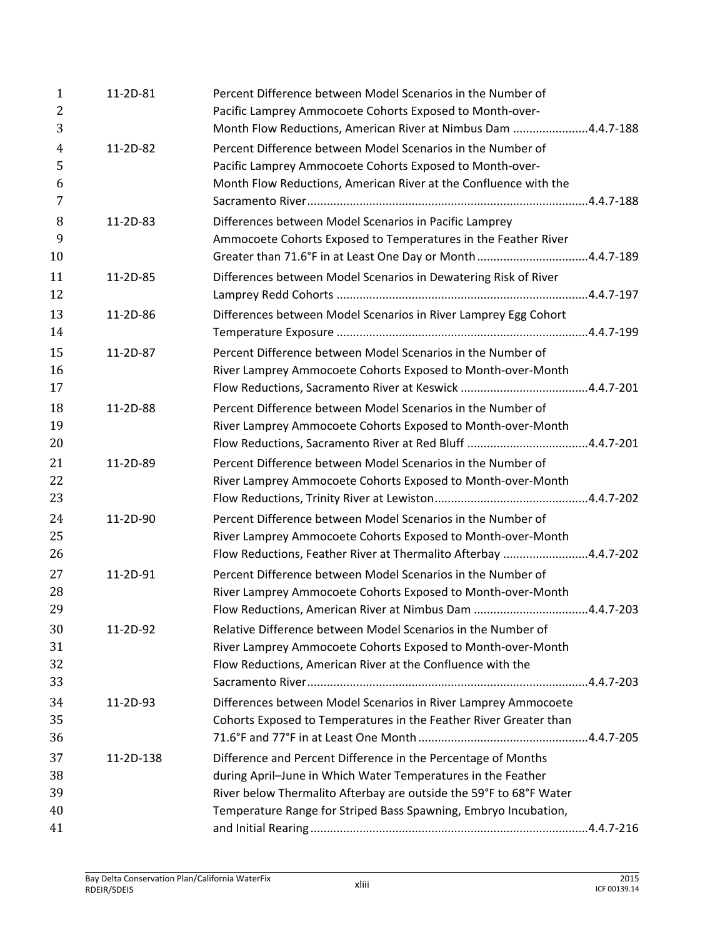| $\mathbf{1}$<br>2   | 11-2D-81  | Percent Difference between Model Scenarios in the Number of<br>Pacific Lamprey Ammocoete Cohorts Exposed to Month-over- |  |
|---------------------|-----------|-------------------------------------------------------------------------------------------------------------------------|--|
| 3                   |           | Month Flow Reductions, American River at Nimbus Dam 4.4.7-188                                                           |  |
| $\overline{4}$<br>5 | 11-2D-82  | Percent Difference between Model Scenarios in the Number of<br>Pacific Lamprey Ammocoete Cohorts Exposed to Month-over- |  |
| 6                   |           | Month Flow Reductions, American River at the Confluence with the                                                        |  |
| 7                   |           |                                                                                                                         |  |
| 8                   | 11-2D-83  | Differences between Model Scenarios in Pacific Lamprey                                                                  |  |
| 9                   |           | Ammocoete Cohorts Exposed to Temperatures in the Feather River                                                          |  |
| 10                  |           | Greater than 71.6°F in at Least One Day or Month4.4.7-189                                                               |  |
| 11                  | 11-2D-85  | Differences between Model Scenarios in Dewatering Risk of River                                                         |  |
| 12                  |           |                                                                                                                         |  |
| 13                  | 11-2D-86  | Differences between Model Scenarios in River Lamprey Egg Cohort                                                         |  |
| 14                  |           |                                                                                                                         |  |
| 15                  | 11-2D-87  | Percent Difference between Model Scenarios in the Number of                                                             |  |
| 16                  |           | River Lamprey Ammocoete Cohorts Exposed to Month-over-Month                                                             |  |
| 17                  |           |                                                                                                                         |  |
| 18                  | 11-2D-88  | Percent Difference between Model Scenarios in the Number of                                                             |  |
| 19                  |           | River Lamprey Ammocoete Cohorts Exposed to Month-over-Month                                                             |  |
| 20                  |           |                                                                                                                         |  |
| 21                  | 11-2D-89  | Percent Difference between Model Scenarios in the Number of                                                             |  |
| 22                  |           | River Lamprey Ammocoete Cohorts Exposed to Month-over-Month                                                             |  |
| 23                  |           |                                                                                                                         |  |
| 24                  | 11-2D-90  | Percent Difference between Model Scenarios in the Number of                                                             |  |
| 25                  |           | River Lamprey Ammocoete Cohorts Exposed to Month-over-Month                                                             |  |
| 26                  |           | Flow Reductions, Feather River at Thermalito Afterbay 4.4.7-202                                                         |  |
| 27                  | 11-2D-91  | Percent Difference between Model Scenarios in the Number of                                                             |  |
| 28                  |           | River Lamprey Ammocoete Cohorts Exposed to Month-over-Month                                                             |  |
| 29                  |           | Flow Reductions, American River at Nimbus Dam 4.4.7-203                                                                 |  |
| 30                  | 11-2D-92  | Relative Difference between Model Scenarios in the Number of                                                            |  |
| 31                  |           | River Lamprey Ammocoete Cohorts Exposed to Month-over-Month                                                             |  |
| 32                  |           | Flow Reductions, American River at the Confluence with the                                                              |  |
| 33                  |           |                                                                                                                         |  |
| 34                  | 11-2D-93  | Differences between Model Scenarios in River Lamprey Ammocoete                                                          |  |
| 35                  |           | Cohorts Exposed to Temperatures in the Feather River Greater than                                                       |  |
| 36                  |           |                                                                                                                         |  |
| 37                  | 11-2D-138 | Difference and Percent Difference in the Percentage of Months                                                           |  |
| 38                  |           | during April-June in Which Water Temperatures in the Feather                                                            |  |
| 39                  |           | River below Thermalito Afterbay are outside the 59°F to 68°F Water                                                      |  |
| 40                  |           | Temperature Range for Striped Bass Spawning, Embryo Incubation,                                                         |  |
| 41                  |           |                                                                                                                         |  |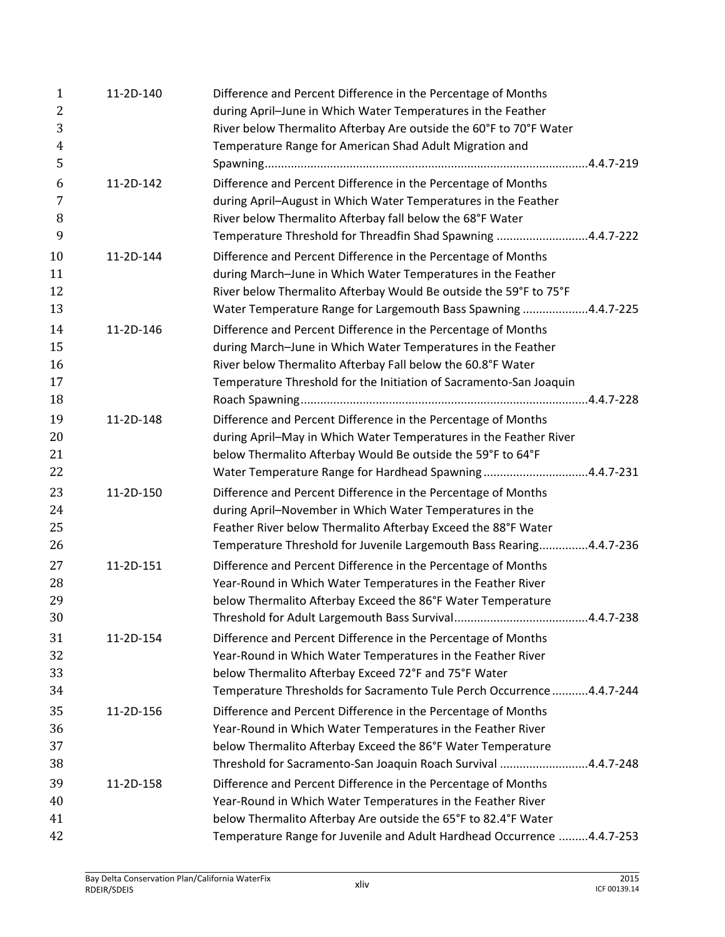| $\mathbf{1}$ | 11-2D-140 | Difference and Percent Difference in the Percentage of Months           |
|--------------|-----------|-------------------------------------------------------------------------|
| 2            |           | during April-June in Which Water Temperatures in the Feather            |
| 3            |           | River below Thermalito Afterbay Are outside the 60°F to 70°F Water      |
| 4            |           | Temperature Range for American Shad Adult Migration and                 |
| 5            |           |                                                                         |
| 6            | 11-2D-142 | Difference and Percent Difference in the Percentage of Months           |
| 7            |           | during April-August in Which Water Temperatures in the Feather          |
| 8            |           | River below Thermalito Afterbay fall below the 68°F Water               |
| 9            |           | Temperature Threshold for Threadfin Shad Spawning 4.4.7-222             |
| 10           | 11-2D-144 | Difference and Percent Difference in the Percentage of Months           |
| 11           |           | during March-June in Which Water Temperatures in the Feather            |
| 12           |           | River below Thermalito Afterbay Would Be outside the 59°F to 75°F       |
| 13           |           | Water Temperature Range for Largemouth Bass Spawning 4.4.7-225          |
| 14           | 11-2D-146 | Difference and Percent Difference in the Percentage of Months           |
| 15           |           | during March-June in Which Water Temperatures in the Feather            |
| 16           |           | River below Thermalito Afterbay Fall below the 60.8°F Water             |
| 17           |           | Temperature Threshold for the Initiation of Sacramento-San Joaquin      |
| 18           |           |                                                                         |
| 19           | 11-2D-148 | Difference and Percent Difference in the Percentage of Months           |
| 20           |           | during April-May in Which Water Temperatures in the Feather River       |
| 21           |           | below Thermalito Afterbay Would Be outside the 59°F to 64°F             |
| 22           |           | Water Temperature Range for Hardhead Spawning4.4.7-231                  |
| 23           | 11-2D-150 | Difference and Percent Difference in the Percentage of Months           |
| 24           |           | during April-November in Which Water Temperatures in the                |
| 25           |           | Feather River below Thermalito Afterbay Exceed the 88°F Water           |
| 26           |           | Temperature Threshold for Juvenile Largemouth Bass Rearing4.4.7-236     |
| 27           | 11-2D-151 | Difference and Percent Difference in the Percentage of Months           |
| 28           |           | Year-Round in Which Water Temperatures in the Feather River             |
| 29           |           | below Thermalito Afterbay Exceed the 86°F Water Temperature             |
| 30           |           |                                                                         |
| 31           | 11-2D-154 | Difference and Percent Difference in the Percentage of Months           |
| 32           |           | Year-Round in Which Water Temperatures in the Feather River             |
| 33           |           | below Thermalito Afterbay Exceed 72°F and 75°F Water                    |
| 34           |           | Temperature Thresholds for Sacramento Tule Perch Occurrence  4.4.7-244  |
|              |           |                                                                         |
| 35<br>36     | 11-2D-156 | Difference and Percent Difference in the Percentage of Months           |
| 37           |           | Year-Round in Which Water Temperatures in the Feather River             |
|              |           | below Thermalito Afterbay Exceed the 86°F Water Temperature             |
| 38           |           | Threshold for Sacramento-San Joaquin Roach Survival 4.4.7-248           |
| 39           | 11-2D-158 | Difference and Percent Difference in the Percentage of Months           |
| 40           |           | Year-Round in Which Water Temperatures in the Feather River             |
| 41           |           | below Thermalito Afterbay Are outside the 65°F to 82.4°F Water          |
| 42           |           | Temperature Range for Juvenile and Adult Hardhead Occurrence  4.4.7-253 |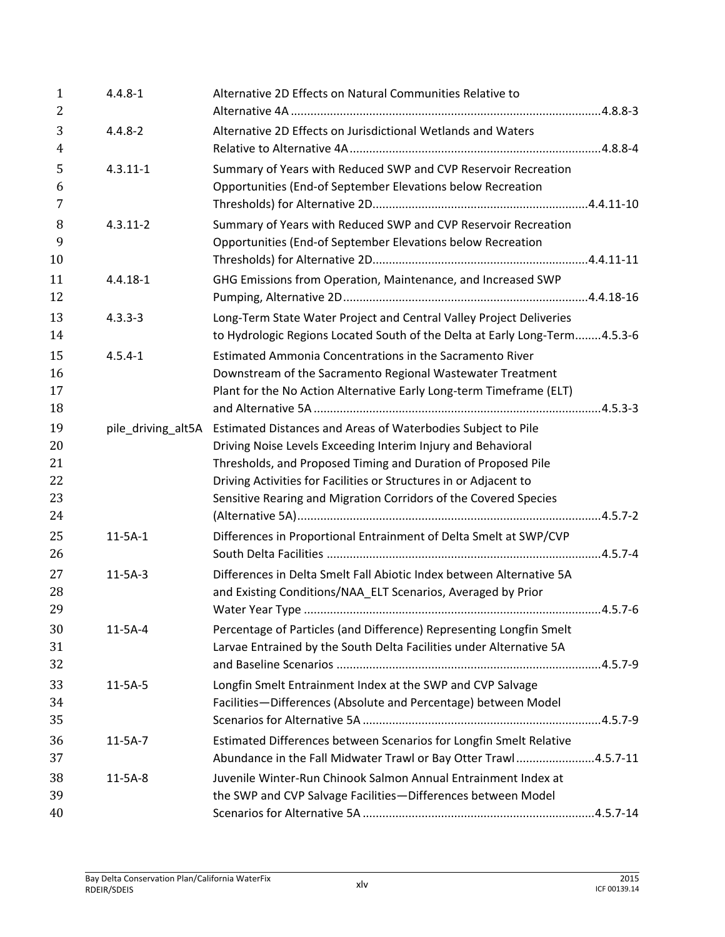| $\mathbf{1}$<br>$\overline{2}$   | $4.4.8 - 1$        | Alternative 2D Effects on Natural Communities Relative to                                                                                                                                                                                                                                                                              |  |
|----------------------------------|--------------------|----------------------------------------------------------------------------------------------------------------------------------------------------------------------------------------------------------------------------------------------------------------------------------------------------------------------------------------|--|
| 3<br>4                           | $4.4.8 - 2$        | Alternative 2D Effects on Jurisdictional Wetlands and Waters                                                                                                                                                                                                                                                                           |  |
| 5<br>6<br>7                      | $4.3.11 - 1$       | Summary of Years with Reduced SWP and CVP Reservoir Recreation<br>Opportunities (End-of September Elevations below Recreation                                                                                                                                                                                                          |  |
| 8<br>9<br>10                     | $4.3.11 - 2$       | Summary of Years with Reduced SWP and CVP Reservoir Recreation<br>Opportunities (End-of September Elevations below Recreation                                                                                                                                                                                                          |  |
| 11<br>12                         | $4.4.18 - 1$       | GHG Emissions from Operation, Maintenance, and Increased SWP                                                                                                                                                                                                                                                                           |  |
| 13<br>14                         | $4.3.3 - 3$        | Long-Term State Water Project and Central Valley Project Deliveries<br>to Hydrologic Regions Located South of the Delta at Early Long-Term4.5.3-6                                                                                                                                                                                      |  |
| 15<br>16<br>17<br>18             | $4.5.4 - 1$        | Estimated Ammonia Concentrations in the Sacramento River<br>Downstream of the Sacramento Regional Wastewater Treatment<br>Plant for the No Action Alternative Early Long-term Timeframe (ELT)                                                                                                                                          |  |
| 19<br>20<br>21<br>22<br>23<br>24 | pile_driving_alt5A | Estimated Distances and Areas of Waterbodies Subject to Pile<br>Driving Noise Levels Exceeding Interim Injury and Behavioral<br>Thresholds, and Proposed Timing and Duration of Proposed Pile<br>Driving Activities for Facilities or Structures in or Adjacent to<br>Sensitive Rearing and Migration Corridors of the Covered Species |  |
| 25<br>26                         | $11 - 5A - 1$      | Differences in Proportional Entrainment of Delta Smelt at SWP/CVP                                                                                                                                                                                                                                                                      |  |
| 27<br>28<br>29                   | $11-5A-3$          | Differences in Delta Smelt Fall Abiotic Index between Alternative 5A<br>and Existing Conditions/NAA ELT Scenarios, Averaged by Prior                                                                                                                                                                                                   |  |
| 30<br>31<br>32                   | $11-5A-4$          | Percentage of Particles (and Difference) Representing Longfin Smelt<br>Larvae Entrained by the South Delta Facilities under Alternative 5A                                                                                                                                                                                             |  |
| 33<br>34<br>35                   | $11-5A-5$          | Longfin Smelt Entrainment Index at the SWP and CVP Salvage<br>Facilities-Differences (Absolute and Percentage) between Model                                                                                                                                                                                                           |  |
| 36<br>37                         | $11-5A-7$          | Estimated Differences between Scenarios for Longfin Smelt Relative<br>Abundance in the Fall Midwater Trawl or Bay Otter Trawl4.5.7-11                                                                                                                                                                                                  |  |
| 38<br>39                         | $11-5A-8$          | Juvenile Winter-Run Chinook Salmon Annual Entrainment Index at<br>the SWP and CVP Salvage Facilities-Differences between Model                                                                                                                                                                                                         |  |
| 40                               |                    |                                                                                                                                                                                                                                                                                                                                        |  |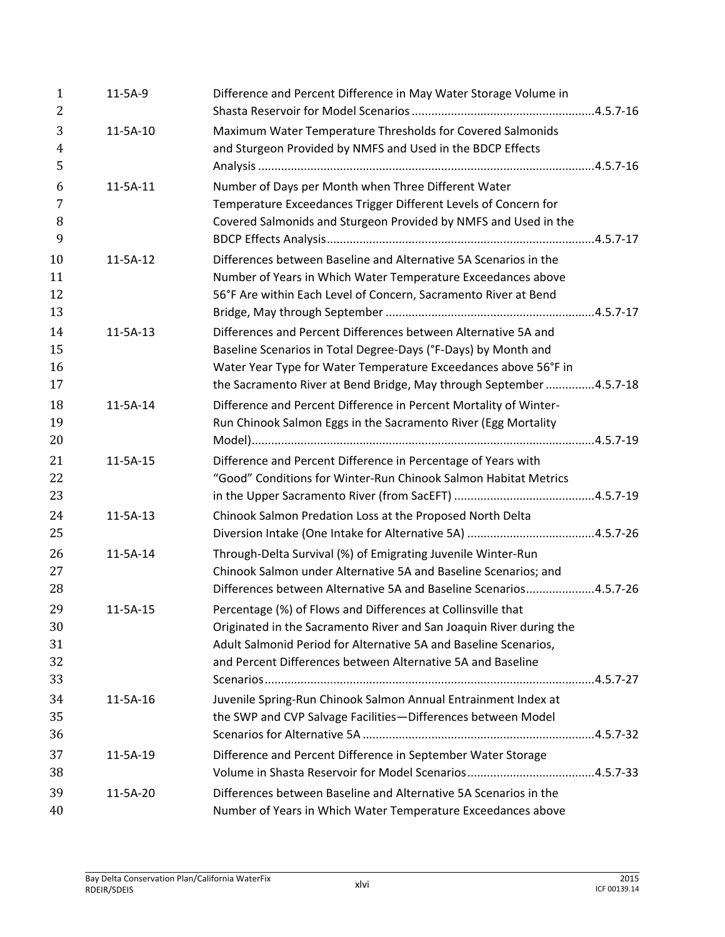| 1<br>2              | $11-5A-9$      | Difference and Percent Difference in May Water Storage Volume in                                                                    |  |
|---------------------|----------------|-------------------------------------------------------------------------------------------------------------------------------------|--|
| 3<br>$\overline{4}$ | 11-5A-10       | Maximum Water Temperature Thresholds for Covered Salmonids<br>and Sturgeon Provided by NMFS and Used in the BDCP Effects            |  |
| 5                   |                |                                                                                                                                     |  |
| 6                   | 11-5A-11       | Number of Days per Month when Three Different Water                                                                                 |  |
| 7                   |                | Temperature Exceedances Trigger Different Levels of Concern for                                                                     |  |
| 8<br>9              |                | Covered Salmonids and Sturgeon Provided by NMFS and Used in the                                                                     |  |
| 10                  | 11-5A-12       | Differences between Baseline and Alternative 5A Scenarios in the                                                                    |  |
| 11                  |                | Number of Years in Which Water Temperature Exceedances above                                                                        |  |
| 12                  |                | 56°F Are within Each Level of Concern, Sacramento River at Bend                                                                     |  |
| 13                  |                |                                                                                                                                     |  |
| 14                  | $11-5A-13$     | Differences and Percent Differences between Alternative 5A and                                                                      |  |
| 15                  |                | Baseline Scenarios in Total Degree-Days (°F-Days) by Month and                                                                      |  |
| 16                  |                | Water Year Type for Water Temperature Exceedances above 56°F in                                                                     |  |
| 17                  |                | the Sacramento River at Bend Bridge, May through September 4.5.7-18                                                                 |  |
| 18                  | 11-5A-14       | Difference and Percent Difference in Percent Mortality of Winter-                                                                   |  |
| 19                  |                | Run Chinook Salmon Eggs in the Sacramento River (Egg Mortality                                                                      |  |
| 20                  |                |                                                                                                                                     |  |
| 21                  | 11-5A-15       | Difference and Percent Difference in Percentage of Years with                                                                       |  |
| 22                  |                | "Good" Conditions for Winter-Run Chinook Salmon Habitat Metrics                                                                     |  |
| 23                  |                |                                                                                                                                     |  |
| 24                  | $11-5A-13$     | Chinook Salmon Predation Loss at the Proposed North Delta                                                                           |  |
| 25                  |                |                                                                                                                                     |  |
| 26                  | 11-5A-14       | Through-Delta Survival (%) of Emigrating Juvenile Winter-Run                                                                        |  |
| 27                  |                | Chinook Salmon under Alternative 5A and Baseline Scenarios; and                                                                     |  |
| 28                  |                | Differences between Alternative 5A and Baseline Scenarios4.5.7-26                                                                   |  |
| 29                  |                |                                                                                                                                     |  |
| 30                  | $11 - 5A - 15$ | Percentage (%) of Flows and Differences at Collinsville that<br>Originated in the Sacramento River and San Joaquin River during the |  |
| 31                  |                | Adult Salmonid Period for Alternative 5A and Baseline Scenarios,                                                                    |  |
| 32                  |                | and Percent Differences between Alternative 5A and Baseline                                                                         |  |
| 33                  |                |                                                                                                                                     |  |
|                     |                |                                                                                                                                     |  |
| 34                  | 11-5A-16       | Juvenile Spring-Run Chinook Salmon Annual Entrainment Index at                                                                      |  |
| 35                  |                | the SWP and CVP Salvage Facilities-Differences between Model                                                                        |  |
| 36                  |                |                                                                                                                                     |  |
| 37                  | 11-5A-19       | Difference and Percent Difference in September Water Storage                                                                        |  |
| 38                  |                |                                                                                                                                     |  |
| 39<br>40            | 11-5A-20       | Differences between Baseline and Alternative 5A Scenarios in the<br>Number of Years in Which Water Temperature Exceedances above    |  |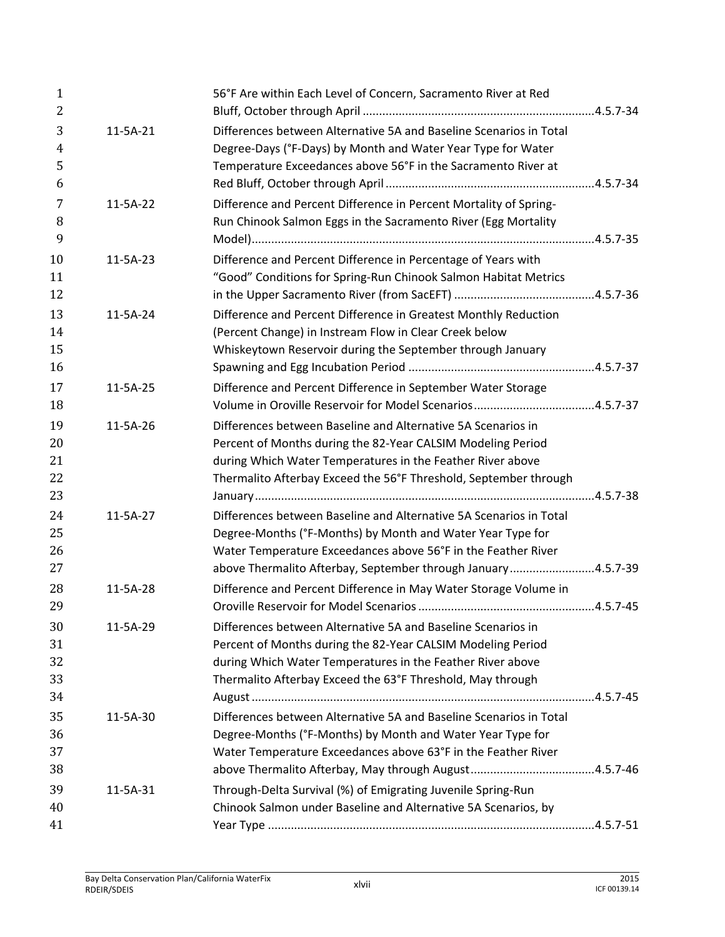| $\mathbf{1}$<br>$\overline{2}$ |            | 56°F Are within Each Level of Concern, Sacramento River at Red                                                                     |  |
|--------------------------------|------------|------------------------------------------------------------------------------------------------------------------------------------|--|
| 3<br>$\overline{4}$            | $11-5A-21$ | Differences between Alternative 5A and Baseline Scenarios in Total<br>Degree-Days (°F-Days) by Month and Water Year Type for Water |  |
| 5<br>6                         |            | Temperature Exceedances above 56°F in the Sacramento River at                                                                      |  |
| 7                              | 11-5A-22   | Difference and Percent Difference in Percent Mortality of Spring-                                                                  |  |
| 8                              |            | Run Chinook Salmon Eggs in the Sacramento River (Egg Mortality                                                                     |  |
| 9                              |            |                                                                                                                                    |  |
| 10                             | $11-5A-23$ | Difference and Percent Difference in Percentage of Years with                                                                      |  |
| 11                             |            | "Good" Conditions for Spring-Run Chinook Salmon Habitat Metrics                                                                    |  |
| 12                             |            |                                                                                                                                    |  |
| 13                             | 11-5A-24   | Difference and Percent Difference in Greatest Monthly Reduction                                                                    |  |
| 14                             |            | (Percent Change) in Instream Flow in Clear Creek below                                                                             |  |
| 15                             |            | Whiskeytown Reservoir during the September through January                                                                         |  |
| 16                             |            |                                                                                                                                    |  |
| 17                             | $11-5A-25$ | Difference and Percent Difference in September Water Storage                                                                       |  |
| 18                             |            |                                                                                                                                    |  |
| 19                             | 11-5A-26   | Differences between Baseline and Alternative 5A Scenarios in                                                                       |  |
| 20                             |            | Percent of Months during the 82-Year CALSIM Modeling Period                                                                        |  |
| 21                             |            | during Which Water Temperatures in the Feather River above                                                                         |  |
| 22                             |            | Thermalito Afterbay Exceed the 56°F Threshold, September through                                                                   |  |
| 23                             |            |                                                                                                                                    |  |
| 24                             | 11-5A-27   | Differences between Baseline and Alternative 5A Scenarios in Total                                                                 |  |
| 25                             |            | Degree-Months (°F-Months) by Month and Water Year Type for                                                                         |  |
| 26                             |            | Water Temperature Exceedances above 56°F in the Feather River                                                                      |  |
| 27                             |            | above Thermalito Afterbay, September through January4.5.7-39                                                                       |  |
| 28                             | 11-5A-28   | Difference and Percent Difference in May Water Storage Volume in                                                                   |  |
| 29                             |            |                                                                                                                                    |  |
| 30                             | 11-5A-29   | Differences between Alternative 5A and Baseline Scenarios in                                                                       |  |
| 31                             |            | Percent of Months during the 82-Year CALSIM Modeling Period                                                                        |  |
| 32                             |            | during Which Water Temperatures in the Feather River above                                                                         |  |
| 33                             |            | Thermalito Afterbay Exceed the 63°F Threshold, May through                                                                         |  |
| 34                             |            |                                                                                                                                    |  |
| 35                             | 11-5A-30   | Differences between Alternative 5A and Baseline Scenarios in Total                                                                 |  |
| 36                             |            | Degree-Months (°F-Months) by Month and Water Year Type for                                                                         |  |
| 37                             |            | Water Temperature Exceedances above 63°F in the Feather River                                                                      |  |
| 38                             |            |                                                                                                                                    |  |
| 39                             | $11-5A-31$ | Through-Delta Survival (%) of Emigrating Juvenile Spring-Run                                                                       |  |
| 40                             |            | Chinook Salmon under Baseline and Alternative 5A Scenarios, by                                                                     |  |
| 41                             |            |                                                                                                                                    |  |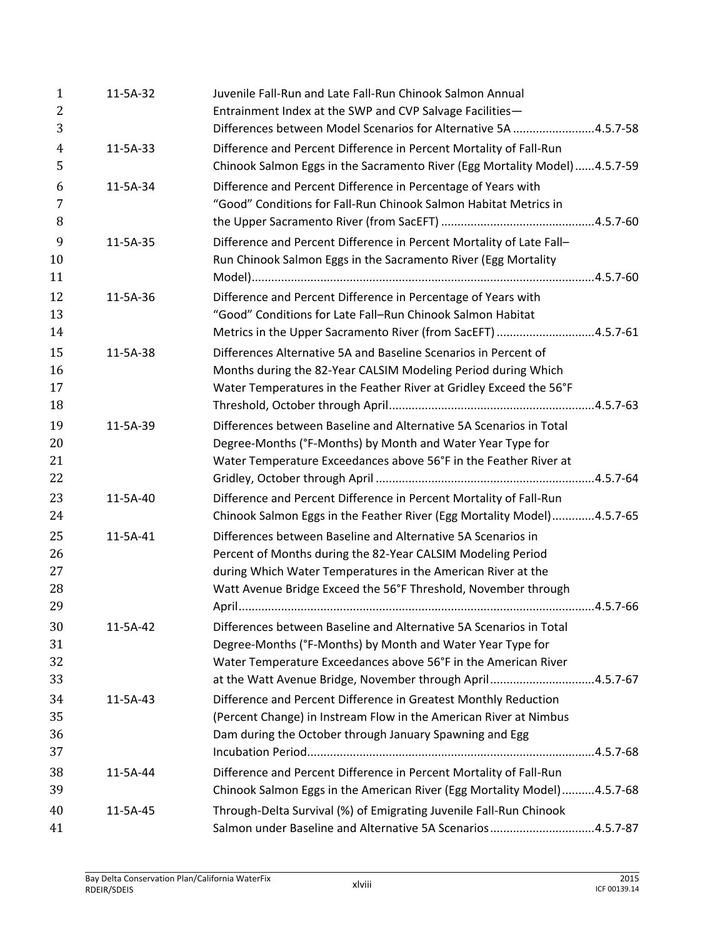| $\mathbf{1}$<br>2<br>3 | 11-5A-32       | Juvenile Fall-Run and Late Fall-Run Chinook Salmon Annual<br>Entrainment Index at the SWP and CVP Salvage Facilities-<br>Differences between Model Scenarios for Alternative 5A 4.5.7-58 |  |
|------------------------|----------------|------------------------------------------------------------------------------------------------------------------------------------------------------------------------------------------|--|
| $\overline{4}$         | 11-5A-33       | Difference and Percent Difference in Percent Mortality of Fall-Run                                                                                                                       |  |
| 5                      |                | Chinook Salmon Eggs in the Sacramento River (Egg Mortality Model) 4.5.7-59                                                                                                               |  |
| 6<br>7                 | 11-5A-34       | Difference and Percent Difference in Percentage of Years with<br>"Good" Conditions for Fall-Run Chinook Salmon Habitat Metrics in                                                        |  |
| 8                      |                |                                                                                                                                                                                          |  |
| 9<br>10<br>11          | $11 - 5A - 35$ | Difference and Percent Difference in Percent Mortality of Late Fall-<br>Run Chinook Salmon Eggs in the Sacramento River (Egg Mortality                                                   |  |
| 12                     | 11-5A-36       | Difference and Percent Difference in Percentage of Years with                                                                                                                            |  |
| 13<br>14               |                | "Good" Conditions for Late Fall-Run Chinook Salmon Habitat<br>Metrics in the Upper Sacramento River (from SacEFT) 4.5.7-61                                                               |  |
| 15                     | 11-5A-38       | Differences Alternative 5A and Baseline Scenarios in Percent of                                                                                                                          |  |
| 16<br>17               |                | Months during the 82-Year CALSIM Modeling Period during Which<br>Water Temperatures in the Feather River at Gridley Exceed the 56°F                                                      |  |
| 18                     |                |                                                                                                                                                                                          |  |
| 19<br>20               | 11-5A-39       | Differences between Baseline and Alternative 5A Scenarios in Total<br>Degree-Months (°F-Months) by Month and Water Year Type for                                                         |  |
| 21<br>22               |                | Water Temperature Exceedances above 56°F in the Feather River at                                                                                                                         |  |
| 23                     | 11-5A-40       | Difference and Percent Difference in Percent Mortality of Fall-Run                                                                                                                       |  |
| 24                     |                | Chinook Salmon Eggs in the Feather River (Egg Mortality Model)4.5.7-65                                                                                                                   |  |
| 25                     | 11-5A-41       | Differences between Baseline and Alternative 5A Scenarios in                                                                                                                             |  |
| 26                     |                | Percent of Months during the 82-Year CALSIM Modeling Period                                                                                                                              |  |
| 27                     |                | during Which Water Temperatures in the American River at the                                                                                                                             |  |
| 28                     |                | Watt Avenue Bridge Exceed the 56°F Threshold, November through                                                                                                                           |  |
| 29                     |                |                                                                                                                                                                                          |  |
| 30                     | 11-5A-42       | Differences between Baseline and Alternative 5A Scenarios in Total                                                                                                                       |  |
| 31                     |                | Degree-Months (°F-Months) by Month and Water Year Type for                                                                                                                               |  |
| 32                     |                | Water Temperature Exceedances above 56°F in the American River                                                                                                                           |  |
| 33                     |                | at the Watt Avenue Bridge, November through April4.5.7-67                                                                                                                                |  |
| 34<br>35               | $11-5A-43$     | Difference and Percent Difference in Greatest Monthly Reduction<br>(Percent Change) in Instream Flow in the American River at Nimbus                                                     |  |
| 36                     |                | Dam during the October through January Spawning and Egg                                                                                                                                  |  |
| 37                     |                |                                                                                                                                                                                          |  |
| 38                     | 11-5A-44       | Difference and Percent Difference in Percent Mortality of Fall-Run                                                                                                                       |  |
| 39                     |                | Chinook Salmon Eggs in the American River (Egg Mortality Model)4.5.7-68                                                                                                                  |  |
| 40                     | 11-5A-45       | Through-Delta Survival (%) of Emigrating Juvenile Fall-Run Chinook                                                                                                                       |  |
| 41                     |                | Salmon under Baseline and Alternative 5A Scenarios4.5.7-87                                                                                                                               |  |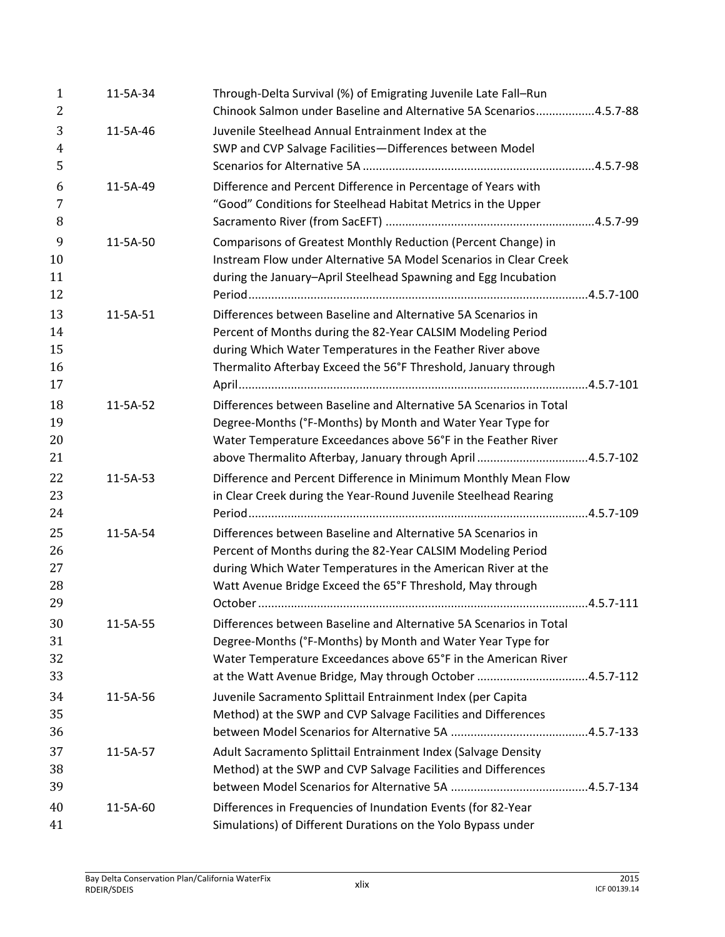| 1<br>2              | 11-5A-34   | Through-Delta Survival (%) of Emigrating Juvenile Late Fall-Run<br>Chinook Salmon under Baseline and Alternative 5A Scenarios4.5.7-88 |  |
|---------------------|------------|---------------------------------------------------------------------------------------------------------------------------------------|--|
| 3<br>$\overline{4}$ | 11-5A-46   | Juvenile Steelhead Annual Entrainment Index at the<br>SWP and CVP Salvage Facilities-Differences between Model                        |  |
| 5                   |            |                                                                                                                                       |  |
| 6<br>7              | 11-5A-49   | Difference and Percent Difference in Percentage of Years with<br>"Good" Conditions for Steelhead Habitat Metrics in the Upper         |  |
| 8                   |            |                                                                                                                                       |  |
| 9<br>10             | 11-5A-50   | Comparisons of Greatest Monthly Reduction (Percent Change) in<br>Instream Flow under Alternative 5A Model Scenarios in Clear Creek    |  |
| 11                  |            | during the January-April Steelhead Spawning and Egg Incubation                                                                        |  |
| 12                  |            |                                                                                                                                       |  |
| 13                  | 11-5A-51   | Differences between Baseline and Alternative 5A Scenarios in                                                                          |  |
| 14                  |            | Percent of Months during the 82-Year CALSIM Modeling Period                                                                           |  |
| 15<br>16            |            | during Which Water Temperatures in the Feather River above<br>Thermalito Afterbay Exceed the 56°F Threshold, January through          |  |
| 17                  |            |                                                                                                                                       |  |
| 18                  |            | Differences between Baseline and Alternative 5A Scenarios in Total                                                                    |  |
| 19                  | 11-5A-52   | Degree-Months (°F-Months) by Month and Water Year Type for                                                                            |  |
| 20                  |            | Water Temperature Exceedances above 56°F in the Feather River                                                                         |  |
| 21                  |            | above Thermalito Afterbay, January through April 4.5.7-102                                                                            |  |
| 22                  | $11-5A-53$ | Difference and Percent Difference in Minimum Monthly Mean Flow                                                                        |  |
| 23                  |            | in Clear Creek during the Year-Round Juvenile Steelhead Rearing                                                                       |  |
| 24                  |            |                                                                                                                                       |  |
| 25                  | 11-5A-54   | Differences between Baseline and Alternative 5A Scenarios in                                                                          |  |
| 26                  |            | Percent of Months during the 82-Year CALSIM Modeling Period                                                                           |  |
| 27                  |            | during Which Water Temperatures in the American River at the                                                                          |  |
| 28                  |            | Watt Avenue Bridge Exceed the 65°F Threshold, May through                                                                             |  |
| 29                  |            |                                                                                                                                       |  |
| 30                  | 11-5A-55   | Differences between Baseline and Alternative 5A Scenarios in Total                                                                    |  |
| 31                  |            | Degree-Months (°F-Months) by Month and Water Year Type for                                                                            |  |
| 32                  |            | Water Temperature Exceedances above 65°F in the American River                                                                        |  |
| 33                  |            | at the Watt Avenue Bridge, May through October 4.5.7-112                                                                              |  |
| 34                  | 11-5A-56   | Juvenile Sacramento Splittail Entrainment Index (per Capita                                                                           |  |
| 35                  |            | Method) at the SWP and CVP Salvage Facilities and Differences                                                                         |  |
| 36                  |            |                                                                                                                                       |  |
| 37                  | 11-5A-57   | Adult Sacramento Splittail Entrainment Index (Salvage Density                                                                         |  |
| 38                  |            | Method) at the SWP and CVP Salvage Facilities and Differences                                                                         |  |
| 39                  |            |                                                                                                                                       |  |
| 40                  | 11-5A-60   | Differences in Frequencies of Inundation Events (for 82-Year                                                                          |  |
| 41                  |            | Simulations) of Different Durations on the Yolo Bypass under                                                                          |  |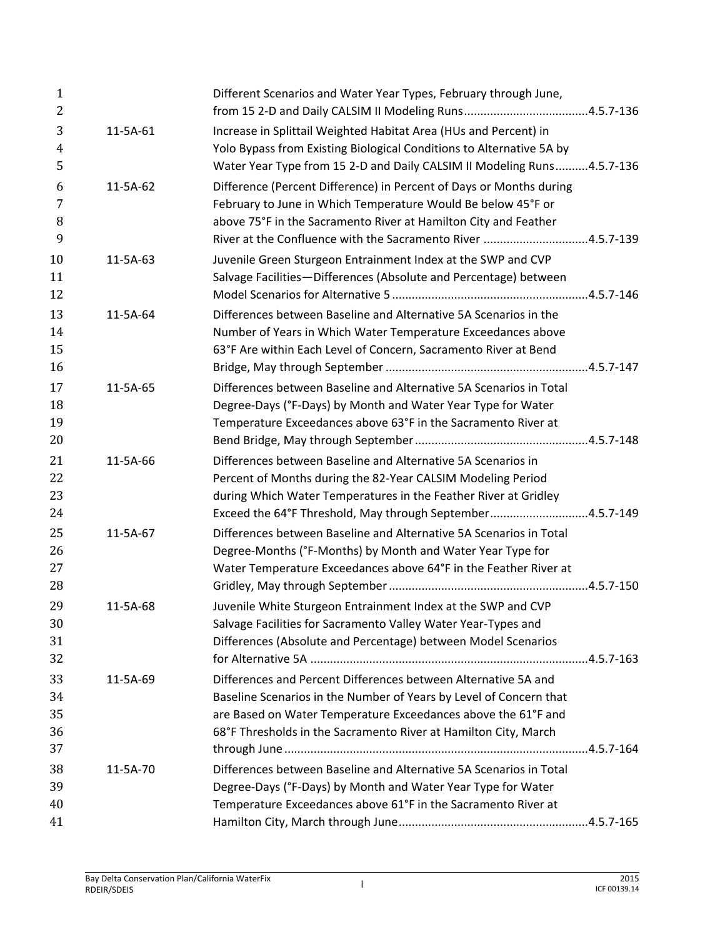| $\mathbf{1}$<br>$\overline{2}$ |          | Different Scenarios and Water Year Types, February through June,                                                                                                                                                                                                         |  |
|--------------------------------|----------|--------------------------------------------------------------------------------------------------------------------------------------------------------------------------------------------------------------------------------------------------------------------------|--|
| 3<br>$\overline{4}$<br>5       | 11-5A-61 | Increase in Splittail Weighted Habitat Area (HUs and Percent) in<br>Yolo Bypass from Existing Biological Conditions to Alternative 5A by<br>Water Year Type from 15 2-D and Daily CALSIM II Modeling Runs4.5.7-136                                                       |  |
| 6<br>7<br>8<br>9               | 11-5A-62 | Difference (Percent Difference) in Percent of Days or Months during<br>February to June in Which Temperature Would Be below 45°F or<br>above 75°F in the Sacramento River at Hamilton City and Feather<br>River at the Confluence with the Sacramento River 4.5.7-139    |  |
| 10<br>11<br>12                 | 11-5A-63 | Juvenile Green Sturgeon Entrainment Index at the SWP and CVP<br>Salvage Facilities-Differences (Absolute and Percentage) between                                                                                                                                         |  |
| 13<br>14<br>15<br>16           | 11-5A-64 | Differences between Baseline and Alternative 5A Scenarios in the<br>Number of Years in Which Water Temperature Exceedances above<br>63°F Are within Each Level of Concern, Sacramento River at Bend                                                                      |  |
| 17<br>18<br>19<br>20           | 11-5A-65 | Differences between Baseline and Alternative 5A Scenarios in Total<br>Degree-Days (°F-Days) by Month and Water Year Type for Water<br>Temperature Exceedances above 63°F in the Sacramento River at                                                                      |  |
| 21<br>22<br>23<br>24           | 11-5A-66 | Differences between Baseline and Alternative 5A Scenarios in<br>Percent of Months during the 82-Year CALSIM Modeling Period<br>during Which Water Temperatures in the Feather River at Gridley<br>Exceed the 64°F Threshold, May through September4.5.7-149              |  |
| 25<br>26<br>27<br>28           | 11-5A-67 | Differences between Baseline and Alternative 5A Scenarios in Total<br>Degree-Months (°F-Months) by Month and Water Year Type for<br>Water Temperature Exceedances above 64°F in the Feather River at                                                                     |  |
| 29<br>30<br>31<br>32           | 11-5A-68 | Juvenile White Sturgeon Entrainment Index at the SWP and CVP<br>Salvage Facilities for Sacramento Valley Water Year-Types and<br>Differences (Absolute and Percentage) between Model Scenarios                                                                           |  |
| 33<br>34<br>35<br>36           | 11-5A-69 | Differences and Percent Differences between Alternative 5A and<br>Baseline Scenarios in the Number of Years by Level of Concern that<br>are Based on Water Temperature Exceedances above the 61°F and<br>68°F Thresholds in the Sacramento River at Hamilton City, March |  |
| 37<br>38<br>39<br>40           | 11-5A-70 | Differences between Baseline and Alternative 5A Scenarios in Total<br>Degree-Days (°F-Days) by Month and Water Year Type for Water<br>Temperature Exceedances above 61°F in the Sacramento River at                                                                      |  |
| 41                             |          |                                                                                                                                                                                                                                                                          |  |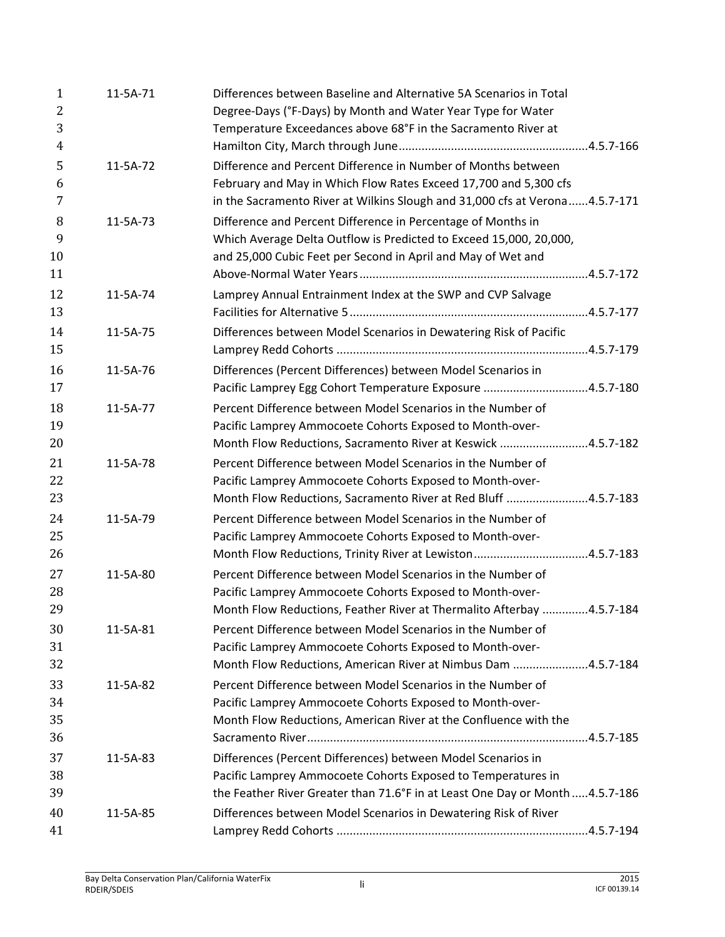| $\mathbf{1}$   | 11-5A-71 | Differences between Baseline and Alternative 5A Scenarios in Total            |
|----------------|----------|-------------------------------------------------------------------------------|
| $\overline{2}$ |          | Degree-Days (°F-Days) by Month and Water Year Type for Water                  |
| 3              |          | Temperature Exceedances above 68°F in the Sacramento River at                 |
| 4              |          |                                                                               |
| 5              | 11-5A-72 | Difference and Percent Difference in Number of Months between                 |
| 6              |          | February and May in Which Flow Rates Exceed 17,700 and 5,300 cfs              |
| 7              |          | in the Sacramento River at Wilkins Slough and 31,000 cfs at Verona4.5.7-171   |
| 8              | 11-5A-73 | Difference and Percent Difference in Percentage of Months in                  |
| 9              |          | Which Average Delta Outflow is Predicted to Exceed 15,000, 20,000,            |
| 10             |          | and 25,000 Cubic Feet per Second in April and May of Wet and                  |
| 11             |          |                                                                               |
| 12             | 11-5A-74 | Lamprey Annual Entrainment Index at the SWP and CVP Salvage                   |
| 13             |          |                                                                               |
| 14             | 11-5A-75 | Differences between Model Scenarios in Dewatering Risk of Pacific             |
| 15             |          |                                                                               |
| 16             | 11-5A-76 | Differences (Percent Differences) between Model Scenarios in                  |
| 17             |          | Pacific Lamprey Egg Cohort Temperature Exposure 4.5.7-180                     |
| 18             | 11-5A-77 | Percent Difference between Model Scenarios in the Number of                   |
| 19             |          | Pacific Lamprey Ammocoete Cohorts Exposed to Month-over-                      |
| 20             |          | Month Flow Reductions, Sacramento River at Keswick 4.5.7-182                  |
| 21             | 11-5A-78 | Percent Difference between Model Scenarios in the Number of                   |
| 22             |          | Pacific Lamprey Ammocoete Cohorts Exposed to Month-over-                      |
| 23             |          | Month Flow Reductions, Sacramento River at Red Bluff 4.5.7-183                |
| 24             | 11-5A-79 | Percent Difference between Model Scenarios in the Number of                   |
| 25             |          | Pacific Lamprey Ammocoete Cohorts Exposed to Month-over-                      |
| 26             |          |                                                                               |
| 27             | 11-5A-80 | Percent Difference between Model Scenarios in the Number of                   |
| 28             |          | Pacific Lamprey Ammocoete Cohorts Exposed to Month-over-                      |
| 29             |          | Month Flow Reductions, Feather River at Thermalito Afterbay 4.5.7-184         |
| 30             | 11-5A-81 | Percent Difference between Model Scenarios in the Number of                   |
| 31             |          | Pacific Lamprey Ammocoete Cohorts Exposed to Month-over-                      |
| 32             |          | Month Flow Reductions, American River at Nimbus Dam 4.5.7-184                 |
| 33             | 11-5A-82 | Percent Difference between Model Scenarios in the Number of                   |
| 34             |          | Pacific Lamprey Ammocoete Cohorts Exposed to Month-over-                      |
| 35             |          | Month Flow Reductions, American River at the Confluence with the              |
| 36             |          |                                                                               |
| 37             | 11-5A-83 | Differences (Percent Differences) between Model Scenarios in                  |
| 38             |          | Pacific Lamprey Ammocoete Cohorts Exposed to Temperatures in                  |
| 39             |          | the Feather River Greater than 71.6°F in at Least One Day or Month  4.5.7-186 |
| 40             | 11-5A-85 | Differences between Model Scenarios in Dewatering Risk of River               |
| 41             |          |                                                                               |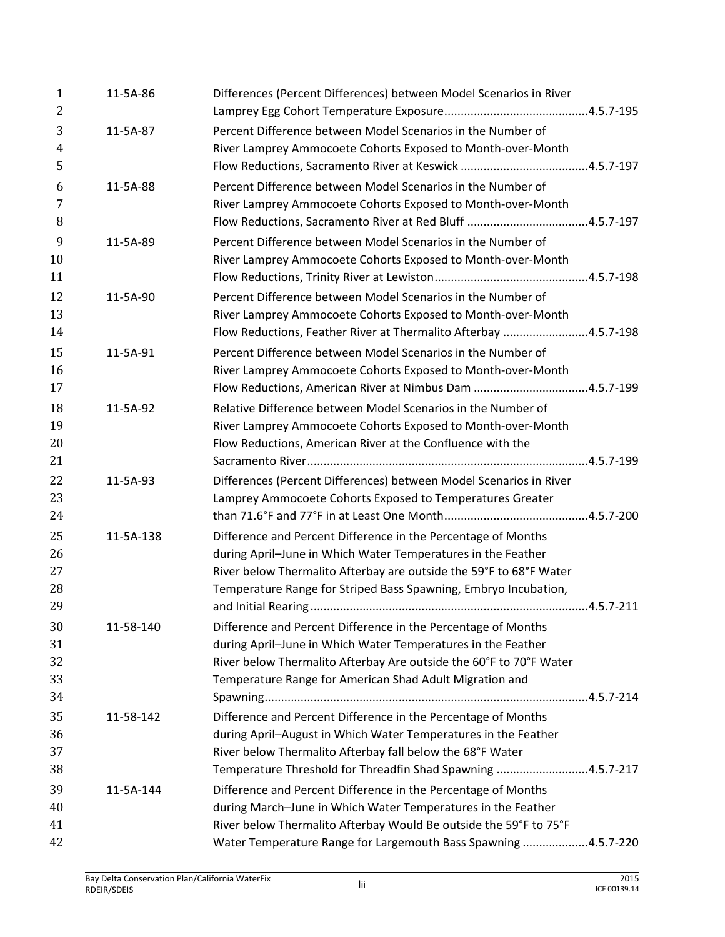| $\mathbf{1}$   | 11-5A-86  | Differences (Percent Differences) between Model Scenarios in River                                                              |  |
|----------------|-----------|---------------------------------------------------------------------------------------------------------------------------------|--|
| 2              |           |                                                                                                                                 |  |
| 3              | 11-5A-87  | Percent Difference between Model Scenarios in the Number of                                                                     |  |
| $\overline{4}$ |           | River Lamprey Ammocoete Cohorts Exposed to Month-over-Month                                                                     |  |
| 5              |           |                                                                                                                                 |  |
| 6              | 11-5A-88  | Percent Difference between Model Scenarios in the Number of                                                                     |  |
| 7              |           | River Lamprey Ammocoete Cohorts Exposed to Month-over-Month                                                                     |  |
| 8              |           |                                                                                                                                 |  |
| 9              | 11-5A-89  | Percent Difference between Model Scenarios in the Number of                                                                     |  |
| 10             |           | River Lamprey Ammocoete Cohorts Exposed to Month-over-Month                                                                     |  |
| 11             |           |                                                                                                                                 |  |
| 12             | 11-5A-90  | Percent Difference between Model Scenarios in the Number of                                                                     |  |
| 13             |           | River Lamprey Ammocoete Cohorts Exposed to Month-over-Month                                                                     |  |
| 14             |           | Flow Reductions, Feather River at Thermalito Afterbay 4.5.7-198                                                                 |  |
| 15             | 11-5A-91  | Percent Difference between Model Scenarios in the Number of                                                                     |  |
| 16             |           | River Lamprey Ammocoete Cohorts Exposed to Month-over-Month                                                                     |  |
| 17             |           | Flow Reductions, American River at Nimbus Dam 4.5.7-199                                                                         |  |
| 18             | 11-5A-92  | Relative Difference between Model Scenarios in the Number of                                                                    |  |
| 19             |           | River Lamprey Ammocoete Cohorts Exposed to Month-over-Month                                                                     |  |
| 20             |           | Flow Reductions, American River at the Confluence with the                                                                      |  |
| 21             |           |                                                                                                                                 |  |
| 22             | 11-5A-93  | Differences (Percent Differences) between Model Scenarios in River                                                              |  |
| 23             |           | Lamprey Ammocoete Cohorts Exposed to Temperatures Greater                                                                       |  |
| 24             |           |                                                                                                                                 |  |
| 25             | 11-5A-138 | Difference and Percent Difference in the Percentage of Months                                                                   |  |
| 26             |           | during April-June in Which Water Temperatures in the Feather                                                                    |  |
| 27             |           | River below Thermalito Afterbay are outside the 59°F to 68°F Water                                                              |  |
| 28             |           | Temperature Range for Striped Bass Spawning, Embryo Incubation,                                                                 |  |
| 29             |           |                                                                                                                                 |  |
| 30             | 11-58-140 | Difference and Percent Difference in the Percentage of Months                                                                   |  |
| 31             |           | during April-June in Which Water Temperatures in the Feather                                                                    |  |
| 32             |           | River below Thermalito Afterbay Are outside the 60°F to 70°F Water                                                              |  |
| 33             |           | Temperature Range for American Shad Adult Migration and                                                                         |  |
| 34             |           |                                                                                                                                 |  |
| 35             |           |                                                                                                                                 |  |
| 36             | 11-58-142 | Difference and Percent Difference in the Percentage of Months<br>during April-August in Which Water Temperatures in the Feather |  |
| 37             |           | River below Thermalito Afterbay fall below the 68°F Water                                                                       |  |
| 38             |           | Temperature Threshold for Threadfin Shad Spawning 4.5.7-217                                                                     |  |
|                |           |                                                                                                                                 |  |
| 39             | 11-5A-144 | Difference and Percent Difference in the Percentage of Months                                                                   |  |
| 40             |           | during March-June in Which Water Temperatures in the Feather                                                                    |  |
| 41             |           | River below Thermalito Afterbay Would Be outside the 59°F to 75°F                                                               |  |
| 42             |           | Water Temperature Range for Largemouth Bass Spawning 4.5.7-220                                                                  |  |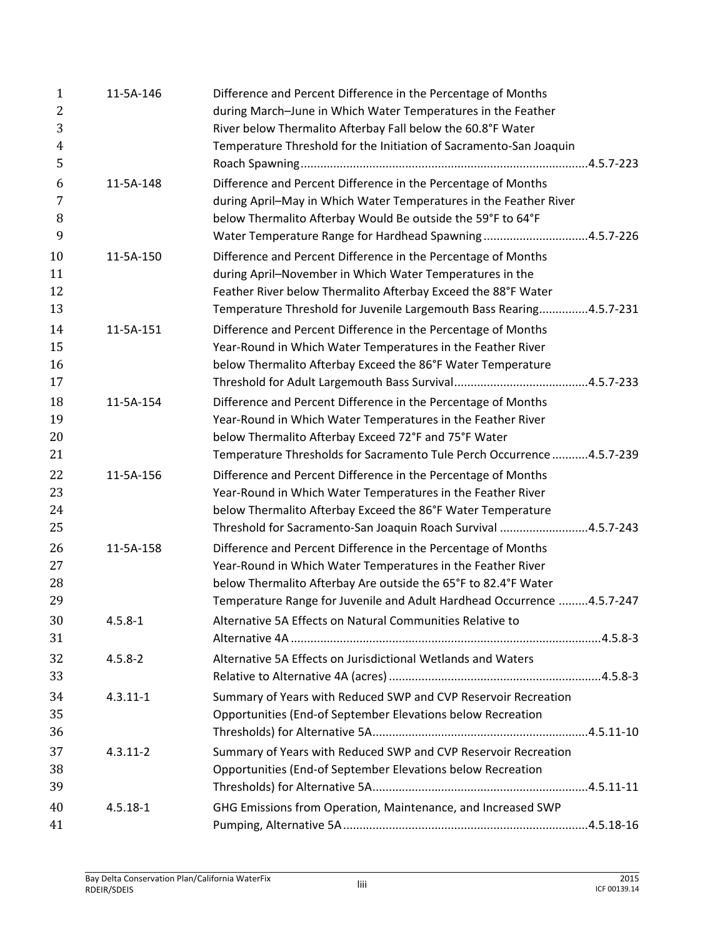| $\mathbf{1}$   | 11-5A-146    | Difference and Percent Difference in the Percentage of Months           |
|----------------|--------------|-------------------------------------------------------------------------|
| 2              |              | during March-June in Which Water Temperatures in the Feather            |
| 3              |              | River below Thermalito Afterbay Fall below the 60.8°F Water             |
| $\overline{4}$ |              | Temperature Threshold for the Initiation of Sacramento-San Joaquin      |
| 5              |              |                                                                         |
| 6              | 11-5A-148    | Difference and Percent Difference in the Percentage of Months           |
| 7              |              | during April-May in Which Water Temperatures in the Feather River       |
| 8              |              | below Thermalito Afterbay Would Be outside the 59°F to 64°F             |
| 9              |              | Water Temperature Range for Hardhead Spawning4.5.7-226                  |
| 10             | 11-5A-150    | Difference and Percent Difference in the Percentage of Months           |
| 11             |              | during April-November in Which Water Temperatures in the                |
| 12             |              | Feather River below Thermalito Afterbay Exceed the 88°F Water           |
| 13             |              | Temperature Threshold for Juvenile Largemouth Bass Rearing4.5.7-231     |
| 14             | 11-5A-151    | Difference and Percent Difference in the Percentage of Months           |
| 15             |              | Year-Round in Which Water Temperatures in the Feather River             |
| 16             |              | below Thermalito Afterbay Exceed the 86°F Water Temperature             |
| 17             |              |                                                                         |
| 18             | 11-5A-154    | Difference and Percent Difference in the Percentage of Months           |
| 19             |              | Year-Round in Which Water Temperatures in the Feather River             |
| 20             |              | below Thermalito Afterbay Exceed 72°F and 75°F Water                    |
| 21             |              | Temperature Thresholds for Sacramento Tule Perch Occurrence  4.5.7-239  |
| 22             | 11-5A-156    | Difference and Percent Difference in the Percentage of Months           |
| 23             |              | Year-Round in Which Water Temperatures in the Feather River             |
| 24             |              | below Thermalito Afterbay Exceed the 86°F Water Temperature             |
| 25             |              | Threshold for Sacramento-San Joaquin Roach Survival 4.5.7-243           |
| 26             | 11-5A-158    | Difference and Percent Difference in the Percentage of Months           |
| 27             |              | Year-Round in Which Water Temperatures in the Feather River             |
| 28             |              | below Thermalito Afterbay Are outside the 65°F to 82.4°F Water          |
| 29             |              | Temperature Range for Juvenile and Adult Hardhead Occurrence  4.5.7-247 |
| 30             | $4.5.8 - 1$  | Alternative 5A Effects on Natural Communities Relative to               |
| 31             |              |                                                                         |
| 32             | $4.5.8 - 2$  | Alternative 5A Effects on Jurisdictional Wetlands and Waters            |
| 33             |              |                                                                         |
| 34             | $4.3.11 - 1$ | Summary of Years with Reduced SWP and CVP Reservoir Recreation          |
| 35             |              | Opportunities (End-of September Elevations below Recreation             |
| 36             |              |                                                                         |
| 37             | $4.3.11 - 2$ | Summary of Years with Reduced SWP and CVP Reservoir Recreation          |
| 38             |              | Opportunities (End-of September Elevations below Recreation             |
| 39             |              |                                                                         |
| 40             | $4.5.18 - 1$ | GHG Emissions from Operation, Maintenance, and Increased SWP            |
| 41             |              |                                                                         |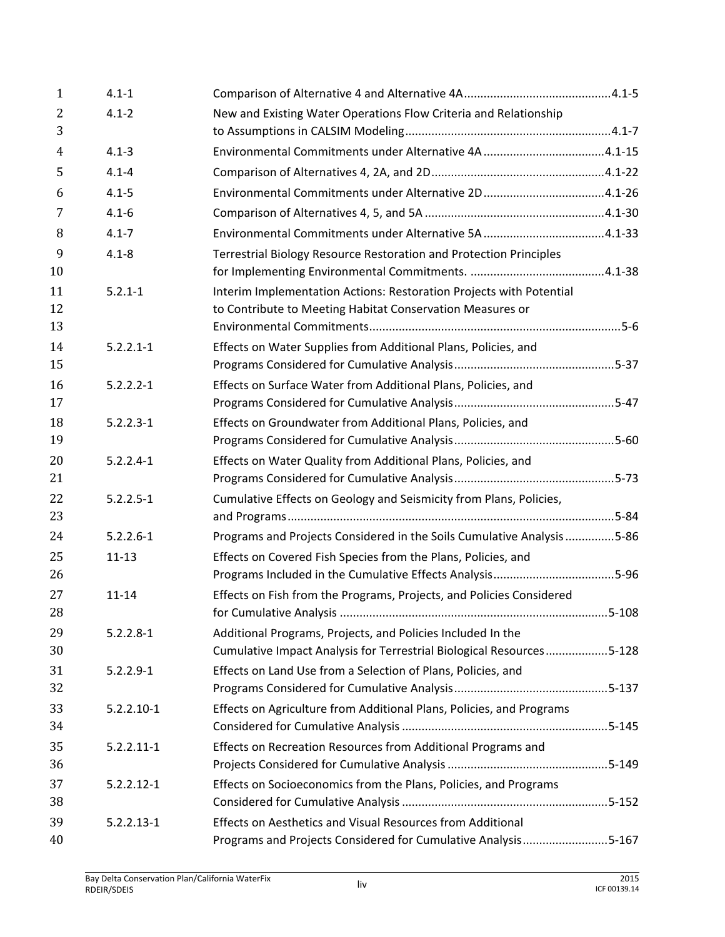| $\mathbf{1}$ | $4.1 - 1$      |                                                                        |  |
|--------------|----------------|------------------------------------------------------------------------|--|
| 2            | $4.1 - 2$      | New and Existing Water Operations Flow Criteria and Relationship       |  |
| 3            |                |                                                                        |  |
| 4            | $4.1 - 3$      |                                                                        |  |
| 5            | $4.1 - 4$      |                                                                        |  |
| 6            | $4.1 - 5$      |                                                                        |  |
| 7            | $4.1 - 6$      |                                                                        |  |
| 8            | $4.1 - 7$      |                                                                        |  |
| 9            | $4.1 - 8$      | Terrestrial Biology Resource Restoration and Protection Principles     |  |
| 10           |                |                                                                        |  |
| 11           | $5.2.1 - 1$    | Interim Implementation Actions: Restoration Projects with Potential    |  |
| 12           |                | to Contribute to Meeting Habitat Conservation Measures or              |  |
| 13           |                |                                                                        |  |
| 14           | $5.2.2.1 - 1$  | Effects on Water Supplies from Additional Plans, Policies, and         |  |
| 15           |                |                                                                        |  |
| 16           | $5.2.2.2 - 1$  | Effects on Surface Water from Additional Plans, Policies, and          |  |
| 17           |                |                                                                        |  |
| 18           | $5.2.2.3 - 1$  | Effects on Groundwater from Additional Plans, Policies, and            |  |
| 19           |                |                                                                        |  |
| 20           | $5.2.2.4 - 1$  | Effects on Water Quality from Additional Plans, Policies, and          |  |
| 21           |                |                                                                        |  |
| 22<br>23     | $5.2.2.5 - 1$  | Cumulative Effects on Geology and Seismicity from Plans, Policies,     |  |
|              |                |                                                                        |  |
| 24           | $5.2.2.6 - 1$  | Programs and Projects Considered in the Soils Cumulative Analysis 5-86 |  |
| 25<br>26     | $11 - 13$      | Effects on Covered Fish Species from the Plans, Policies, and          |  |
| 27           | $11 - 14$      | Effects on Fish from the Programs, Projects, and Policies Considered   |  |
| 28           |                |                                                                        |  |
| 29           | $5.2.2.8 - 1$  | Additional Programs, Projects, and Policies Included In the            |  |
| 30           |                | Cumulative Impact Analysis for Terrestrial Biological Resources5-128   |  |
| 31           | $5.2.2.9 - 1$  | Effects on Land Use from a Selection of Plans, Policies, and           |  |
| 32           |                |                                                                        |  |
| 33           | $5.2.2.10 - 1$ | Effects on Agriculture from Additional Plans, Policies, and Programs   |  |
| 34           |                |                                                                        |  |
| 35           | $5.2.2.11 - 1$ | Effects on Recreation Resources from Additional Programs and           |  |
| 36           |                |                                                                        |  |
| 37           | $5.2.2.12 - 1$ | Effects on Socioeconomics from the Plans, Policies, and Programs       |  |
| 38           |                |                                                                        |  |
| 39           | $5.2.2.13 - 1$ | Effects on Aesthetics and Visual Resources from Additional             |  |
| 40           |                | Programs and Projects Considered for Cumulative Analysis5-167          |  |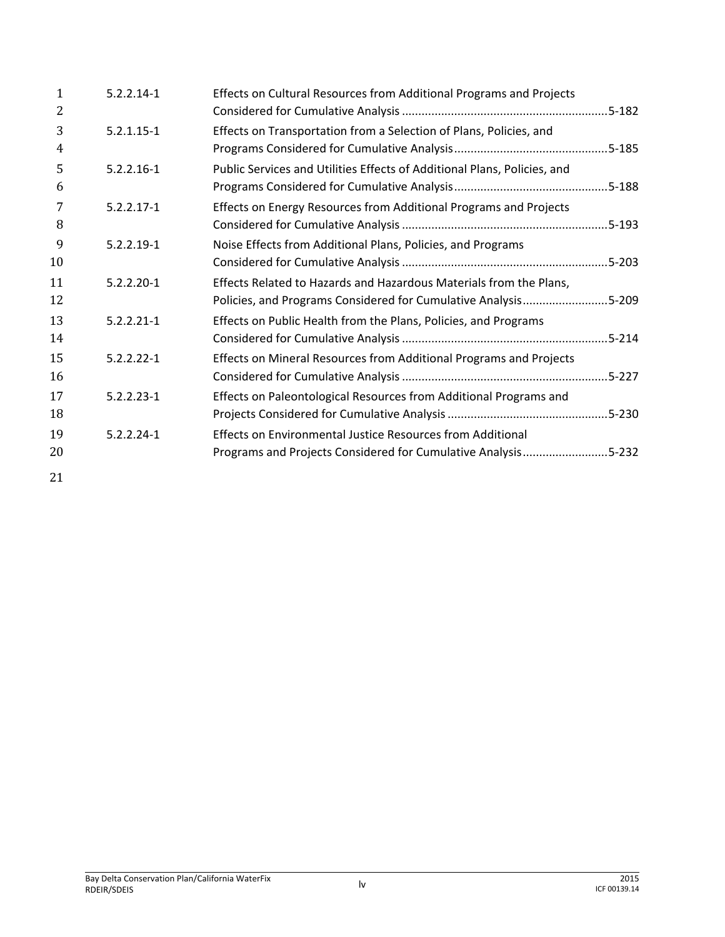| $5.2.2.14-1$   | Effects on Cultural Resources from Additional Programs and Projects                                                                  |  |
|----------------|--------------------------------------------------------------------------------------------------------------------------------------|--|
| $5.2.1.15 - 1$ | Effects on Transportation from a Selection of Plans, Policies, and                                                                   |  |
| $5.2.2.16 - 1$ | Public Services and Utilities Effects of Additional Plans, Policies, and                                                             |  |
| $5.2.2.17 - 1$ | Effects on Energy Resources from Additional Programs and Projects                                                                    |  |
| $5.2.2.19 - 1$ | Noise Effects from Additional Plans, Policies, and Programs                                                                          |  |
| $5.2.2.20 - 1$ | Effects Related to Hazards and Hazardous Materials from the Plans,<br>Policies, and Programs Considered for Cumulative Analysis5-209 |  |
| $5.2.2.21 - 1$ | Effects on Public Health from the Plans, Policies, and Programs                                                                      |  |
| $5.2.2.22 - 1$ | Effects on Mineral Resources from Additional Programs and Projects                                                                   |  |
| $5.2.2.23 - 1$ | Effects on Paleontological Resources from Additional Programs and                                                                    |  |
| $5.2.2.24 - 1$ | Effects on Environmental Justice Resources from Additional<br>Programs and Projects Considered for Cumulative Analysis5-232          |  |
|                |                                                                                                                                      |  |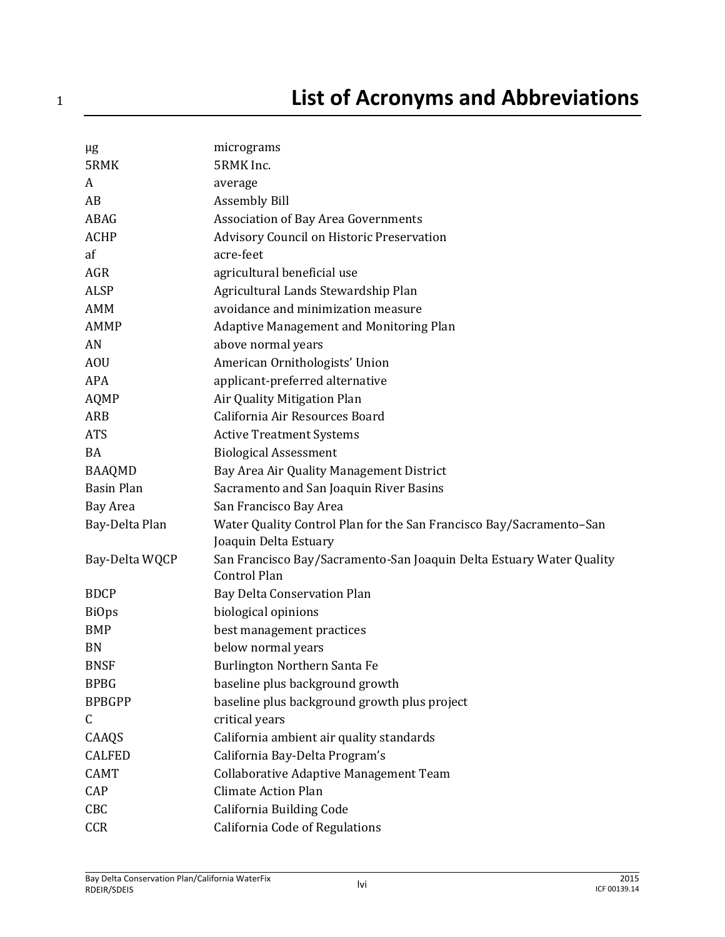| μg                | micrograms                                                                                   |
|-------------------|----------------------------------------------------------------------------------------------|
| 5RMK              | 5RMK Inc.                                                                                    |
| A                 | average                                                                                      |
| AB                | <b>Assembly Bill</b>                                                                         |
| ABAG              | Association of Bay Area Governments                                                          |
| <b>ACHP</b>       | Advisory Council on Historic Preservation                                                    |
| af                | acre-feet                                                                                    |
| AGR               | agricultural beneficial use                                                                  |
| <b>ALSP</b>       | Agricultural Lands Stewardship Plan                                                          |
| <b>AMM</b>        | avoidance and minimization measure                                                           |
| <b>AMMP</b>       | Adaptive Management and Monitoring Plan                                                      |
| AN                | above normal years                                                                           |
| <b>AOU</b>        | American Ornithologists' Union                                                               |
| <b>APA</b>        | applicant-preferred alternative                                                              |
| <b>AQMP</b>       | Air Quality Mitigation Plan                                                                  |
| <b>ARB</b>        | California Air Resources Board                                                               |
| <b>ATS</b>        | <b>Active Treatment Systems</b>                                                              |
| <b>BA</b>         | <b>Biological Assessment</b>                                                                 |
| <b>BAAQMD</b>     | Bay Area Air Quality Management District                                                     |
| <b>Basin Plan</b> | Sacramento and San Joaquin River Basins                                                      |
| <b>Bay Area</b>   | San Francisco Bay Area                                                                       |
| Bay-Delta Plan    | Water Quality Control Plan for the San Francisco Bay/Sacramento-San<br>Joaquin Delta Estuary |
| Bay-Delta WQCP    | San Francisco Bay/Sacramento-San Joaquin Delta Estuary Water Quality<br><b>Control Plan</b>  |
| <b>BDCP</b>       | Bay Delta Conservation Plan                                                                  |
| <b>BiOps</b>      | biological opinions                                                                          |
| <b>BMP</b>        | best management practices                                                                    |
| <b>BN</b>         | below normal years                                                                           |
| <b>BNSF</b>       | Burlington Northern Santa Fe                                                                 |
| <b>BPBG</b>       | baseline plus background growth                                                              |
| <b>BPBGPP</b>     | baseline plus background growth plus project                                                 |
| C                 | critical years                                                                               |
| CAAQS             | California ambient air quality standards                                                     |
| <b>CALFED</b>     | California Bay-Delta Program's                                                               |
| <b>CAMT</b>       | Collaborative Adaptive Management Team                                                       |
| CAP               | <b>Climate Action Plan</b>                                                                   |
| CBC               | California Building Code                                                                     |
| CCR               | California Code of Regulations                                                               |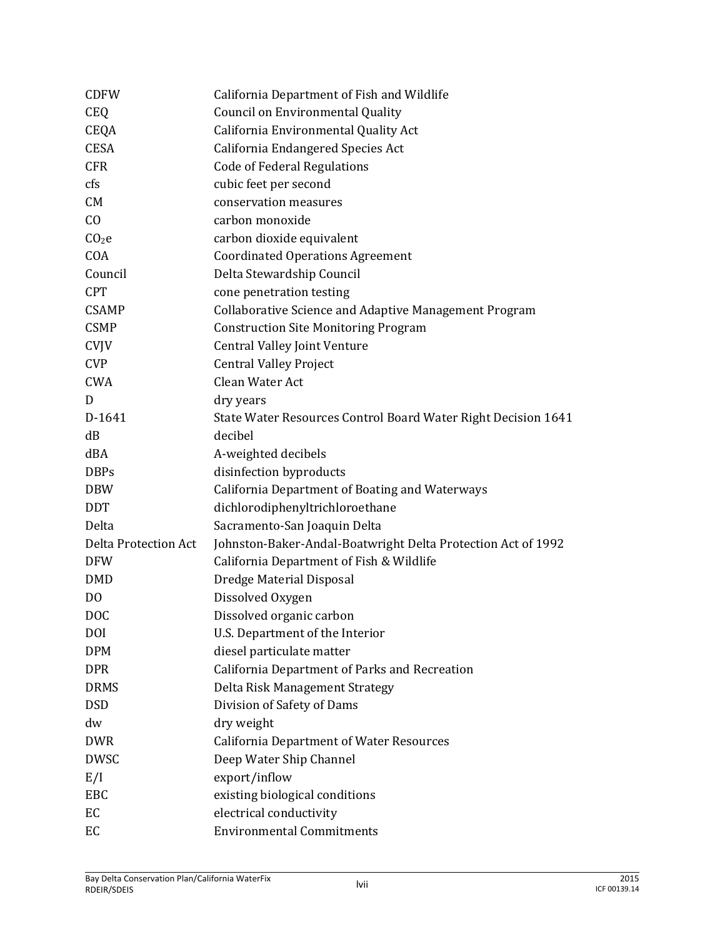| <b>CDFW</b>                 | California Department of Fish and Wildlife                    |
|-----------------------------|---------------------------------------------------------------|
| <b>CEQ</b>                  | <b>Council on Environmental Quality</b>                       |
| <b>CEQA</b>                 | California Environmental Quality Act                          |
| <b>CESA</b>                 | California Endangered Species Act                             |
| <b>CFR</b>                  | <b>Code of Federal Regulations</b>                            |
| cfs                         | cubic feet per second                                         |
| CM                          | conservation measures                                         |
| C <sub>0</sub>              | carbon monoxide                                               |
| CO <sub>2</sub> e           | carbon dioxide equivalent                                     |
| COA                         | <b>Coordinated Operations Agreement</b>                       |
| Council                     | Delta Stewardship Council                                     |
| <b>CPT</b>                  | cone penetration testing                                      |
| <b>CSAMP</b>                | Collaborative Science and Adaptive Management Program         |
| <b>CSMP</b>                 | <b>Construction Site Monitoring Program</b>                   |
| <b>CVJV</b>                 | <b>Central Valley Joint Venture</b>                           |
| <b>CVP</b>                  | <b>Central Valley Project</b>                                 |
| <b>CWA</b>                  | Clean Water Act                                               |
| D                           | dry years                                                     |
| D-1641                      | State Water Resources Control Board Water Right Decision 1641 |
| dB                          | decibel                                                       |
| dBA                         | A-weighted decibels                                           |
| <b>DBPs</b>                 | disinfection byproducts                                       |
| <b>DBW</b>                  | <b>California Department of Boating and Waterways</b>         |
| <b>DDT</b>                  | dichlorodiphenyltrichloroethane                               |
| Delta                       | Sacramento-San Joaquin Delta                                  |
| <b>Delta Protection Act</b> | Johnston-Baker-Andal-Boatwright Delta Protection Act of 1992  |
| <b>DFW</b>                  | California Department of Fish & Wildlife                      |
| <b>DMD</b>                  | Dredge Material Disposal                                      |
| D <sub>0</sub>              | Dissolved Oxygen                                              |
| <b>DOC</b>                  | Dissolved organic carbon                                      |
| <b>DOI</b>                  | U.S. Department of the Interior                               |
| <b>DPM</b>                  | diesel particulate matter                                     |
| <b>DPR</b>                  | California Department of Parks and Recreation                 |
| <b>DRMS</b>                 | Delta Risk Management Strategy                                |
| <b>DSD</b>                  | Division of Safety of Dams                                    |
| dw                          | dry weight                                                    |
| <b>DWR</b>                  | <b>California Department of Water Resources</b>               |
| <b>DWSC</b>                 | Deep Water Ship Channel                                       |
| E/I                         | export/inflow                                                 |
| EBC                         | existing biological conditions                                |
| EC                          | electrical conductivity                                       |
| EC                          | <b>Environmental Commitments</b>                              |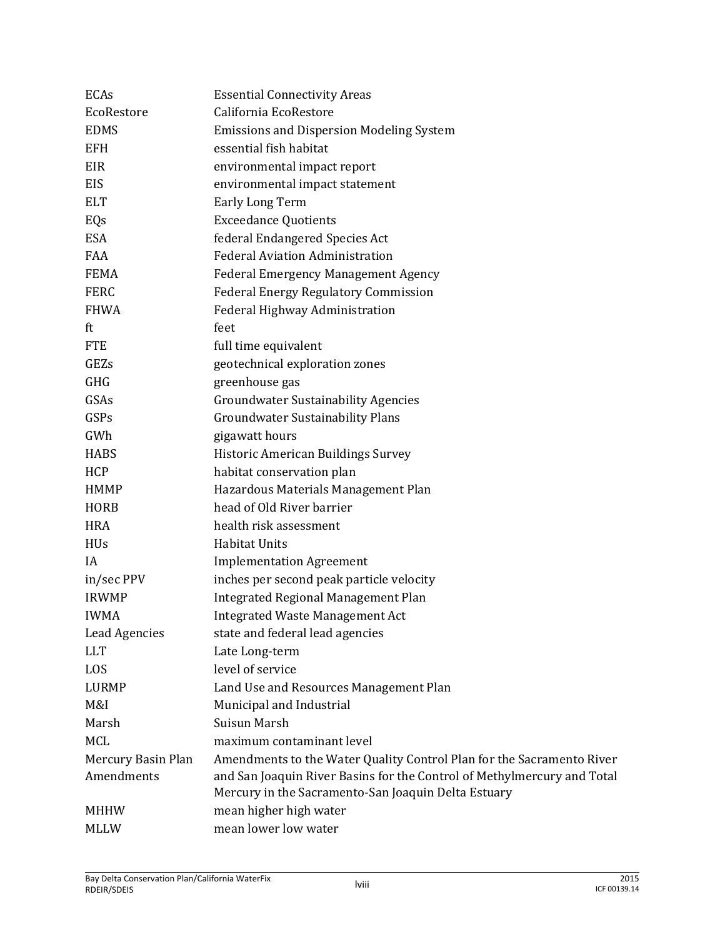| <b>ECAs</b>          | <b>Essential Connectivity Areas</b>                                                                                            |
|----------------------|--------------------------------------------------------------------------------------------------------------------------------|
| EcoRestore           | California EcoRestore                                                                                                          |
| <b>EDMS</b>          | <b>Emissions and Dispersion Modeling System</b>                                                                                |
| <b>EFH</b>           | essential fish habitat                                                                                                         |
| EIR                  | environmental impact report                                                                                                    |
| EIS                  | environmental impact statement                                                                                                 |
| <b>ELT</b>           | <b>Early Long Term</b>                                                                                                         |
| EQs                  | <b>Exceedance Quotients</b>                                                                                                    |
| <b>ESA</b>           | federal Endangered Species Act                                                                                                 |
| FAA                  | <b>Federal Aviation Administration</b>                                                                                         |
| <b>FEMA</b>          | <b>Federal Emergency Management Agency</b>                                                                                     |
| <b>FERC</b>          | <b>Federal Energy Regulatory Commission</b>                                                                                    |
| <b>FHWA</b>          | Federal Highway Administration                                                                                                 |
| ft                   | feet                                                                                                                           |
| <b>FTE</b>           | full time equivalent                                                                                                           |
| GEZs                 | geotechnical exploration zones                                                                                                 |
| GHG                  | greenhouse gas                                                                                                                 |
| GSAs                 | <b>Groundwater Sustainability Agencies</b>                                                                                     |
| GSPs                 | <b>Groundwater Sustainability Plans</b>                                                                                        |
| GWh                  | gigawatt hours                                                                                                                 |
| <b>HABS</b>          | Historic American Buildings Survey                                                                                             |
| <b>HCP</b>           | habitat conservation plan                                                                                                      |
| <b>HMMP</b>          | Hazardous Materials Management Plan                                                                                            |
| <b>HORB</b>          | head of Old River barrier                                                                                                      |
| <b>HRA</b>           | health risk assessment                                                                                                         |
| <b>HUs</b>           | <b>Habitat Units</b>                                                                                                           |
| IA                   | <b>Implementation Agreement</b>                                                                                                |
| in/sec PPV           | inches per second peak particle velocity                                                                                       |
| <b>IRWMP</b>         | <b>Integrated Regional Management Plan</b>                                                                                     |
| <b>IWMA</b>          | <b>Integrated Waste Management Act</b>                                                                                         |
| <b>Lead Agencies</b> | state and federal lead agencies                                                                                                |
| <b>LLT</b>           | Late Long-term                                                                                                                 |
| LOS                  | level of service                                                                                                               |
| <b>LURMP</b>         | Land Use and Resources Management Plan                                                                                         |
| M&I                  | Municipal and Industrial                                                                                                       |
| Marsh                | Suisun Marsh                                                                                                                   |
| <b>MCL</b>           | maximum contaminant level                                                                                                      |
| Mercury Basin Plan   | Amendments to the Water Quality Control Plan for the Sacramento River                                                          |
| Amendments           | and San Joaquin River Basins for the Control of Methylmercury and Total<br>Mercury in the Sacramento-San Joaquin Delta Estuary |
| <b>MHHW</b>          | mean higher high water                                                                                                         |
| <b>MLLW</b>          | mean lower low water                                                                                                           |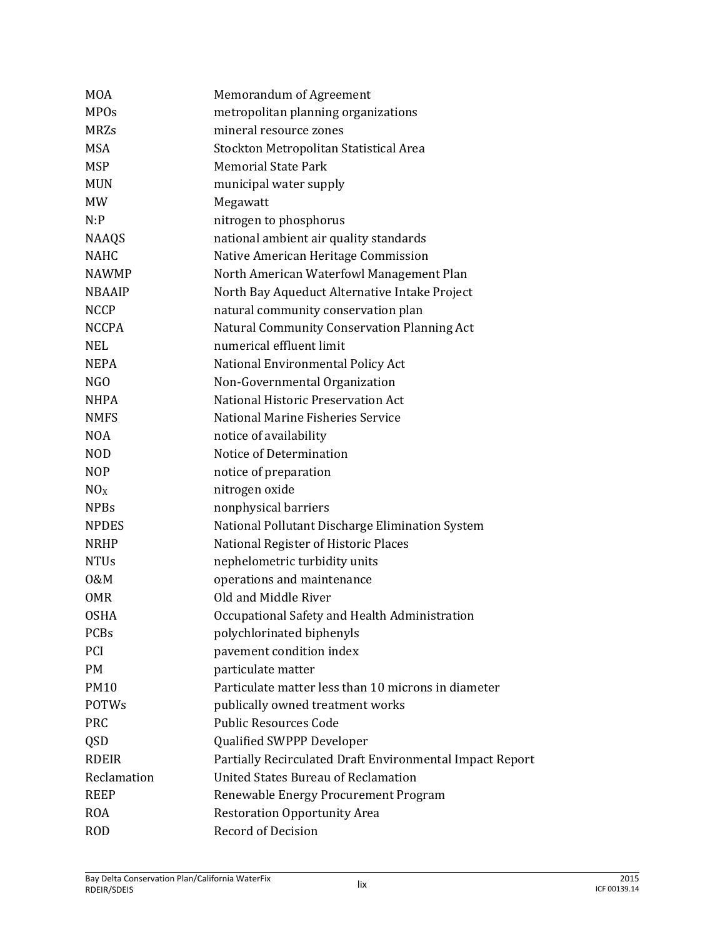| <b>MOA</b>      | Memorandum of Agreement                                  |
|-----------------|----------------------------------------------------------|
| <b>MPOs</b>     | metropolitan planning organizations                      |
| <b>MRZs</b>     | mineral resource zones                                   |
| <b>MSA</b>      | Stockton Metropolitan Statistical Area                   |
| <b>MSP</b>      | <b>Memorial State Park</b>                               |
| <b>MUN</b>      | municipal water supply                                   |
| <b>MW</b>       | Megawatt                                                 |
| N:P             | nitrogen to phosphorus                                   |
| <b>NAAQS</b>    | national ambient air quality standards                   |
| <b>NAHC</b>     | Native American Heritage Commission                      |
| <b>NAWMP</b>    | North American Waterfowl Management Plan                 |
| <b>NBAAIP</b>   | North Bay Aqueduct Alternative Intake Project            |
| <b>NCCP</b>     | natural community conservation plan                      |
| <b>NCCPA</b>    | Natural Community Conservation Planning Act              |
| <b>NEL</b>      | numerical effluent limit                                 |
| <b>NEPA</b>     | National Environmental Policy Act                        |
| NGO             | Non-Governmental Organization                            |
| <b>NHPA</b>     | National Historic Preservation Act                       |
| <b>NMFS</b>     | National Marine Fisheries Service                        |
| <b>NOA</b>      | notice of availability                                   |
| <b>NOD</b>      | Notice of Determination                                  |
| <b>NOP</b>      | notice of preparation                                    |
| NO <sub>X</sub> | nitrogen oxide                                           |
| <b>NPBs</b>     | nonphysical barriers                                     |
| <b>NPDES</b>    | National Pollutant Discharge Elimination System          |
| <b>NRHP</b>     | National Register of Historic Places                     |
| <b>NTUs</b>     | nephelometric turbidity units                            |
| 0&M             | operations and maintenance                               |
| <b>OMR</b>      | Old and Middle River                                     |
| <b>OSHA</b>     | Occupational Safety and Health Administration            |
| PCBs            | polychlorinated biphenyls                                |
| PCI             | pavement condition index                                 |
| <b>PM</b>       | particulate matter                                       |
| <b>PM10</b>     | Particulate matter less than 10 microns in diameter      |
| <b>POTWs</b>    | publically owned treatment works                         |
| <b>PRC</b>      | <b>Public Resources Code</b>                             |
| <b>QSD</b>      | Qualified SWPPP Developer                                |
| <b>RDEIR</b>    | Partially Recirculated Draft Environmental Impact Report |
| Reclamation     | <b>United States Bureau of Reclamation</b>               |
| <b>REEP</b>     | Renewable Energy Procurement Program                     |
| <b>ROA</b>      | <b>Restoration Opportunity Area</b>                      |
| <b>ROD</b>      | Record of Decision                                       |